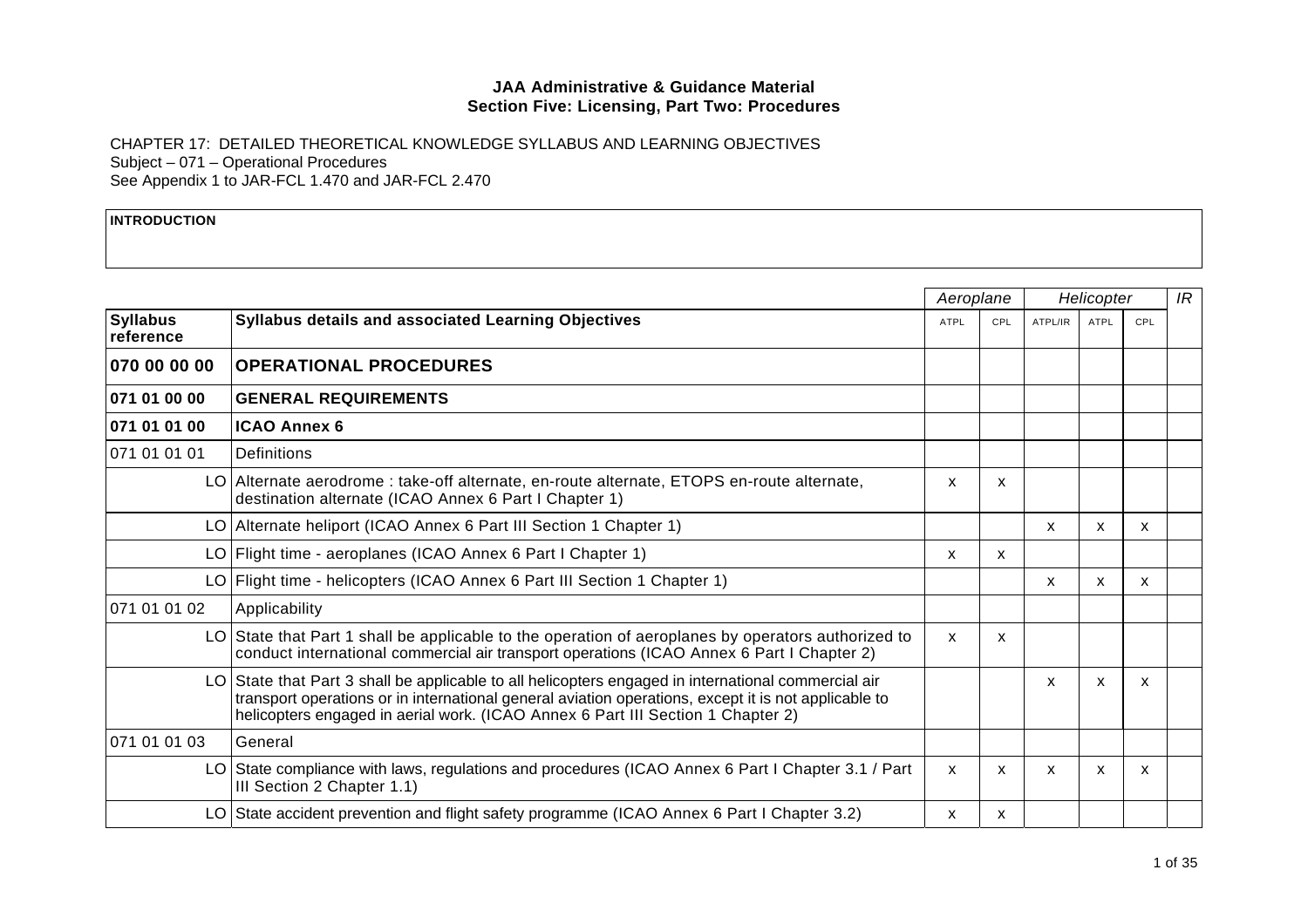CHAPTER 17: DETAILED THEORETICAL KNOWLEDGE SYLLABUS AND LEARNING OBJECTIVES Subject – 071 – Operational Procedures See Appendix 1 to JAR-FCL 1.470 and JAR-FCL 2.470

#### **INTRODUCTION**

|                              |                                                                                                                                                                                                                                                                                                | Aeroplane   |     | Helicopter |             |     | IR |
|------------------------------|------------------------------------------------------------------------------------------------------------------------------------------------------------------------------------------------------------------------------------------------------------------------------------------------|-------------|-----|------------|-------------|-----|----|
| <b>Syllabus</b><br>reference | Syllabus details and associated Learning Objectives                                                                                                                                                                                                                                            | <b>ATPL</b> | CPL | ATPL/IR    | <b>ATPL</b> | CPL |    |
| 070 00 00 00                 | <b>OPERATIONAL PROCEDURES</b>                                                                                                                                                                                                                                                                  |             |     |            |             |     |    |
| 071 01 00 00                 | <b>GENERAL REQUIREMENTS</b>                                                                                                                                                                                                                                                                    |             |     |            |             |     |    |
| 071 01 01 00                 | <b>ICAO Annex 6</b>                                                                                                                                                                                                                                                                            |             |     |            |             |     |    |
| 071 01 01 01                 | <b>Definitions</b>                                                                                                                                                                                                                                                                             |             |     |            |             |     |    |
|                              | LO Alternate aerodrome : take-off alternate, en-route alternate, ETOPS en-route alternate,<br>destination alternate (ICAO Annex 6 Part I Chapter 1)                                                                                                                                            | X           | X   |            |             |     |    |
|                              | LO Alternate heliport (ICAO Annex 6 Part III Section 1 Chapter 1)                                                                                                                                                                                                                              |             |     | X          | X           | X   |    |
|                              | LO Flight time - aeroplanes (ICAO Annex 6 Part I Chapter 1)                                                                                                                                                                                                                                    | X           | X   |            |             |     |    |
|                              | LO Flight time - helicopters (ICAO Annex 6 Part III Section 1 Chapter 1)                                                                                                                                                                                                                       |             |     | X          | X           | X   |    |
| 071 01 01 02                 | Applicability                                                                                                                                                                                                                                                                                  |             |     |            |             |     |    |
|                              | LO State that Part 1 shall be applicable to the operation of aeroplanes by operators authorized to<br>conduct international commercial air transport operations (ICAO Annex 6 Part I Chapter 2)                                                                                                | X           | X   |            |             |     |    |
|                              | LO State that Part 3 shall be applicable to all helicopters engaged in international commercial air<br>transport operations or in international general aviation operations, except it is not applicable to<br>helicopters engaged in aerial work. (ICAO Annex 6 Part III Section 1 Chapter 2) |             |     | X          | X           | X   |    |
| 071 01 01 03                 | General                                                                                                                                                                                                                                                                                        |             |     |            |             |     |    |
|                              | LO State compliance with laws, regulations and procedures (ICAO Annex 6 Part I Chapter 3.1 / Part<br>III Section 2 Chapter 1.1)                                                                                                                                                                | X           | X   | X          | X           | X   |    |
|                              | LO State accident prevention and flight safety programme (ICAO Annex 6 Part I Chapter 3.2)                                                                                                                                                                                                     | x           | X   |            |             |     |    |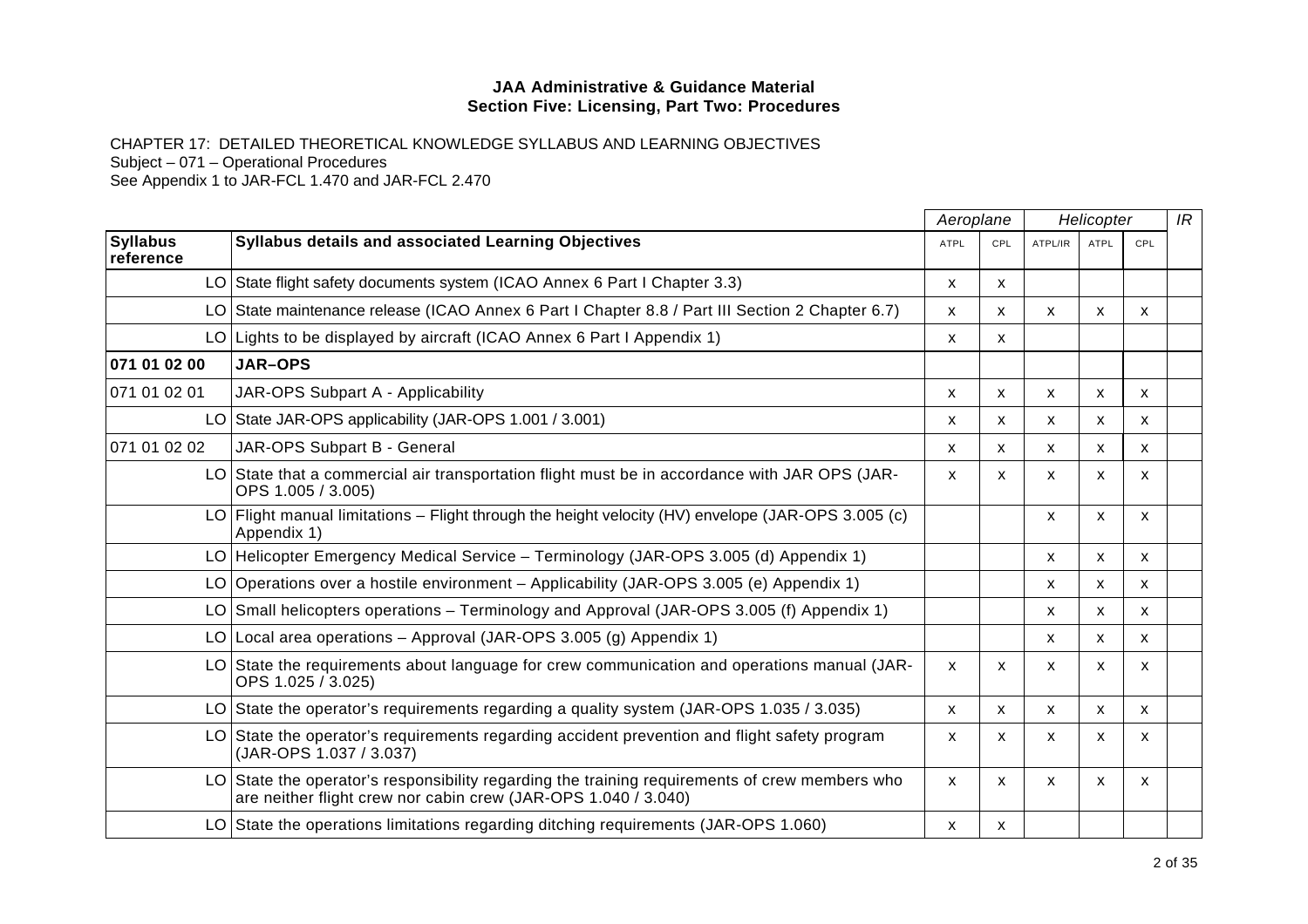CHAPTER 17: DETAILED THEORETICAL KNOWLEDGE SYLLABUS AND LEARNING OBJECTIVES

Subject – 071 – Operational Procedures

|                              |                                                                                                                                                                  | Aeroplane<br>Helicopter |                           |         | IR           |              |  |
|------------------------------|------------------------------------------------------------------------------------------------------------------------------------------------------------------|-------------------------|---------------------------|---------|--------------|--------------|--|
| <b>Syllabus</b><br>reference | <b>Syllabus details and associated Learning Objectives</b>                                                                                                       | <b>ATPL</b>             | CPL                       | ATPL/IR | <b>ATPL</b>  | CPL          |  |
|                              | LO State flight safety documents system (ICAO Annex 6 Part I Chapter 3.3)                                                                                        | X                       | $\mathsf{x}$              |         |              |              |  |
|                              | LO State maintenance release (ICAO Annex 6 Part I Chapter 8.8 / Part III Section 2 Chapter 6.7)                                                                  | X                       | X                         | X       | $\mathsf{x}$ | X            |  |
|                              | LO Lights to be displayed by aircraft (ICAO Annex 6 Part I Appendix 1)                                                                                           | X                       | X                         |         |              |              |  |
| 071 01 02 00                 | <b>JAR-OPS</b>                                                                                                                                                   |                         |                           |         |              |              |  |
| 071 01 02 01                 | JAR-OPS Subpart A - Applicability                                                                                                                                | X                       | X                         | X       | $\mathsf{x}$ | $\mathsf{x}$ |  |
|                              | LO State JAR-OPS applicability (JAR-OPS 1.001 / 3.001)                                                                                                           | х                       | X                         | X       | X            | X            |  |
| 071 01 02 02                 | JAR-OPS Subpart B - General                                                                                                                                      | X                       | X                         | X       | $\mathsf{x}$ | X            |  |
|                              | LO State that a commercial air transportation flight must be in accordance with JAR OPS (JAR-<br>OPS 1.005 / 3.005)                                              | X                       | X                         | X       | X            | X            |  |
|                              | LO Flight manual limitations – Flight through the height velocity (HV) envelope (JAR-OPS 3.005 (c)<br>Appendix 1)                                                |                         |                           | X       | X            | $\mathsf{x}$ |  |
|                              | LO Helicopter Emergency Medical Service – Terminology (JAR-OPS 3.005 (d) Appendix 1)                                                                             |                         |                           | X       | X            | X            |  |
|                              | LO Operations over a hostile environment – Applicability (JAR-OPS 3.005 (e) Appendix 1)                                                                          |                         |                           | X       | $\mathsf{x}$ | $\mathsf{x}$ |  |
|                              | LO Small helicopters operations – Terminology and Approval (JAR-OPS 3.005 (f) Appendix 1)                                                                        |                         |                           | X       | $\mathsf{x}$ | $\mathsf{x}$ |  |
|                              | LO Local area operations - Approval (JAR-OPS 3.005 (g) Appendix 1)                                                                                               |                         |                           | X       | X            | X            |  |
|                              | LO State the requirements about language for crew communication and operations manual (JAR-<br>OPS 1.025 / 3.025)                                                | X                       | $\boldsymbol{\mathsf{x}}$ | X       | X            | x            |  |
|                              | LO State the operator's requirements regarding a quality system (JAR-OPS 1.035 / 3.035)                                                                          | X                       | X                         | X       | X            | X            |  |
|                              | LO State the operator's requirements regarding accident prevention and flight safety program<br>(JAR-OPS 1.037 / 3.037)                                          | X                       | X                         | X       | X            | $\mathsf{x}$ |  |
|                              | LO State the operator's responsibility regarding the training requirements of crew members who<br>are neither flight crew nor cabin crew (JAR-OPS 1.040 / 3.040) | X                       | $\mathsf{x}$              | X       | X            | $\mathsf{x}$ |  |
|                              | LO State the operations limitations regarding ditching requirements (JAR-OPS 1.060)                                                                              | x                       | x                         |         |              |              |  |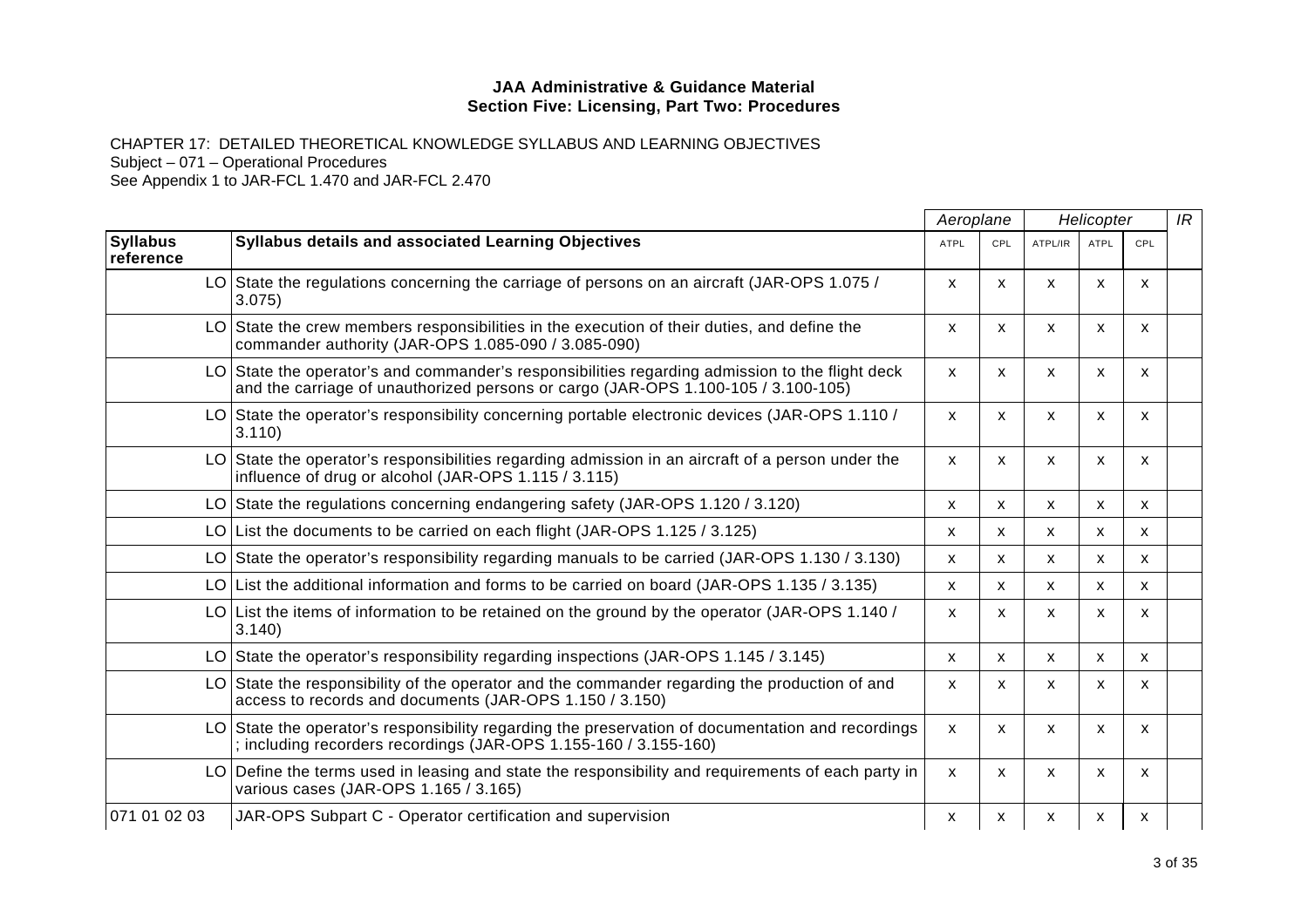CHAPTER 17: DETAILED THEORETICAL KNOWLEDGE SYLLABUS AND LEARNING OBJECTIVES Subject – 071 – Operational Procedures

|                              |                                                                                                                                                                                      |             | Aeroplane    |              | Helicopter   |                           |  |
|------------------------------|--------------------------------------------------------------------------------------------------------------------------------------------------------------------------------------|-------------|--------------|--------------|--------------|---------------------------|--|
| <b>Syllabus</b><br>reference | <b>Syllabus details and associated Learning Objectives</b>                                                                                                                           | <b>ATPL</b> | CPL          | ATPL/IR      | <b>ATPL</b>  | CPL                       |  |
|                              | LO State the regulations concerning the carriage of persons on an aircraft (JAR-OPS 1.075 /<br>3.075                                                                                 | X           | $\mathsf{x}$ | $\mathsf{x}$ | $\mathsf{x}$ | $\boldsymbol{\mathsf{x}}$ |  |
|                              | $LO$ State the crew members responsibilities in the execution of their duties, and define the<br>commander authority (JAR-OPS 1.085-090 / 3.085-090)                                 | X           | X            | x            | x            | х                         |  |
|                              | LO State the operator's and commander's responsibilities regarding admission to the flight deck<br>and the carriage of unauthorized persons or cargo (JAR-OPS 1.100-105 / 3.100-105) | X           | X            | X            | X            | X                         |  |
|                              | LO State the operator's responsibility concerning portable electronic devices (JAR-OPS 1.110 /<br>3.110                                                                              | X           | X            | X            | X            | X                         |  |
|                              | LO State the operator's responsibilities regarding admission in an aircraft of a person under the<br>influence of drug or alcohol (JAR-OPS 1.115 / 3.115)                            | X           | X            | X            | x            | X                         |  |
|                              | LO State the regulations concerning endangering safety (JAR-OPS 1.120 / 3.120)                                                                                                       | X           | X            | X            | $\mathsf{x}$ | $\mathsf{x}$              |  |
|                              | LO List the documents to be carried on each flight (JAR-OPS 1.125 / 3.125)                                                                                                           | x           | X.           | X            | X            | $\mathsf{x}$              |  |
|                              | LO State the operator's responsibility regarding manuals to be carried (JAR-OPS 1.130 / 3.130)                                                                                       | X           | X            | X            | $\mathsf{x}$ | X                         |  |
|                              | LO List the additional information and forms to be carried on board (JAR-OPS 1.135 / 3.135)                                                                                          | X           | X            | X            | $\mathsf{x}$ | $\mathsf{x}$              |  |
|                              | LO List the items of information to be retained on the ground by the operator (JAR-OPS 1.140 /<br>3.140                                                                              | X           | X            | X            | X            | X                         |  |
|                              | LO State the operator's responsibility regarding inspections (JAR-OPS 1.145 / 3.145)                                                                                                 | X           | x            | X            | х            | x                         |  |
|                              | LO State the responsibility of the operator and the commander regarding the production of and<br>access to records and documents (JAR-OPS 1.150 / 3.150)                             | x           | X            | X            | x            | x                         |  |
|                              | LO State the operator's responsibility regarding the preservation of documentation and recordings<br>; including recorders recordings (JAR-OPS 1.155-160 / 3.155-160)                | X           | $\mathsf{x}$ | X            | X            | X                         |  |
|                              | LO Define the terms used in leasing and state the responsibility and requirements of each party in<br>various cases (JAR-OPS 1.165 / 3.165)                                          | X           | X            | X            | x            | x                         |  |
| 071 01 02 03                 | JAR-OPS Subpart C - Operator certification and supervision                                                                                                                           | X           | x            | X            | X            | $\mathsf{x}$              |  |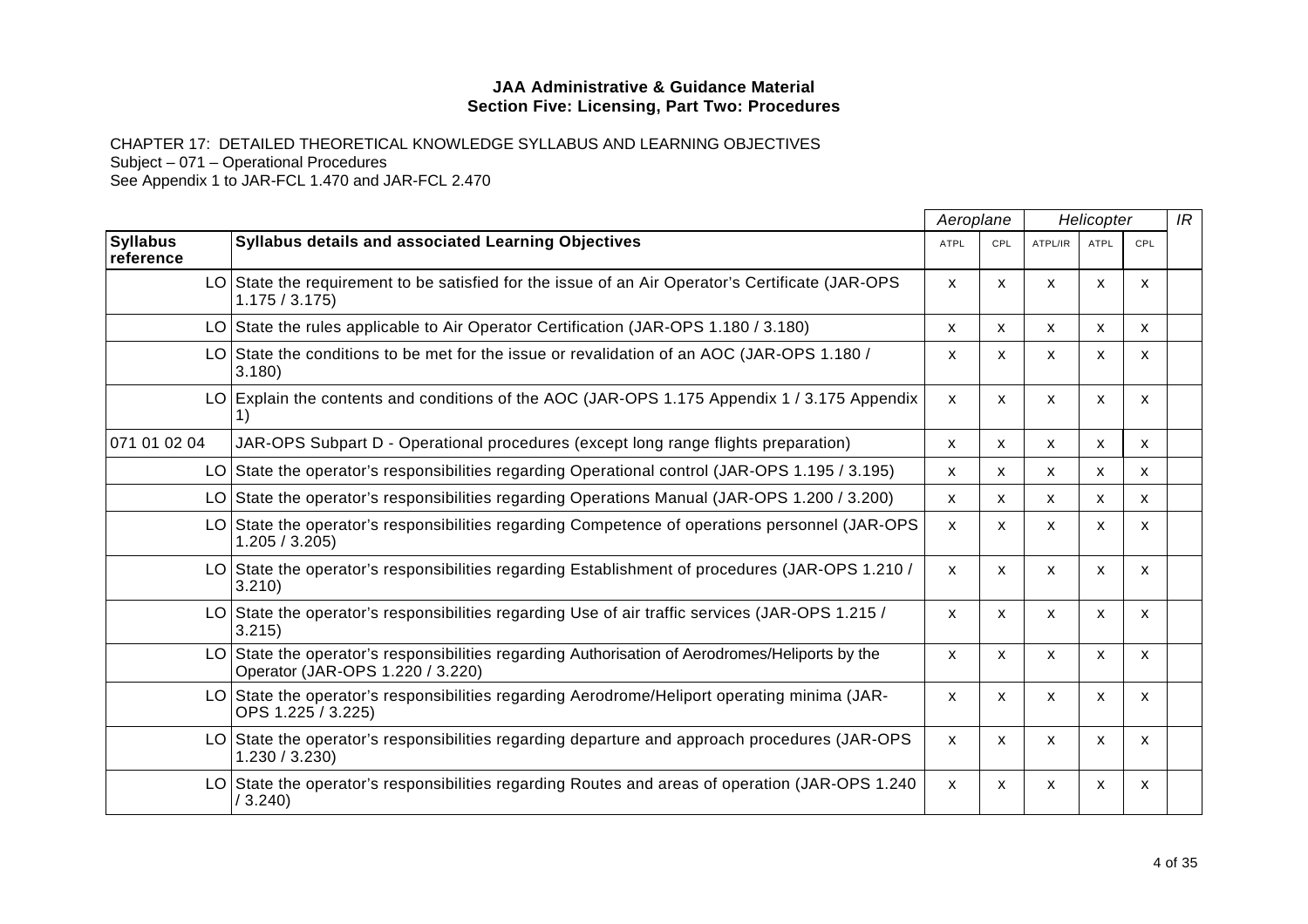CHAPTER 17: DETAILED THEORETICAL KNOWLEDGE SYLLABUS AND LEARNING OBJECTIVES Subject – 071 – Operational Procedures See Appendix 1 to JAR-FCL 1.470 and JAR-FCL 2.470

|                              |                                                                                                                                     |                           | Aeroplane | Helicopter   |                           |              | IR |
|------------------------------|-------------------------------------------------------------------------------------------------------------------------------------|---------------------------|-----------|--------------|---------------------------|--------------|----|
| <b>Syllabus</b><br>reference | <b>Syllabus details and associated Learning Objectives</b>                                                                          | <b>ATPL</b>               | CPL       | ATPL/IR      | <b>ATPL</b>               | CPL          |    |
|                              | LO State the requirement to be satisfied for the issue of an Air Operator's Certificate (JAR-OPS<br>1.175 / 3.175                   | X                         | X         | X            | X                         | X            |    |
|                              | LO State the rules applicable to Air Operator Certification (JAR-OPS 1.180 / 3.180)                                                 | X                         | X         | $\mathsf{x}$ | $\mathsf{x}$              | X            |    |
|                              | LO State the conditions to be met for the issue or revalidation of an AOC (JAR-OPS 1.180 /<br>3.180                                 | x                         | x         | X            | X                         | X            |    |
|                              | LO Explain the contents and conditions of the AOC (JAR-OPS 1.175 Appendix 1/3.175 Appendix                                          | X                         | х         | X            | X                         | x            |    |
| 071 01 02 04                 | JAR-OPS Subpart D - Operational procedures (except long range flights preparation)                                                  | x                         | X         | X            | X                         | X            |    |
|                              | LO State the operator's responsibilities regarding Operational control (JAR-OPS 1.195 / 3.195)                                      | x                         | X         | X            | X                         | X            |    |
|                              | LO State the operator's responsibilities regarding Operations Manual (JAR-OPS 1.200 / 3.200)                                        | X                         | X         | X            | $\mathsf{x}$              | X            |    |
|                              | LO State the operator's responsibilities regarding Competence of operations personnel (JAR-OPS<br>1.205 / 3.205                     | $\boldsymbol{\mathsf{x}}$ | X         | X            | X                         | X            |    |
|                              | LO State the operator's responsibilities regarding Establishment of procedures (JAR-OPS 1.210/<br>3.210                             | X                         | X         | X            | $\boldsymbol{\mathsf{x}}$ | $\mathsf{x}$ |    |
|                              | LO State the operator's responsibilities regarding Use of air traffic services (JAR-OPS 1.215 /<br>3.215)                           | $\boldsymbol{\mathsf{x}}$ | X         | $\mathsf{x}$ | X                         | X            |    |
|                              | LO State the operator's responsibilities regarding Authorisation of Aerodromes/Heliports by the<br>Operator (JAR-OPS 1.220 / 3.220) | X                         | X         | X            | $\boldsymbol{\mathsf{x}}$ | X            |    |
|                              | LO State the operator's responsibilities regarding Aerodrome/Heliport operating minima (JAR-<br>OPS 1.225 / 3.225)                  | X                         | X         | x            | X                         | X            |    |
|                              | LO State the operator's responsibilities regarding departure and approach procedures (JAR-OPS<br>1.230 / 3.230                      | X                         | X         | X            | X                         | X            |    |
|                              | LO State the operator's responsibilities regarding Routes and areas of operation (JAR-OPS 1.240)<br>/3.240)                         | $\mathsf{x}$              | X         | $\mathsf{x}$ | $\boldsymbol{\mathsf{x}}$ | X            |    |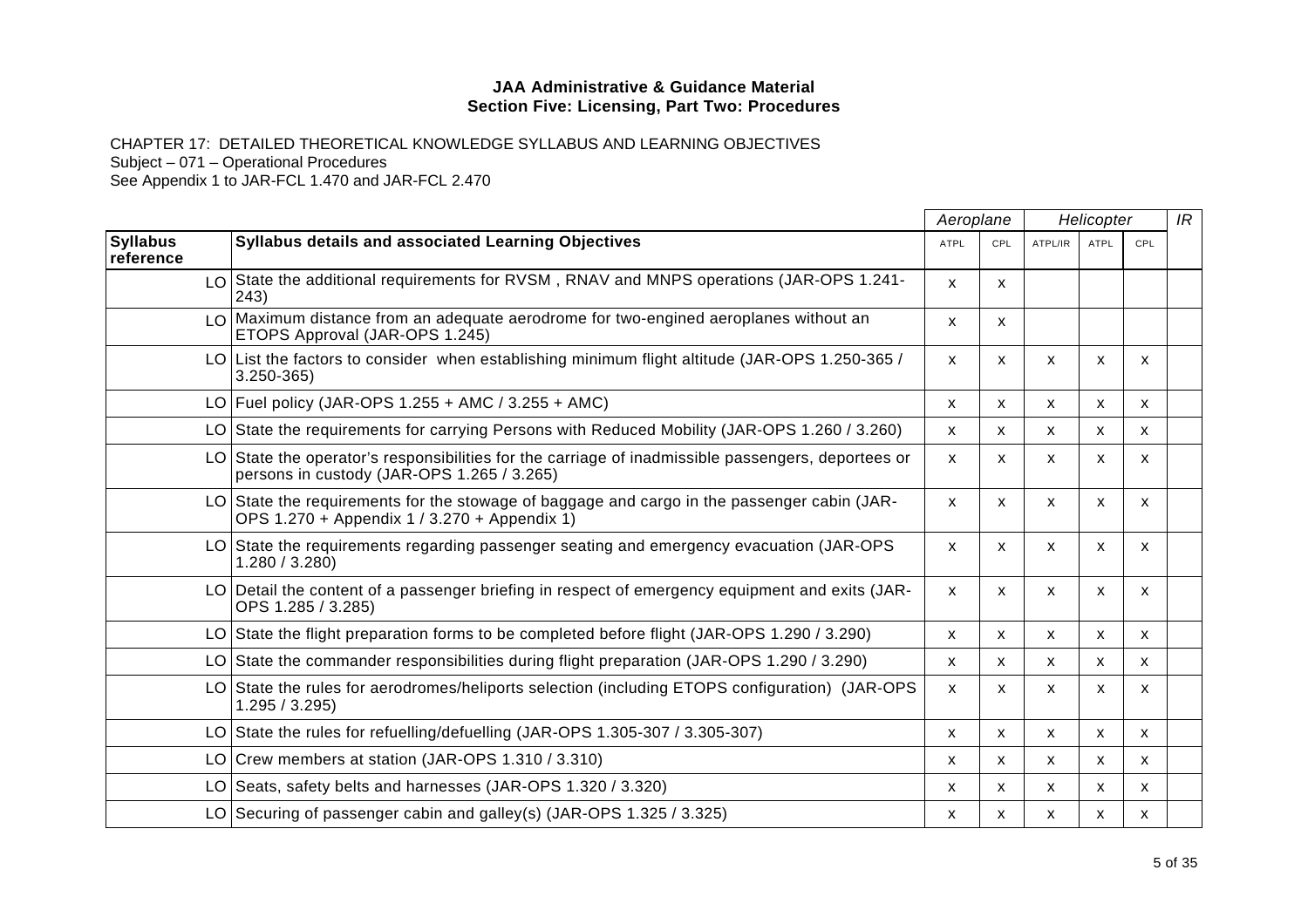CHAPTER 17: DETAILED THEORETICAL KNOWLEDGE SYLLABUS AND LEARNING OBJECTIVES Subject – 071 – Operational Procedures

|                              |                                                                                                                                                  | Aeroplane    |     | Helicopter |             |                           | IR |
|------------------------------|--------------------------------------------------------------------------------------------------------------------------------------------------|--------------|-----|------------|-------------|---------------------------|----|
| <b>Syllabus</b><br>reference | Syllabus details and associated Learning Objectives                                                                                              | <b>ATPL</b>  | CPL | ATPL/IR    | <b>ATPL</b> | CPL                       |    |
|                              | LO State the additional requirements for RVSM, RNAV and MNPS operations (JAR-OPS 1.241-<br>243)                                                  | $\mathsf{x}$ | X   |            |             |                           |    |
|                              | $\text{LO}$ Maximum distance from an adequate aerodrome for two-engined aeroplanes without an<br>ETOPS Approval (JAR-OPS 1.245)                  | X            | x   |            |             |                           |    |
|                              | LO List the factors to consider when establishing minimum flight altitude (JAR-OPS 1.250-365/<br>$3.250 - 365$                                   | X            | X   | X          | X           | X                         |    |
|                              | LO Fuel policy (JAR-OPS 1.255 + AMC / 3.255 + AMC)                                                                                               | X            | X   | x          | X.          | X                         |    |
|                              | LO State the requirements for carrying Persons with Reduced Mobility (JAR-OPS 1.260 / 3.260)                                                     | X            | X   | X          | X           | $\mathsf{x}$              |    |
|                              | LO State the operator's responsibilities for the carriage of inadmissible passengers, deportees or<br>persons in custody (JAR-OPS 1.265 / 3.265) | X            | X   | X          | X           | X                         |    |
|                              | LO State the requirements for the stowage of baggage and cargo in the passenger cabin (JAR-<br>OPS 1.270 + Appendix 1 / 3.270 + Appendix 1)      | X.           | x   | x          | X           | X                         |    |
|                              | LO State the requirements regarding passenger seating and emergency evacuation (JAR-OPS<br>1.280 / 3.280                                         | X.           | X   | X          | X           | X                         |    |
|                              | LO Detail the content of a passenger briefing in respect of emergency equipment and exits (JAR-<br>OPS 1.285 / 3.285)                            | X            | x   | X          | x           | X                         |    |
|                              | LO State the flight preparation forms to be completed before flight (JAR-OPS 1.290 / 3.290)                                                      | X            | X   | X          | X           | X                         |    |
|                              | LO State the commander responsibilities during flight preparation (JAR-OPS 1.290 / 3.290)                                                        | X            | x   | x          | x           | X                         |    |
|                              | LO State the rules for aerodromes/heliports selection (including ETOPS configuration) (JAR-OPS<br>1.295 / 3.295                                  | X            | X   | X          | X           | X                         |    |
|                              | LO State the rules for refuelling/defuelling (JAR-OPS 1.305-307 / 3.305-307)                                                                     | x            | X   | X          | x           | x                         |    |
|                              | LO Crew members at station (JAR-OPS 1.310 / 3.310)                                                                                               | X            | X   | X          | X           | $\boldsymbol{\mathsf{x}}$ |    |
|                              | LO Seats, safety belts and harnesses (JAR-OPS 1.320 / 3.320)                                                                                     | X            | X   | X          | X           | $\mathsf{x}$              |    |
|                              | LO Securing of passenger cabin and galley(s) (JAR-OPS 1.325 / 3.325)                                                                             | x            | x   | X          | X           | X                         |    |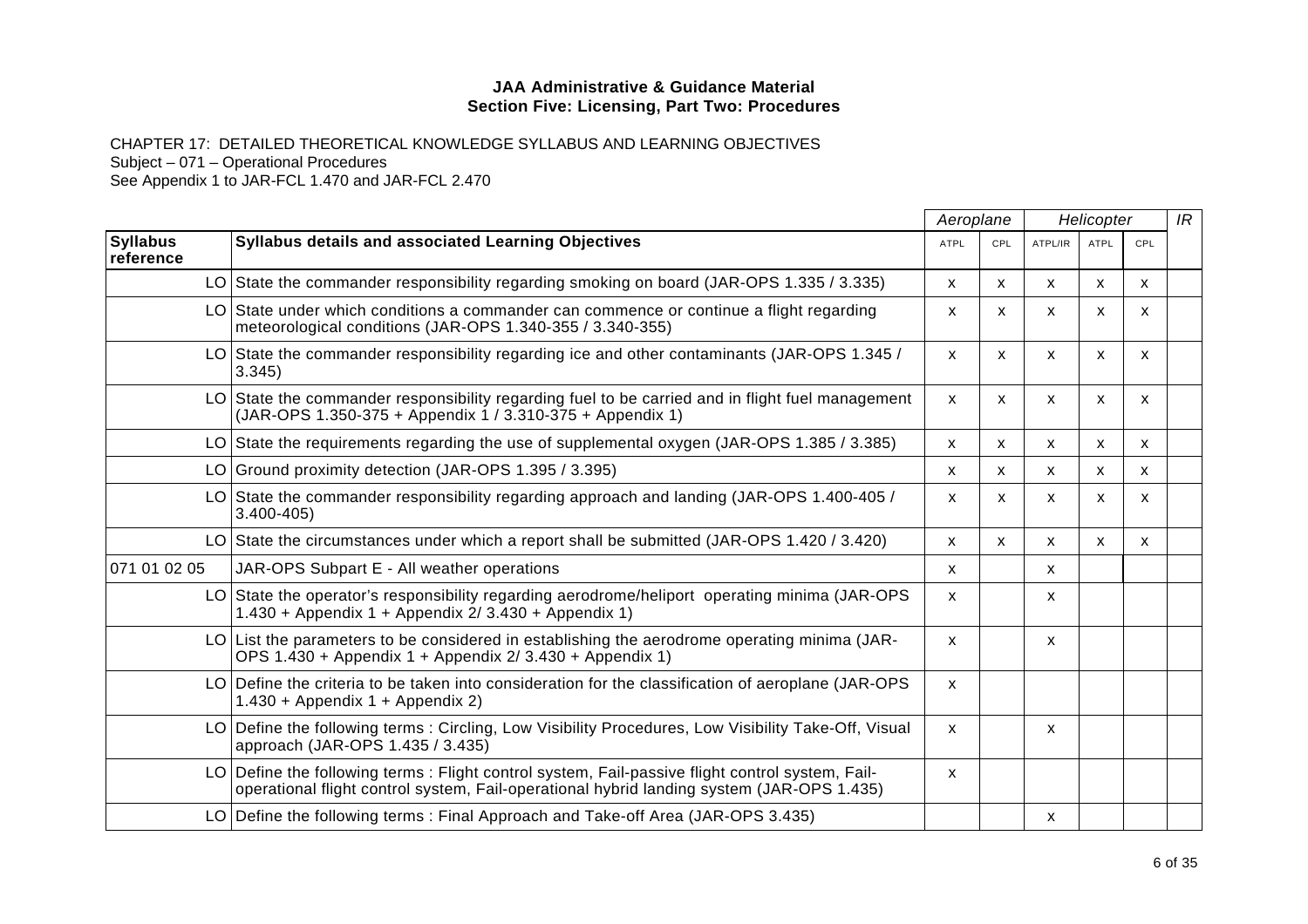CHAPTER 17: DETAILED THEORETICAL KNOWLEDGE SYLLABUS AND LEARNING OBJECTIVES Subject – 071 – Operational Procedures

|                              |                                                                                                                                                                                              | Aeroplane<br>Helicopter |              |         | IR           |            |  |
|------------------------------|----------------------------------------------------------------------------------------------------------------------------------------------------------------------------------------------|-------------------------|--------------|---------|--------------|------------|--|
| <b>Syllabus</b><br>reference | Syllabus details and associated Learning Objectives                                                                                                                                          | <b>ATPL</b>             | CPL          | ATPL/IR | <b>ATPL</b>  | <b>CPL</b> |  |
|                              | LO State the commander responsibility regarding smoking on board (JAR-OPS 1.335 / 3.335)                                                                                                     | X                       | $\mathsf{x}$ | X       | X            | X          |  |
|                              | LO State under which conditions a commander can commence or continue a flight regarding<br>meteorological conditions (JAR-OPS 1.340-355 / 3.340-355)                                         | X                       | $\mathsf{x}$ | X       | $\mathsf{x}$ | X          |  |
|                              | LO State the commander responsibility regarding ice and other contaminants (JAR-OPS 1.345 /<br>3.345                                                                                         | X                       | $\mathsf{x}$ | X       | $\mathsf{x}$ | X          |  |
|                              | LO State the commander responsibility regarding fuel to be carried and in flight fuel management<br>(JAR-OPS 1.350-375 + Appendix 1 / 3.310-375 + Appendix 1)                                | X                       | $\mathsf{x}$ | X       | X            | X          |  |
|                              | LO State the requirements regarding the use of supplemental oxygen (JAR-OPS 1.385 / 3.385)                                                                                                   | X                       | $\mathsf{x}$ | X       | X            | x          |  |
|                              | LO Ground proximity detection (JAR-OPS 1.395 / 3.395)                                                                                                                                        | X                       | X            | X       | X            | X          |  |
|                              | LO State the commander responsibility regarding approach and landing (JAR-OPS 1.400-405 /<br>$3.400 - 405$                                                                                   | X                       | $\mathsf{x}$ | X       | X            | X          |  |
|                              | LO State the circumstances under which a report shall be submitted (JAR-OPS 1.420 / 3.420)                                                                                                   | X                       | $\mathsf{x}$ | X       | $\mathsf{x}$ | X          |  |
| 071 01 02 05                 | JAR-OPS Subpart E - All weather operations                                                                                                                                                   | X                       |              | X       |              |            |  |
|                              | LO State the operator's responsibility regarding aerodrome/heliport operating minima (JAR-OPS<br>1.430 + Appendix 1 + Appendix 2/ 3.430 + Appendix 1)                                        | $\mathsf{x}$            |              | X       |              |            |  |
|                              | $LO$ List the parameters to be considered in establishing the aerodrome operating minima (JAR-<br>OPS 1.430 + Appendix 1 + Appendix 2/ 3.430 + Appendix 1)                                   | x                       |              | X       |              |            |  |
|                              | LO Define the criteria to be taken into consideration for the classification of aeroplane (JAR-OPS<br>$1.430 + Appendix 1 + Appendix 2)$                                                     | X                       |              |         |              |            |  |
|                              | LO Define the following terms: Circling, Low Visibility Procedures, Low Visibility Take-Off, Visual<br>approach (JAR-OPS 1.435 / 3.435)                                                      | $\mathsf{x}$            |              | X       |              |            |  |
|                              | LO Define the following terms: Flight control system, Fail-passive flight control system, Fail-<br>operational flight control system, Fail-operational hybrid landing system (JAR-OPS 1.435) | X                       |              |         |              |            |  |
|                              | LO Define the following terms: Final Approach and Take-off Area (JAR-OPS 3.435)                                                                                                              |                         |              | x       |              |            |  |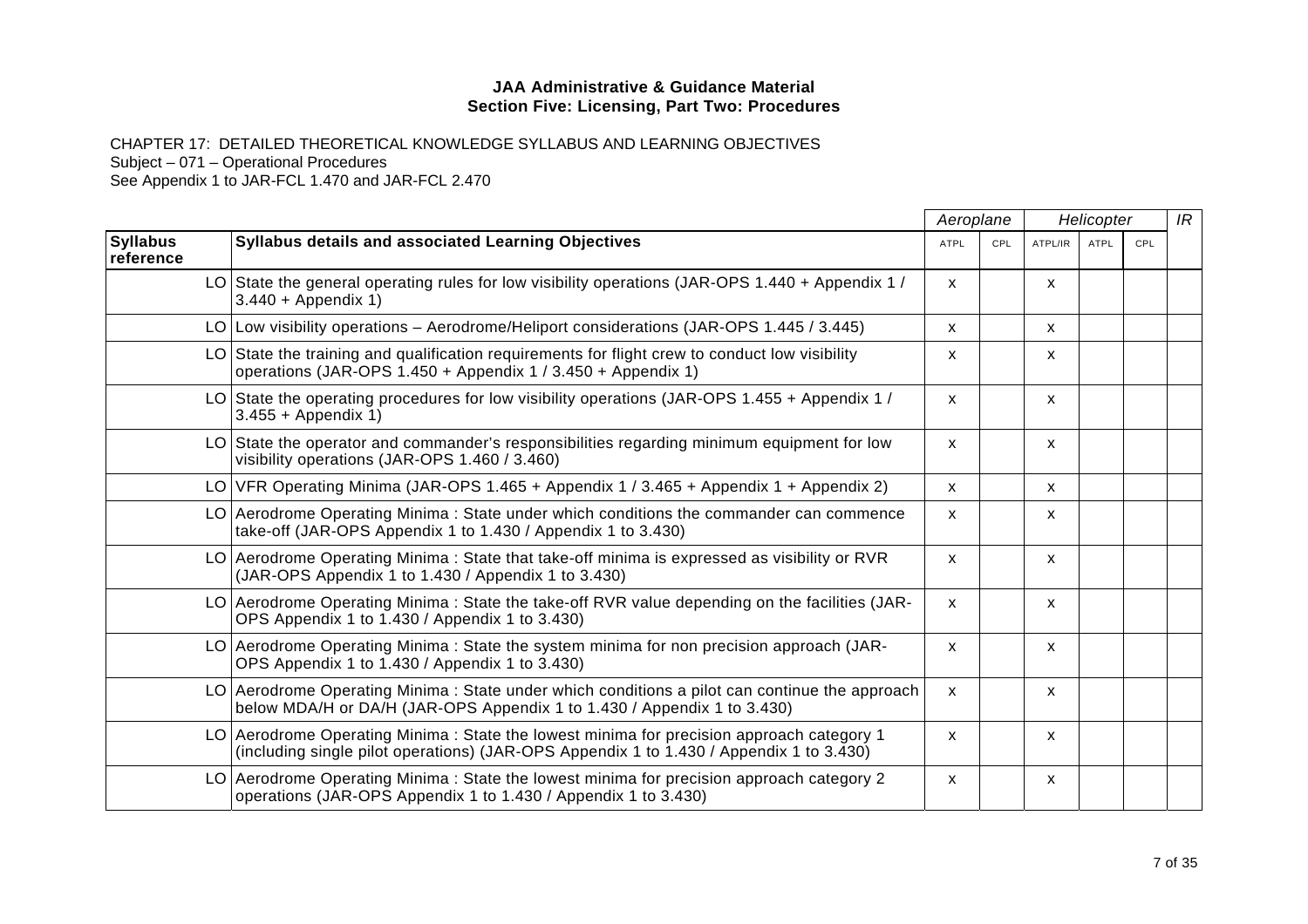CHAPTER 17: DETAILED THEORETICAL KNOWLEDGE SYLLABUS AND LEARNING OBJECTIVES Subject – 071 – Operational Procedures

|                              |                                                                                                                                                                                     | Aeroplane    |     | Helicopter   |             |     | IR |
|------------------------------|-------------------------------------------------------------------------------------------------------------------------------------------------------------------------------------|--------------|-----|--------------|-------------|-----|----|
| <b>Syllabus</b><br>reference | Syllabus details and associated Learning Objectives                                                                                                                                 | <b>ATPL</b>  | CPL | ATPL/IR      | <b>ATPL</b> | CPL |    |
|                              | LO State the general operating rules for low visibility operations (JAR-OPS 1.440 + Appendix 1/<br>$3.440 + Appendix 1)$                                                            | $\mathsf{x}$ |     | X            |             |     |    |
|                              | LO Low visibility operations – Aerodrome/Heliport considerations (JAR-OPS 1.445 / 3.445)                                                                                            | X            |     | X            |             |     |    |
|                              | $LO$ State the training and qualification requirements for flight crew to conduct low visibility<br>operations (JAR-OPS 1.450 + Appendix 1 / 3.450 + Appendix 1)                    | X            |     | X            |             |     |    |
|                              | LO State the operating procedures for low visibility operations (JAR-OPS 1.455 + Appendix 1 /<br>$3.455 + Appendix 1)$                                                              | $\mathsf{x}$ |     | x            |             |     |    |
|                              | LO State the operator and commander's responsibilities regarding minimum equipment for low<br>visibility operations (JAR-OPS 1.460 / 3.460)                                         | $\mathsf{x}$ |     | x            |             |     |    |
|                              | LO VFR Operating Minima (JAR-OPS 1.465 + Appendix 1 / 3.465 + Appendix 1 + Appendix 2)                                                                                              | $\mathsf{x}$ |     | $\mathsf{x}$ |             |     |    |
|                              | LO Aerodrome Operating Minima : State under which conditions the commander can commence<br>take-off (JAR-OPS Appendix 1 to 1.430 / Appendix 1 to 3.430)                             | $\mathsf{x}$ |     | X            |             |     |    |
|                              | LO Aerodrome Operating Minima : State that take-off minima is expressed as visibility or RVR<br>(JAR-OPS Appendix 1 to 1.430 / Appendix 1 to 3.430)                                 | $\mathsf{x}$ |     | x            |             |     |    |
|                              | LO Aerodrome Operating Minima: State the take-off RVR value depending on the facilities (JAR-<br>OPS Appendix 1 to 1.430 / Appendix 1 to 3.430)                                     | $\mathsf{x}$ |     | x            |             |     |    |
|                              | LO Aerodrome Operating Minima: State the system minima for non precision approach (JAR-<br>OPS Appendix 1 to 1.430 / Appendix 1 to 3.430)                                           | $\mathsf{x}$ |     | X            |             |     |    |
|                              | LO Aerodrome Operating Minima : State under which conditions a pilot can continue the approach<br>below MDA/H or DA/H (JAR-OPS Appendix 1 to 1.430 / Appendix 1 to 3.430)           | $\mathsf{x}$ |     | X            |             |     |    |
|                              | LO Aerodrome Operating Minima: State the lowest minima for precision approach category 1<br>(including single pilot operations) (JAR-OPS Appendix 1 to 1.430 / Appendix 1 to 3.430) | $\mathsf{x}$ |     | X            |             |     |    |
|                              | LO Aerodrome Operating Minima: State the lowest minima for precision approach category 2<br>operations (JAR-OPS Appendix 1 to 1.430 / Appendix 1 to 3.430)                          | $\mathsf{x}$ |     | Х            |             |     |    |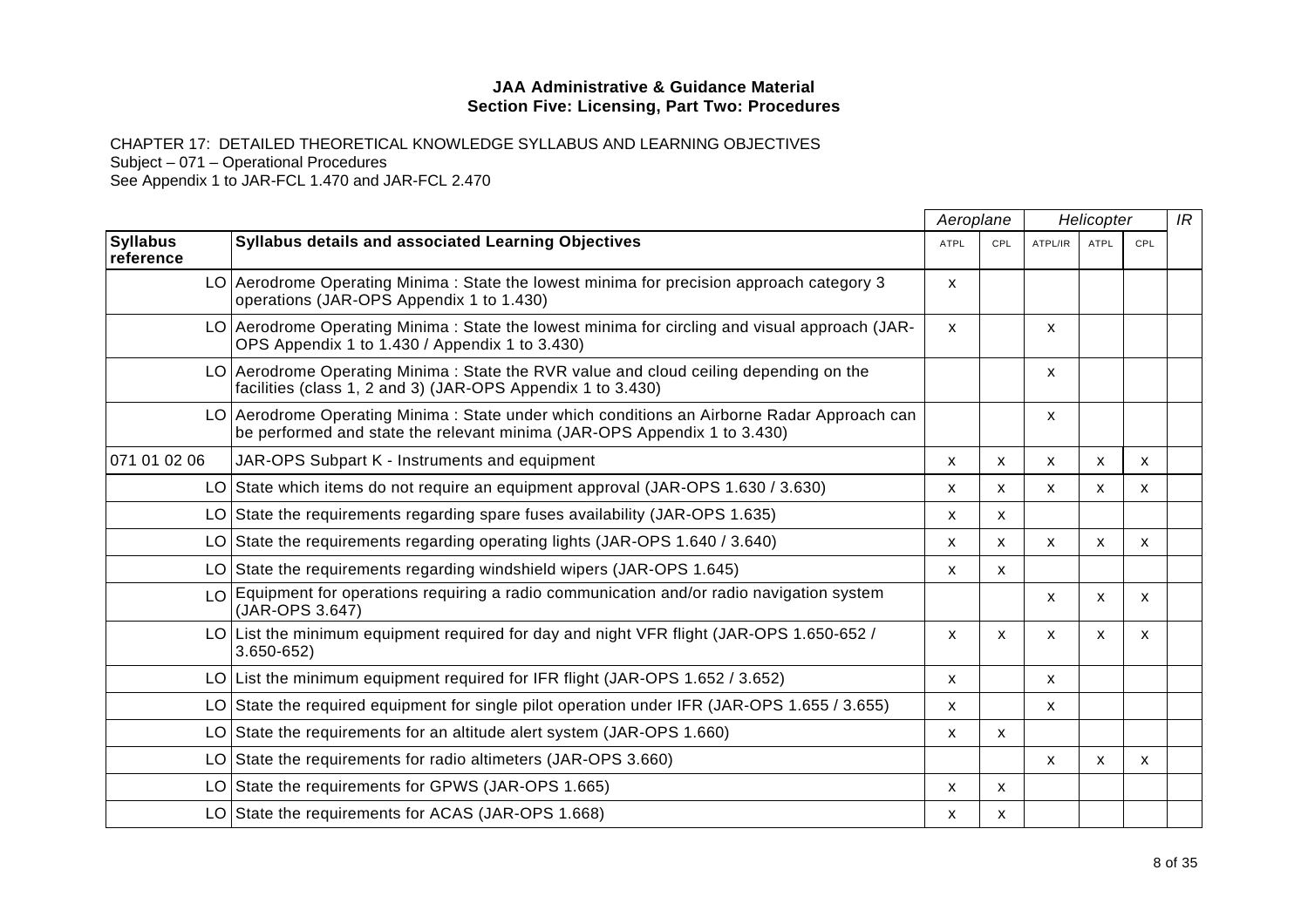CHAPTER 17: DETAILED THEORETICAL KNOWLEDGE SYLLABUS AND LEARNING OBJECTIVES

Subject – 071 – Operational Procedures

|                              |                                                                                                                                                                        | Aeroplane   |              | Helicopter |              |                           | IR |
|------------------------------|------------------------------------------------------------------------------------------------------------------------------------------------------------------------|-------------|--------------|------------|--------------|---------------------------|----|
| <b>Syllabus</b><br>reference | <b>Syllabus details and associated Learning Objectives</b>                                                                                                             | <b>ATPL</b> | CPL          | ATPL/IR    | <b>ATPL</b>  | CPL                       |    |
|                              | LO Aerodrome Operating Minima: State the lowest minima for precision approach category 3<br>operations (JAR-OPS Appendix 1 to 1.430)                                   | X           |              |            |              |                           |    |
|                              | LO Aerodrome Operating Minima: State the lowest minima for circling and visual approach (JAR-<br>OPS Appendix 1 to 1.430 / Appendix 1 to 3.430)                        | X           |              | X          |              |                           |    |
|                              | LO Aerodrome Operating Minima: State the RVR value and cloud ceiling depending on the<br>facilities (class 1, 2 and 3) (JAR-OPS Appendix 1 to 3.430)                   |             |              | X          |              |                           |    |
|                              | LO Aerodrome Operating Minima: State under which conditions an Airborne Radar Approach can<br>be performed and state the relevant minima (JAR-OPS Appendix 1 to 3.430) |             |              | X          |              |                           |    |
| 071 01 02 06                 | JAR-OPS Subpart K - Instruments and equipment                                                                                                                          | X           | X.           | X          | X            | X                         |    |
|                              | LO State which items do not require an equipment approval (JAR-OPS 1.630 / 3.630)                                                                                      | X           | $\mathsf{x}$ | X          | X            | $\mathsf{x}$              |    |
|                              | LO State the requirements regarding spare fuses availability (JAR-OPS 1.635)                                                                                           | x           | X            |            |              |                           |    |
|                              | LO State the requirements regarding operating lights (JAR-OPS 1.640 / 3.640)                                                                                           | x           | X            | X          | $\mathsf{x}$ | X                         |    |
|                              | LO State the requirements regarding windshield wipers (JAR-OPS 1.645)                                                                                                  | X           | X            |            |              |                           |    |
|                              | LO Equipment for operations requiring a radio communication and/or radio navigation system<br>(JAR-OPS 3.647)                                                          |             |              | x          | $\mathsf{x}$ | $\mathsf{x}$              |    |
|                              | LO List the minimum equipment required for day and night VFR flight (JAR-OPS 1.650-652 /<br>$3.650 - 652$                                                              | X           | X            | X          | X            | X                         |    |
|                              | LO List the minimum equipment required for IFR flight (JAR-OPS 1.652 / 3.652)                                                                                          | X           |              | X          |              |                           |    |
|                              | LO State the required equipment for single pilot operation under IFR (JAR-OPS 1.655 / 3.655)                                                                           | X           |              | X          |              |                           |    |
|                              | LO State the requirements for an altitude alert system (JAR-OPS $1.660$ )                                                                                              | х           | x            |            |              |                           |    |
|                              | LO State the requirements for radio altimeters (JAR-OPS 3.660)                                                                                                         |             |              | X          | $\mathsf{x}$ | $\boldsymbol{\mathsf{x}}$ |    |
|                              | LO State the requirements for GPWS (JAR-OPS 1.665)                                                                                                                     | X           | X            |            |              |                           |    |
|                              | LO State the requirements for ACAS (JAR-OPS 1.668)                                                                                                                     | x           | X            |            |              |                           |    |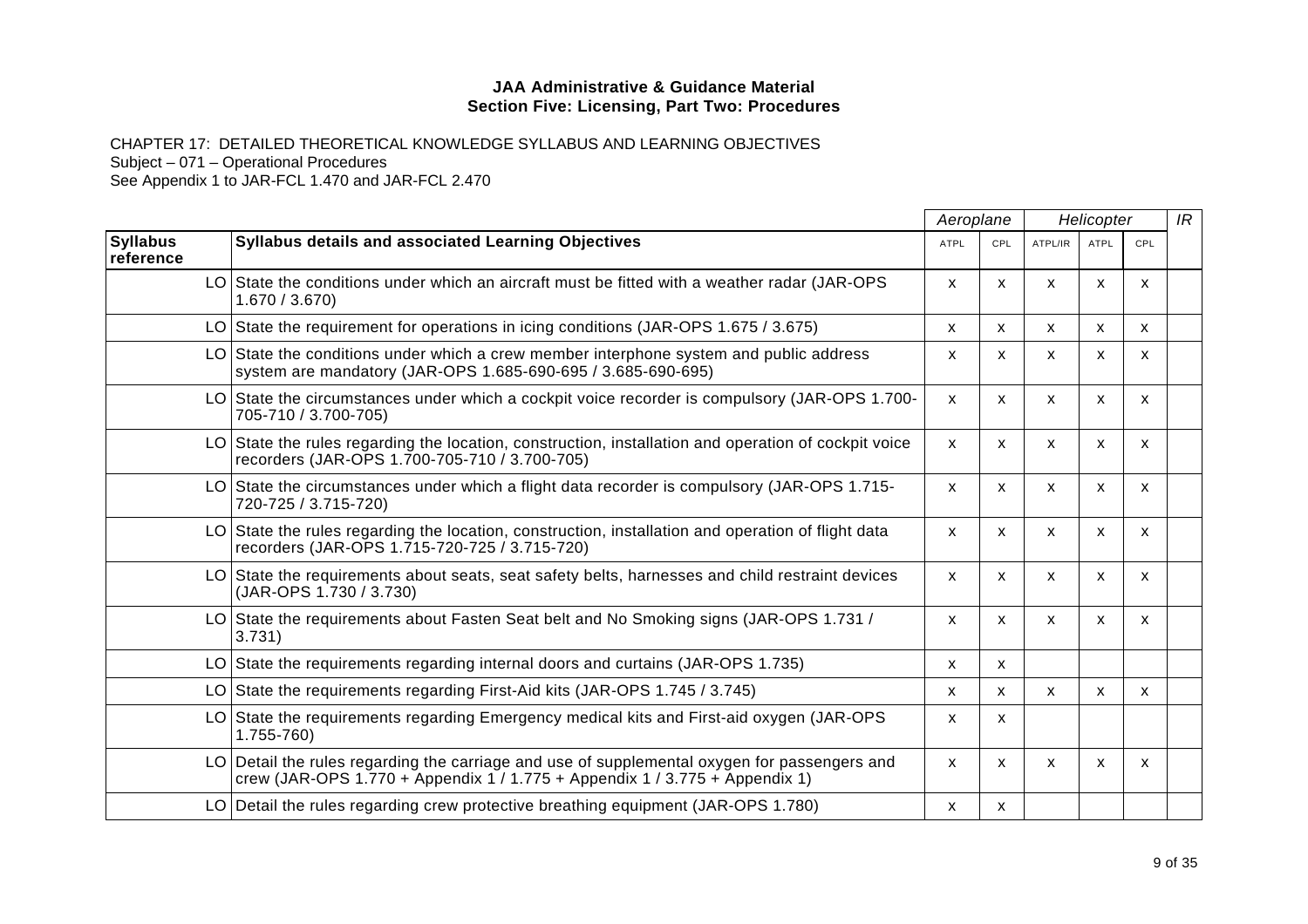CHAPTER 17: DETAILED THEORETICAL KNOWLEDGE SYLLABUS AND LEARNING OBJECTIVES Subject – 071 – Operational Procedures See Appendix 1 to JAR-FCL 1.470 and JAR-FCL 2.470

|                              |                                                                                                                                                                             |              | Aeroplane | Helicopter                |             |     | IR |
|------------------------------|-----------------------------------------------------------------------------------------------------------------------------------------------------------------------------|--------------|-----------|---------------------------|-------------|-----|----|
| <b>Syllabus</b><br>reference | <b>Syllabus details and associated Learning Objectives</b>                                                                                                                  | <b>ATPL</b>  | CPL       | ATPL/IR                   | <b>ATPL</b> | CPL |    |
|                              | LO State the conditions under which an aircraft must be fitted with a weather radar (JAR-OPS<br>1.670 / 3.670                                                               | $\mathsf{x}$ | X         | X                         | X           | X   |    |
|                              | LO State the requirement for operations in icing conditions (JAR-OPS 1.675 / 3.675)                                                                                         | X            | X         | X                         | X           | X   |    |
|                              | LO State the conditions under which a crew member interphone system and public address<br>system are mandatory (JAR-OPS 1.685-690-695 / 3.685-690-695)                      | X            | x         | $\boldsymbol{\mathsf{x}}$ | X           | X   |    |
|                              | LO State the circumstances under which a cockpit voice recorder is compulsory (JAR-OPS 1.700-<br>705-710 / 3.700-705)                                                       | $\mathsf{x}$ | X         | $\boldsymbol{\mathsf{x}}$ | X           | X   |    |
|                              | LO State the rules regarding the location, construction, installation and operation of cockpit voice<br>recorders (JAR-OPS 1.700-705-710 / 3.700-705)                       | $\mathsf{x}$ | X         | X                         | X           | X   |    |
|                              | LO State the circumstances under which a flight data recorder is compulsory (JAR-OPS 1.715-<br>720-725 / 3.715-720)                                                         | $\mathsf{x}$ | X         | X                         | X           | X   |    |
|                              | LO State the rules regarding the location, construction, installation and operation of flight data<br>recorders (JAR-OPS 1.715-720-725 / 3.715-720)                         | X            | x         | $\boldsymbol{\mathsf{x}}$ | X           | X.  |    |
|                              | LO State the requirements about seats, seat safety belts, harnesses and child restraint devices<br>(JAR-OPS 1.730 / 3.730)                                                  | $\mathsf{x}$ | X         | $\boldsymbol{\mathsf{x}}$ | X           | X   |    |
|                              | LO State the requirements about Fasten Seat belt and No Smoking signs (JAR-OPS 1.731 /<br>3.731)                                                                            | $\mathsf{x}$ | X         | $\boldsymbol{\mathsf{x}}$ | X           | X   |    |
|                              | LO State the requirements regarding internal doors and curtains (JAR-OPS 1.735)                                                                                             | X            | X         |                           |             |     |    |
|                              | LO State the requirements regarding First-Aid kits (JAR-OPS 1.745 / 3.745)                                                                                                  | X            | X         | $\mathsf{x}$              | X           | X   |    |
|                              | LO State the requirements regarding Emergency medical kits and First-aid oxygen (JAR-OPS<br>$1.755 - 760$                                                                   | X            | X         |                           |             |     |    |
|                              | LO Detail the rules regarding the carriage and use of supplemental oxygen for passengers and<br>crew (JAR-OPS 1.770 + Appendix $1/1.775$ + Appendix $1/3.775$ + Appendix 1) | $\mathsf{x}$ | X         | X                         | X           | X   |    |
|                              | LO Detail the rules regarding crew protective breathing equipment (JAR-OPS 1.780)                                                                                           | X            | x         |                           |             |     |    |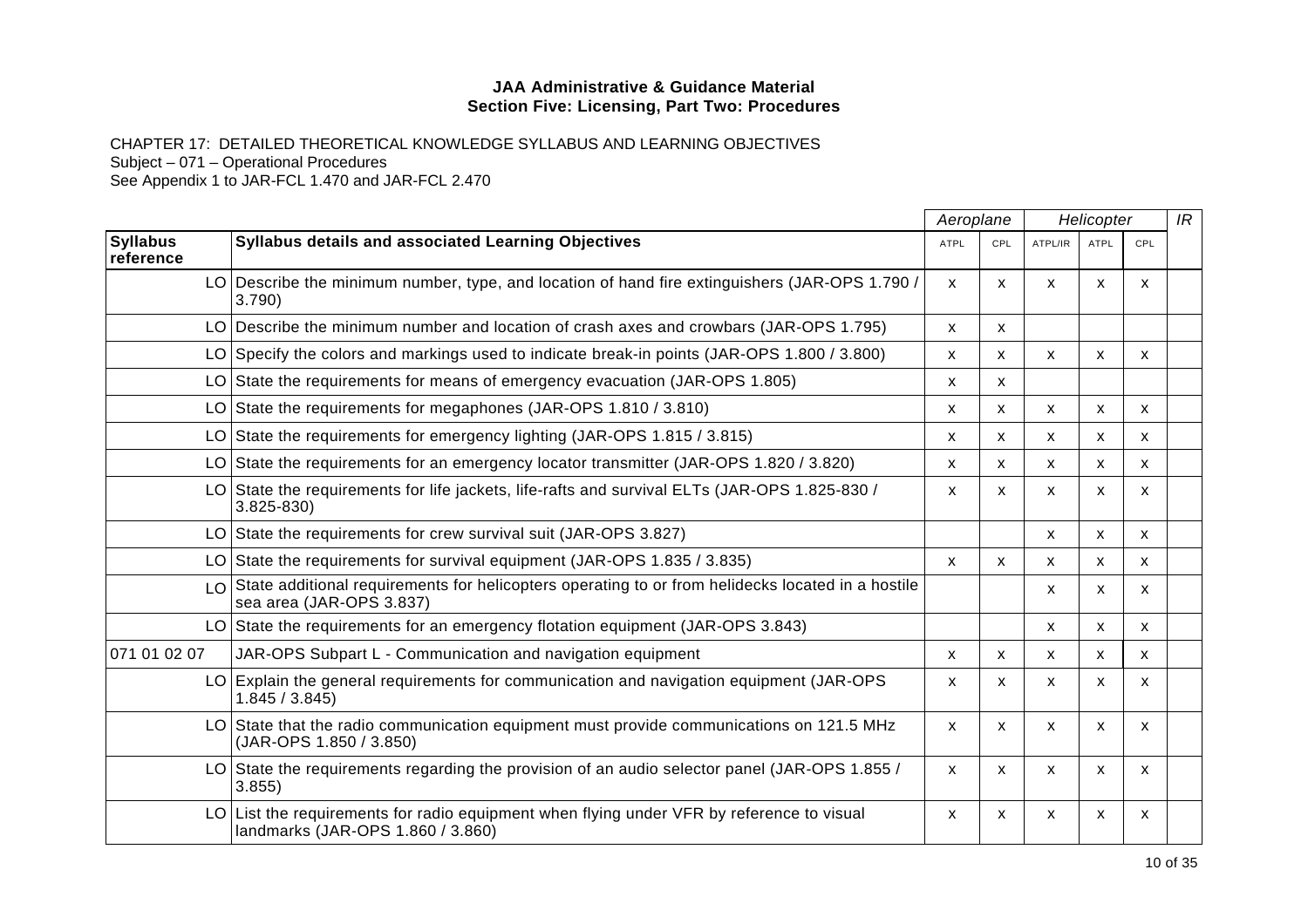CHAPTER 17: DETAILED THEORETICAL KNOWLEDGE SYLLABUS AND LEARNING OBJECTIVES Subject – 071 – Operational Procedures See Appendix 1 to JAR-FCL 1.470 and JAR-FCL 2.470

|                              |                                                                                                                               | Aeroplane    |            | Helicopter   |                           |                           |  |
|------------------------------|-------------------------------------------------------------------------------------------------------------------------------|--------------|------------|--------------|---------------------------|---------------------------|--|
| <b>Syllabus</b><br>reference | Syllabus details and associated Learning Objectives                                                                           | <b>ATPL</b>  | <b>CPL</b> | ATPL/IR      | <b>ATPL</b>               | CPL                       |  |
|                              | LO Describe the minimum number, type, and location of hand fire extinguishers (JAR-OPS 1.790)<br>3.790)                       | $\mathsf{x}$ | X          | $\mathsf{x}$ | $\boldsymbol{\mathsf{x}}$ | $\mathsf{x}$              |  |
|                              | LO Describe the minimum number and location of crash axes and crowbars (JAR-OPS 1.795)                                        | X            | X          |              |                           |                           |  |
|                              | LO Specify the colors and markings used to indicate break-in points (JAR-OPS 1.800 / 3.800)                                   | X            | X          | X            | X                         | X                         |  |
| LO                           | State the requirements for means of emergency evacuation (JAR-OPS 1.805)                                                      | X            | X          |              |                           |                           |  |
|                              | LO State the requirements for megaphones (JAR-OPS 1.810 / 3.810)                                                              | X            | X          | X            | X                         | X                         |  |
| LO                           | State the requirements for emergency lighting (JAR-OPS 1.815 / 3.815)                                                         | x            | X          | $\mathsf{x}$ | $\boldsymbol{\mathsf{x}}$ | $\mathsf{x}$              |  |
| LO                           | State the requirements for an emergency locator transmitter (JAR-OPS 1.820 / 3.820)                                           | X            | X          | $\mathsf{x}$ | $\boldsymbol{\mathsf{x}}$ | X                         |  |
|                              | LO State the requirements for life jackets, life-rafts and survival ELTs (JAR-OPS 1.825-830 /<br>$3.825 - 830$                | x            | x          | X            | X                         | X                         |  |
|                              | LO State the requirements for crew survival suit (JAR-OPS 3.827)                                                              |              |            | x            | X                         | X                         |  |
|                              | LO State the requirements for survival equipment (JAR-OPS 1.835 / 3.835)                                                      | X            | X          | X            | х                         | X                         |  |
| LO                           | State additional requirements for helicopters operating to or from helidecks located in a hostile<br>sea area (JAR-OPS 3.837) |              |            | X            | $\boldsymbol{\mathsf{x}}$ | $\boldsymbol{\mathsf{x}}$ |  |
|                              | LO State the requirements for an emergency flotation equipment (JAR-OPS 3.843)                                                |              |            | X            | $\mathsf{x}$              | $\boldsymbol{\mathsf{x}}$ |  |
| 071 01 02 07                 | JAR-OPS Subpart L - Communication and navigation equipment                                                                    | x            | X          | X            | X                         | X                         |  |
|                              | LO Explain the general requirements for communication and navigation equipment (JAR-OPS<br>1.845 / 3.845                      | x            | х          | x            | X                         | X                         |  |
|                              | LO State that the radio communication equipment must provide communications on 121.5 MHz<br>(JAR-OPS 1.850 / 3.850)           | X            | X          | $\mathsf{x}$ | X                         | X                         |  |
|                              | LO State the requirements regarding the provision of an audio selector panel (JAR-OPS 1.855/<br>3.855                         | X            | X          | X            | $\boldsymbol{\mathsf{x}}$ | $\mathsf{x}$              |  |
| LOI                          | List the requirements for radio equipment when flying under VFR by reference to visual<br>landmarks (JAR-OPS 1.860 / 3.860)   | X            | x          | X            | $\boldsymbol{\mathsf{x}}$ | X                         |  |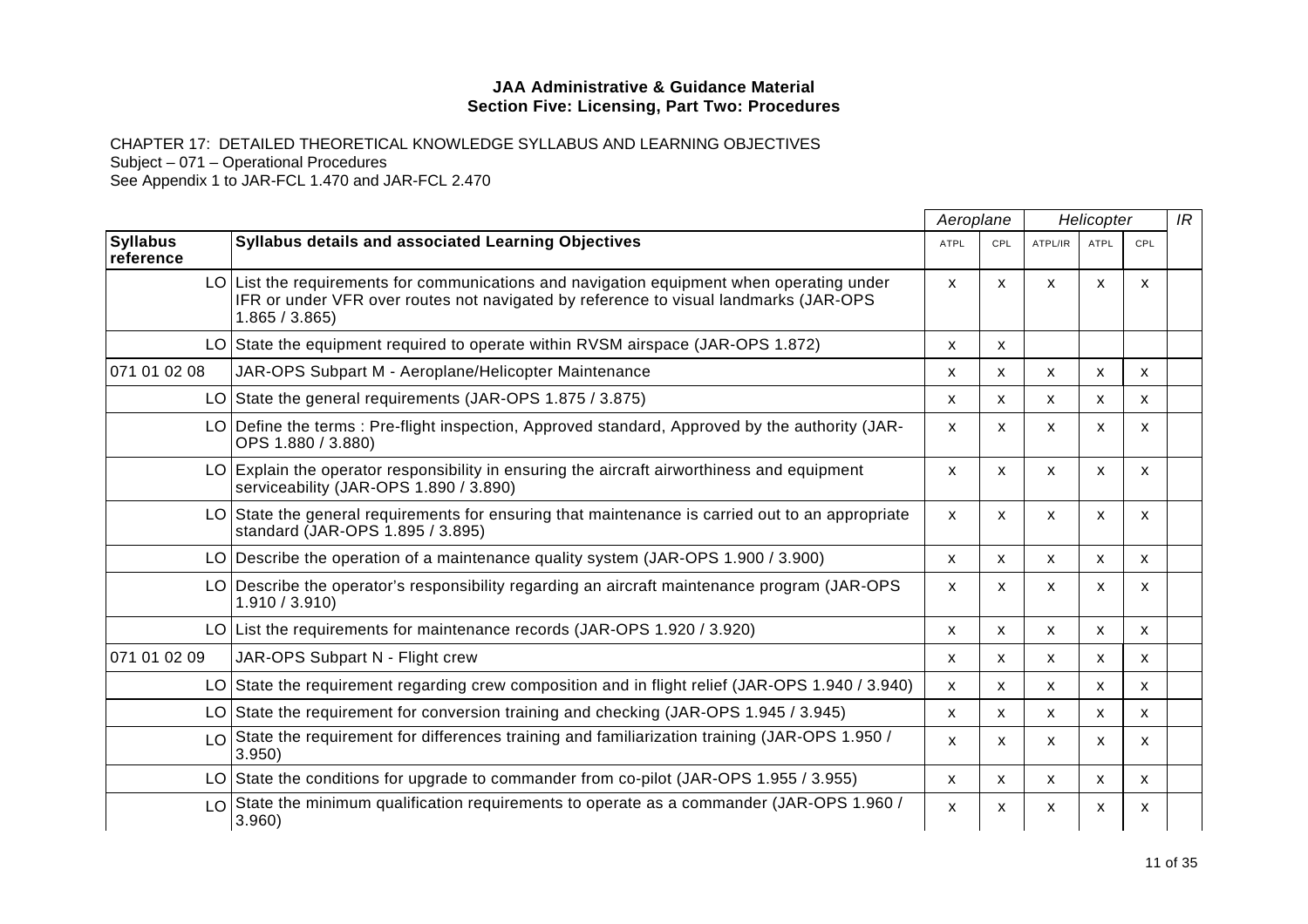CHAPTER 17: DETAILED THEORETICAL KNOWLEDGE SYLLABUS AND LEARNING OBJECTIVES

Subject – 071 – Operational Procedures

|                              |                                                                                                                                                                                                    | Aeroplane                 |     | Helicopter |              |              | IR |
|------------------------------|----------------------------------------------------------------------------------------------------------------------------------------------------------------------------------------------------|---------------------------|-----|------------|--------------|--------------|----|
| <b>Syllabus</b><br>reference | <b>Syllabus details and associated Learning Objectives</b>                                                                                                                                         | <b>ATPL</b>               | CPL | ATPL/IR    | <b>ATPL</b>  | CPL          |    |
|                              | LO List the requirements for communications and navigation equipment when operating under<br>IFR or under VFR over routes not navigated by reference to visual landmarks (JAR-OPS<br>1.865 / 3.865 | X                         | X   | X          | X            | $\mathsf{x}$ |    |
|                              | LO State the equipment required to operate within RVSM airspace (JAR-OPS 1.872)                                                                                                                    | $\mathsf{x}$              | X   |            |              |              |    |
| 071 01 02 08                 | JAR-OPS Subpart M - Aeroplane/Helicopter Maintenance                                                                                                                                               | X                         | X   | X          | $\mathsf{x}$ | X            |    |
|                              | LO State the general requirements (JAR-OPS 1.875 / 3.875)                                                                                                                                          | X                         | X   | X          | X            | X            |    |
|                              | LO Define the terms: Pre-flight inspection, Approved standard, Approved by the authority (JAR-<br>OPS 1.880 / 3.880)                                                                               | X                         | X   | X          | X            | $\mathsf{x}$ |    |
|                              | LO Explain the operator responsibility in ensuring the aircraft airworthiness and equipment<br>serviceability (JAR-OPS 1.890 / 3.890)                                                              | X                         | X.  | X          | X            | X            |    |
|                              | LO State the general requirements for ensuring that maintenance is carried out to an appropriate<br>standard (JAR-OPS 1.895 / 3.895)                                                               | X                         | X   | X          | X            | $\mathsf{x}$ |    |
|                              | LO Describe the operation of a maintenance quality system (JAR-OPS 1.900 / 3.900)                                                                                                                  | X                         | X   | X          | X            | X            |    |
|                              | LO Describe the operator's responsibility regarding an aircraft maintenance program (JAR-OPS<br>1.910 / 3.910                                                                                      | $\mathsf{x}$              | X.  | X          | X            | X            |    |
|                              | LO List the requirements for maintenance records (JAR-OPS 1.920 / 3.920)                                                                                                                           | X                         | X   | X          | X            | $\mathsf{x}$ |    |
| 071 01 02 09                 | JAR-OPS Subpart N - Flight crew                                                                                                                                                                    | X                         | X   | X          | X.           | X            |    |
|                              | LO State the requirement regarding crew composition and in flight relief (JAR-OPS 1.940 / 3.940)                                                                                                   | X.                        | X.  | х          | х            | X            |    |
|                              | LO State the requirement for conversion training and checking (JAR-OPS 1.945 / 3.945)                                                                                                              | X                         | X   | X          | X            | X            |    |
|                              | LO State the requirement for differences training and familiarization training (JAR-OPS 1.950 /<br>3.950)                                                                                          | X                         | x   | X          | x            | х            |    |
|                              | LO State the conditions for upgrade to commander from co-pilot (JAR-OPS 1.955 / 3.955)                                                                                                             | $\mathsf{x}$              | X   | X          | $\mathsf{x}$ | $\mathsf{x}$ |    |
|                              | $\lfloor 0 \rfloor$ State the minimum qualification requirements to operate as a commander (JAR-OPS 1.960 /<br>3.960)                                                                              | $\boldsymbol{\mathsf{x}}$ | X   | X          | X            | X            |    |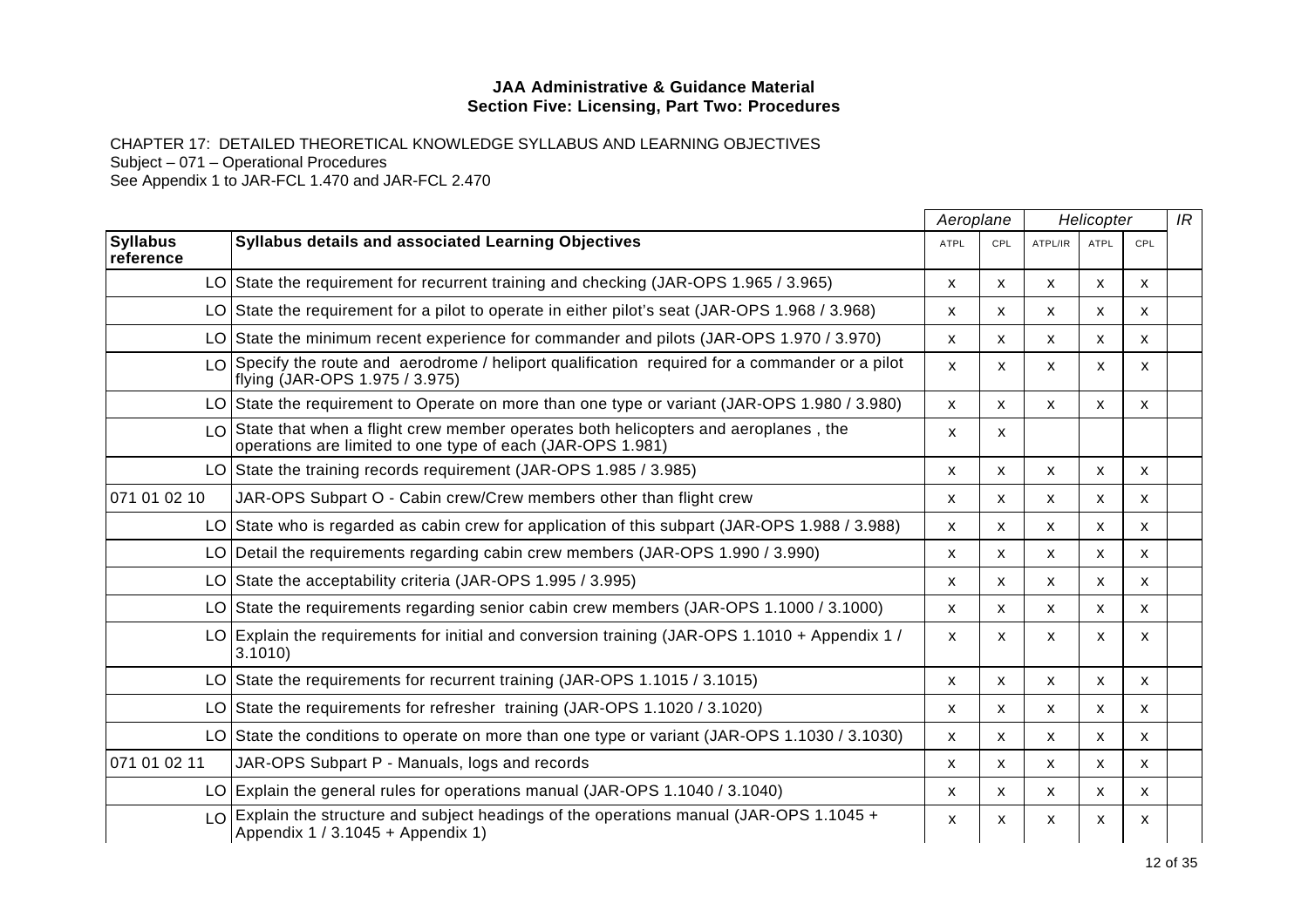CHAPTER 17: DETAILED THEORETICAL KNOWLEDGE SYLLABUS AND LEARNING OBJECTIVES Subject – 071 – Operational Procedures See Appendix 1 to JAR-FCL 1.470 and JAR-FCL 2.470

|                              |                                                                                                                                                       |             | Aeroplane<br>Helicopter |         | IR                        |              |  |
|------------------------------|-------------------------------------------------------------------------------------------------------------------------------------------------------|-------------|-------------------------|---------|---------------------------|--------------|--|
| <b>Syllabus</b><br>reference | Syllabus details and associated Learning Objectives                                                                                                   | <b>ATPL</b> | <b>CPL</b>              | ATPL/IR | <b>ATPL</b>               | CPL          |  |
|                              | LO State the requirement for recurrent training and checking (JAR-OPS 1.965 / 3.965)                                                                  | X           | X                       | X       | х                         | x            |  |
|                              | LO State the requirement for a pilot to operate in either pilot's seat (JAR-OPS 1.968 / 3.968)                                                        | x           | X                       | X       | X                         | X            |  |
|                              | LO State the minimum recent experience for commander and pilots (JAR-OPS 1.970 / 3.970)                                                               | X           | X                       | X       | х                         | x            |  |
|                              | $\lfloor 0 \rfloor$ Specify the route and aerodrome / heliport qualification required for a commander or a pilot<br>flying (JAR-OPS 1.975 / 3.975)    | X           | X                       | X       | X                         | X            |  |
|                              | LO State the requirement to Operate on more than one type or variant (JAR-OPS 1.980 / 3.980)                                                          | x           | X                       | X       | x                         | x            |  |
|                              | $LO$ State that when a flight crew member operates both helicopters and aeroplanes, the<br>operations are limited to one type of each (JAR-OPS 1.981) | x           | X.                      |         |                           |              |  |
|                              | LO State the training records requirement (JAR-OPS 1.985 / 3.985)                                                                                     | X           | X                       | X       | X                         | X            |  |
| 071 01 02 10                 | JAR-OPS Subpart O - Cabin crew/Crew members other than flight crew                                                                                    | x           | X                       | X       | х                         | x            |  |
|                              | LO State who is regarded as cabin crew for application of this subpart (JAR-OPS 1.988 / 3.988)                                                        | X           | X                       | X       | X                         | X            |  |
|                              | LO Detail the requirements regarding cabin crew members (JAR-OPS 1.990 / 3.990)                                                                       | X           | X                       | X       | X                         | X            |  |
|                              | LO State the acceptability criteria (JAR-OPS 1.995 / 3.995)                                                                                           | X           | X                       | X       | $\boldsymbol{\mathsf{x}}$ | X            |  |
|                              | LO State the requirements regarding senior cabin crew members (JAR-OPS 1.1000 / 3.1000)                                                               | X           | X                       | X       | x                         | X            |  |
|                              | LO Explain the requirements for initial and conversion training (JAR-OPS 1.1010 + Appendix 1 /<br>3.1010                                              | x           | X                       | X       | x                         | X            |  |
|                              | LO State the requirements for recurrent training (JAR-OPS 1.1015 / 3.1015)                                                                            | X           | $\mathsf{x}$            | X       | $\mathsf{x}$              | X            |  |
|                              | LO State the requirements for refresher training (JAR-OPS 1.1020 / 3.1020)                                                                            | x           | X                       | X       | х                         | X            |  |
|                              | LO State the conditions to operate on more than one type or variant (JAR-OPS 1.1030 / 3.1030)                                                         | X           | X                       | X       | $\mathsf{x}$              | X            |  |
| 071 01 02 11                 | JAR-OPS Subpart P - Manuals, logs and records                                                                                                         | x           | x                       | X       | х                         | x            |  |
|                              | LO Explain the general rules for operations manual (JAR-OPS 1.1040 / 3.1040)                                                                          | x           | X                       | х       | x                         | x            |  |
| $\overline{O}$               | Explain the structure and subject headings of the operations manual (JAR-OPS 1.1045 +<br>Appendix 1 / 3.1045 + Appendix 1)                            | X           | $\mathsf{x}$            | X       | $\boldsymbol{\mathsf{x}}$ | $\mathsf{x}$ |  |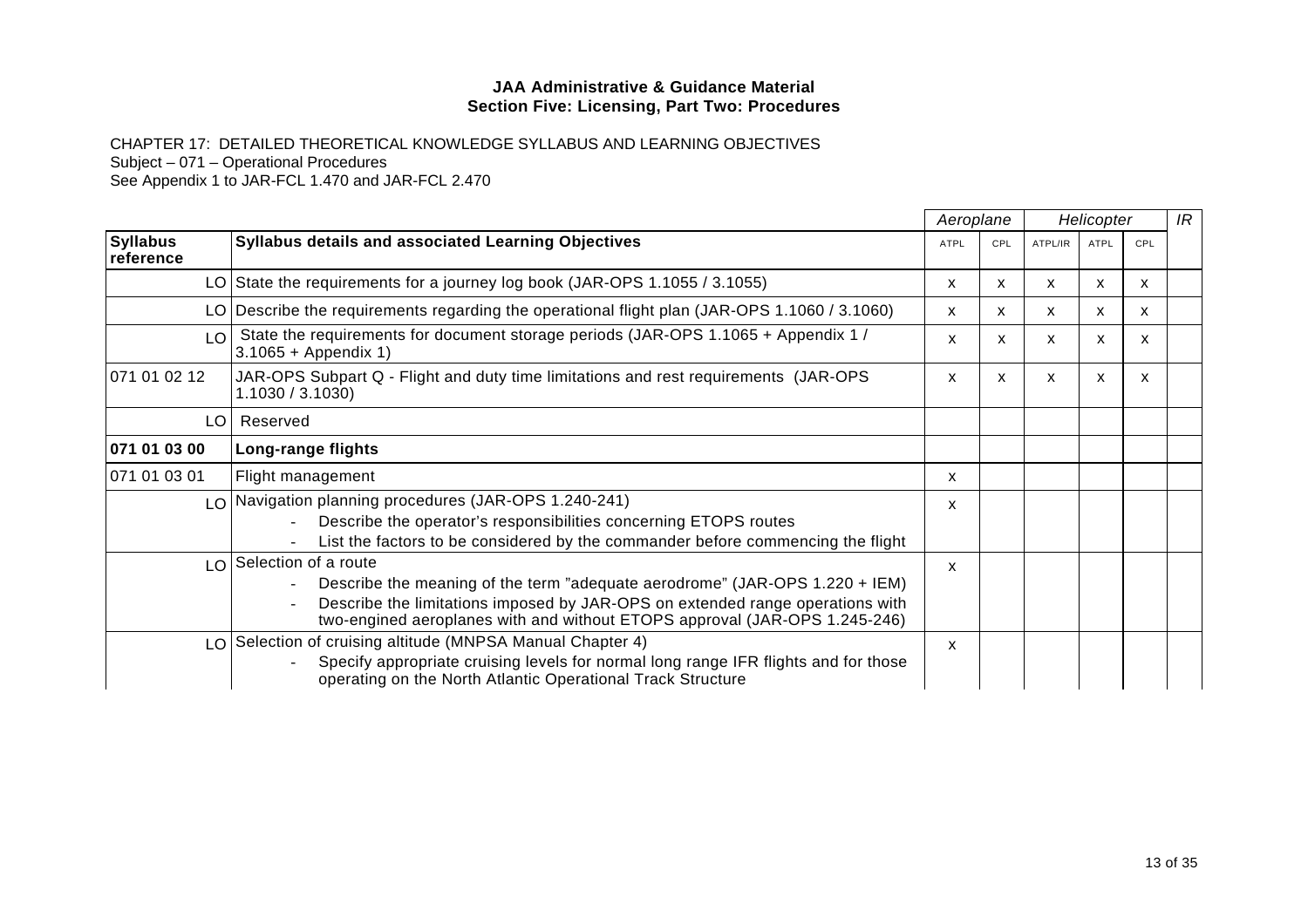CHAPTER 17: DETAILED THEORETICAL KNOWLEDGE SYLLABUS AND LEARNING OBJECTIVES Subject – 071 – Operational Procedures

|                                              |                                                                                                                                                                                                                                                                       | Aeroplane    |     | Helicopter |             | IR  |  |
|----------------------------------------------|-----------------------------------------------------------------------------------------------------------------------------------------------------------------------------------------------------------------------------------------------------------------------|--------------|-----|------------|-------------|-----|--|
| <b>Syllabus</b><br>reference                 | <b>Syllabus details and associated Learning Objectives</b>                                                                                                                                                                                                            | <b>ATPL</b>  | CPL | ATPL/IR    | <b>ATPL</b> | CPL |  |
|                                              | LO State the requirements for a journey log book (JAR-OPS 1.1055 / 3.1055)                                                                                                                                                                                            | X            | X   | x          | x           | x   |  |
|                                              | LO Describe the requirements regarding the operational flight plan (JAR-OPS 1.1060 / 3.1060)                                                                                                                                                                          | X            | X   | X.         | x           | X   |  |
| $\overline{1}$ $\overline{0}$ $\overline{1}$ | State the requirements for document storage periods (JAR-OPS 1.1065 + Appendix 1 /<br>$3.1065 + Appendix 1)$                                                                                                                                                          | X            | X   | X          | X           | X   |  |
| 071 01 02 12                                 | JAR-OPS Subpart Q - Flight and duty time limitations and rest requirements (JAR-OPS<br>1.1030 / 3.1030                                                                                                                                                                | X            | X   | X          | X           | X   |  |
| LO I                                         | Reserved                                                                                                                                                                                                                                                              |              |     |            |             |     |  |
| 071 01 03 00                                 | Long-range flights                                                                                                                                                                                                                                                    |              |     |            |             |     |  |
| 071 01 03 01                                 | Flight management                                                                                                                                                                                                                                                     | X            |     |            |             |     |  |
|                                              | LO Navigation planning procedures (JAR-OPS 1.240-241)<br>Describe the operator's responsibilities concerning ETOPS routes<br>List the factors to be considered by the commander before commencing the flight                                                          | X            |     |            |             |     |  |
|                                              | LO Selection of a route<br>Describe the meaning of the term "adequate aerodrome" (JAR-OPS 1.220 + IEM)<br>Describe the limitations imposed by JAR-OPS on extended range operations with<br>two-engined aeroplanes with and without ETOPS approval (JAR-OPS 1.245-246) | $\mathsf{x}$ |     |            |             |     |  |
|                                              | LO Selection of cruising altitude (MNPSA Manual Chapter 4)<br>Specify appropriate cruising levels for normal long range IFR flights and for those<br>operating on the North Atlantic Operational Track Structure                                                      | X            |     |            |             |     |  |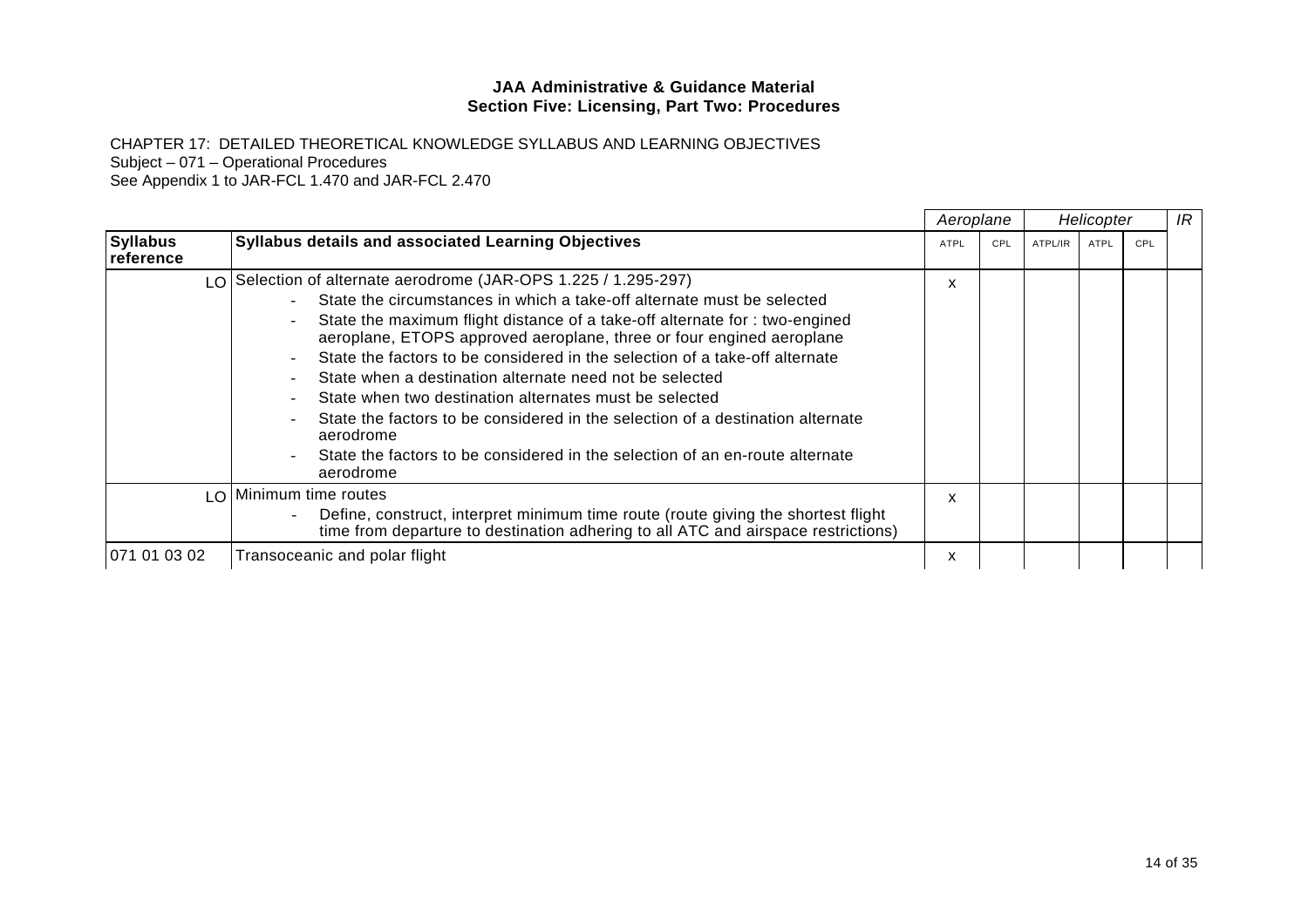CHAPTER 17: DETAILED THEORETICAL KNOWLEDGE SYLLABUS AND LEARNING OBJECTIVES Subject – 071 – Operational Procedures

|                              |                                                                                                                                                                                                                                                                                                                                                                                                                                                                                                                                                                                                                                                                                                  | Aeroplane |     | Helicopter |      |     | IR |
|------------------------------|--------------------------------------------------------------------------------------------------------------------------------------------------------------------------------------------------------------------------------------------------------------------------------------------------------------------------------------------------------------------------------------------------------------------------------------------------------------------------------------------------------------------------------------------------------------------------------------------------------------------------------------------------------------------------------------------------|-----------|-----|------------|------|-----|----|
| <b>Syllabus</b><br>reference | <b>Syllabus details and associated Learning Objectives</b>                                                                                                                                                                                                                                                                                                                                                                                                                                                                                                                                                                                                                                       | ATPL      | CPL | ATPL/IR    | ATPL | CPL |    |
|                              | LO Selection of alternate aerodrome (JAR-OPS 1.225 / 1.295-297)<br>State the circumstances in which a take-off alternate must be selected<br>State the maximum flight distance of a take-off alternate for : two-engined<br>aeroplane, ETOPS approved aeroplane, three or four engined aeroplane<br>State the factors to be considered in the selection of a take-off alternate<br>State when a destination alternate need not be selected<br>State when two destination alternates must be selected<br>State the factors to be considered in the selection of a destination alternate<br>aerodrome<br>State the factors to be considered in the selection of an en-route alternate<br>aerodrome | X         |     |            |      |     |    |
|                              | LO Minimum time routes<br>Define, construct, interpret minimum time route (route giving the shortest flight<br>time from departure to destination adhering to all ATC and airspace restrictions)                                                                                                                                                                                                                                                                                                                                                                                                                                                                                                 | x         |     |            |      |     |    |
| 071 01 03 02                 | Transoceanic and polar flight                                                                                                                                                                                                                                                                                                                                                                                                                                                                                                                                                                                                                                                                    | x         |     |            |      |     |    |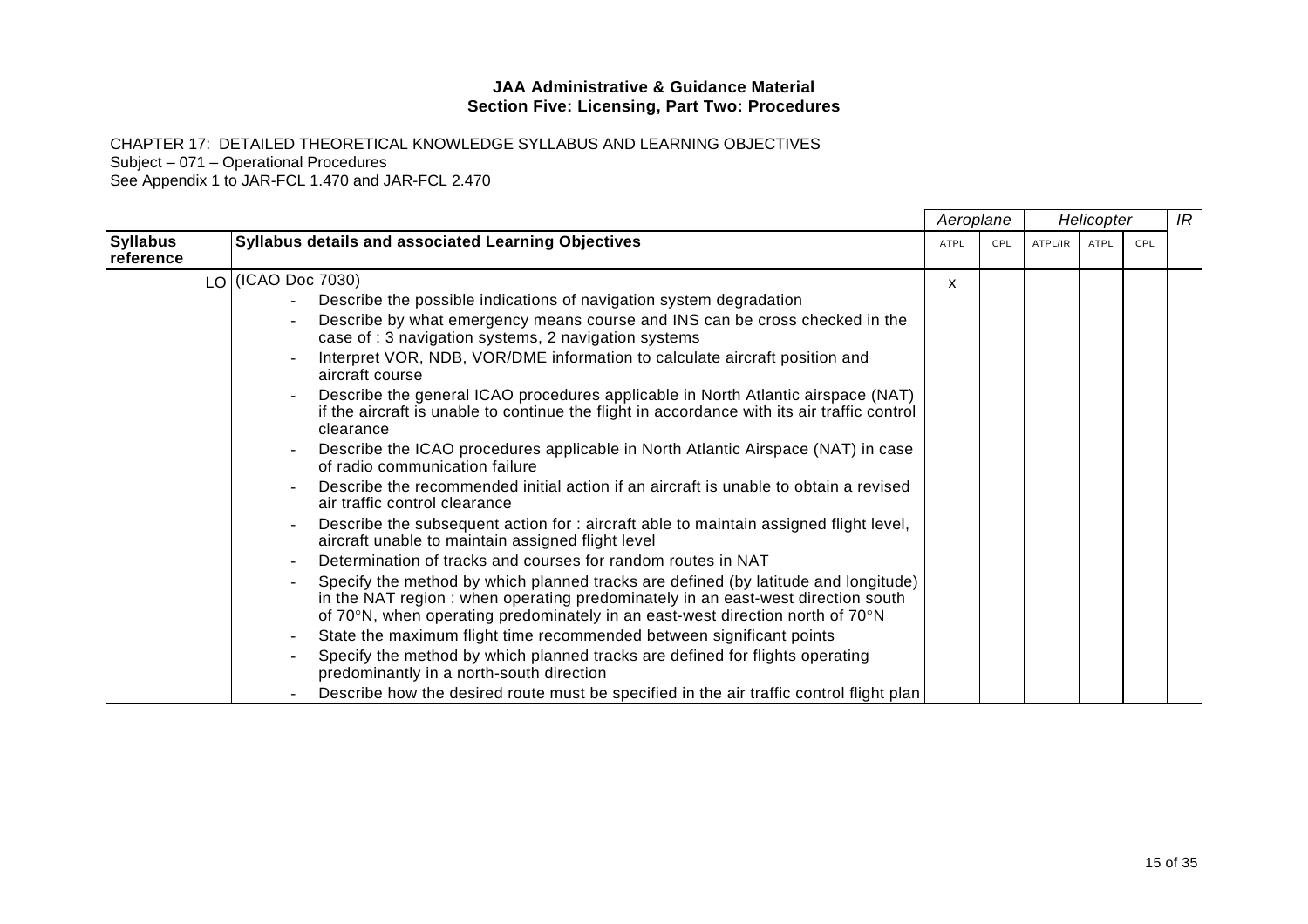CHAPTER 17: DETAILED THEORETICAL KNOWLEDGE SYLLABUS AND LEARNING OBJECTIVES Subject – 071 – Operational Procedures

|                              |                                                                                                                                                                                                                                                        | Aeroplane   |     |         | Helicopter  |     | IR |
|------------------------------|--------------------------------------------------------------------------------------------------------------------------------------------------------------------------------------------------------------------------------------------------------|-------------|-----|---------|-------------|-----|----|
| <b>Syllabus</b><br>reference | <b>Syllabus details and associated Learning Objectives</b>                                                                                                                                                                                             | <b>ATPL</b> | CPL | ATPL/IR | <b>ATPL</b> | CPL |    |
|                              | LO (ICAO Doc 7030)                                                                                                                                                                                                                                     | X           |     |         |             |     |    |
|                              | Describe the possible indications of navigation system degradation                                                                                                                                                                                     |             |     |         |             |     |    |
|                              | Describe by what emergency means course and INS can be cross checked in the<br>case of : 3 navigation systems, 2 navigation systems                                                                                                                    |             |     |         |             |     |    |
|                              | Interpret VOR, NDB, VOR/DME information to calculate aircraft position and<br>aircraft course                                                                                                                                                          |             |     |         |             |     |    |
|                              | Describe the general ICAO procedures applicable in North Atlantic airspace (NAT)<br>if the aircraft is unable to continue the flight in accordance with its air traffic control<br>clearance                                                           |             |     |         |             |     |    |
|                              | Describe the ICAO procedures applicable in North Atlantic Airspace (NAT) in case<br>of radio communication failure                                                                                                                                     |             |     |         |             |     |    |
|                              | Describe the recommended initial action if an aircraft is unable to obtain a revised<br>air traffic control clearance                                                                                                                                  |             |     |         |             |     |    |
|                              | Describe the subsequent action for : aircraft able to maintain assigned flight level,<br>aircraft unable to maintain assigned flight level                                                                                                             |             |     |         |             |     |    |
|                              | Determination of tracks and courses for random routes in NAT                                                                                                                                                                                           |             |     |         |             |     |    |
|                              | Specify the method by which planned tracks are defined (by latitude and longitude)<br>in the NAT region: when operating predominately in an east-west direction south<br>of 70°N, when operating predominately in an east-west direction north of 70°N |             |     |         |             |     |    |
|                              | State the maximum flight time recommended between significant points                                                                                                                                                                                   |             |     |         |             |     |    |
|                              | Specify the method by which planned tracks are defined for flights operating<br>predominantly in a north-south direction                                                                                                                               |             |     |         |             |     |    |
|                              | Describe how the desired route must be specified in the air traffic control flight plan                                                                                                                                                                |             |     |         |             |     |    |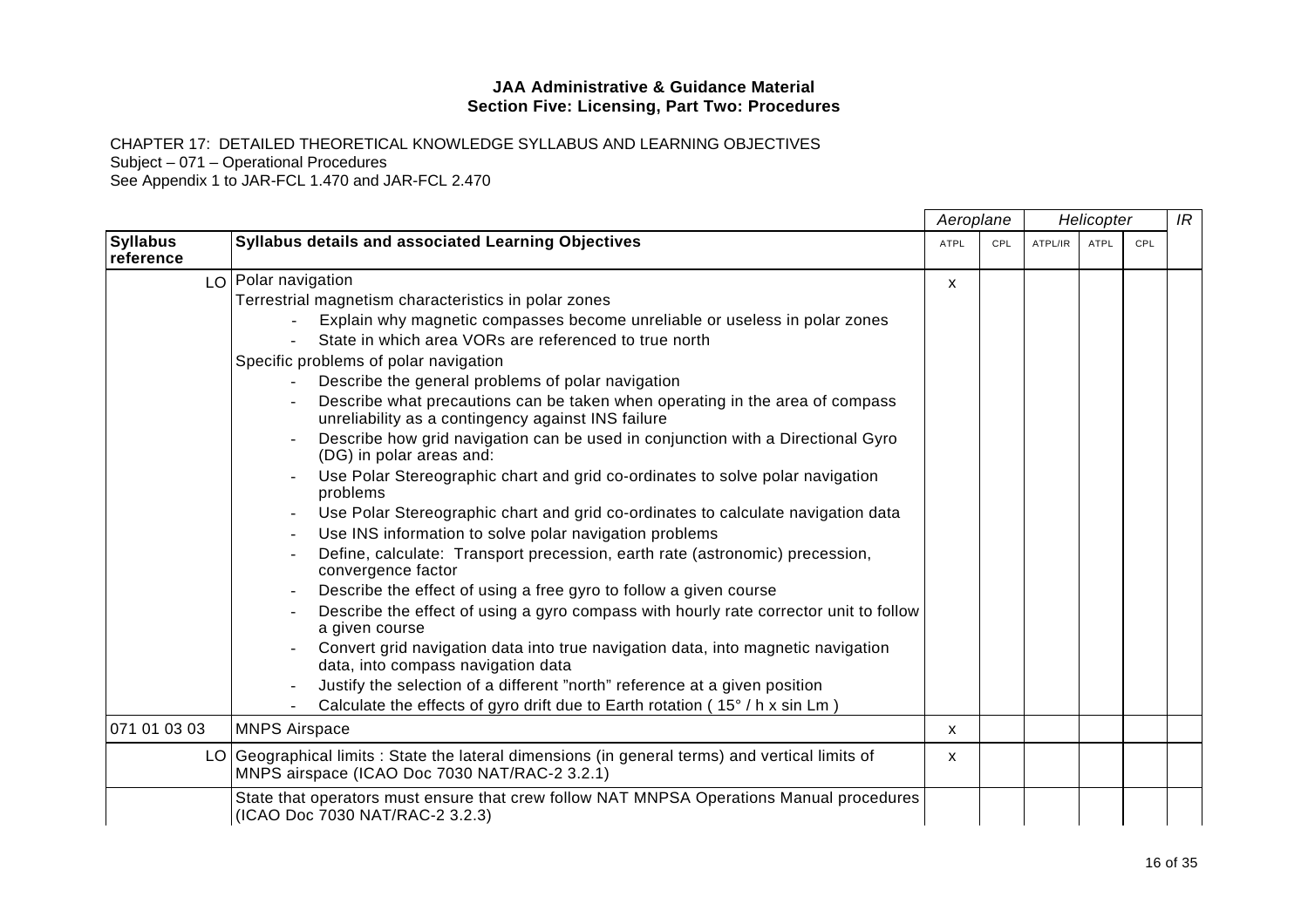CHAPTER 17: DETAILED THEORETICAL KNOWLEDGE SYLLABUS AND LEARNING OBJECTIVES Subject – 071 – Operational Procedures

|                              |                                                                                                                                                  | Aeroplane   |     | Helicopter |             |     | IR |
|------------------------------|--------------------------------------------------------------------------------------------------------------------------------------------------|-------------|-----|------------|-------------|-----|----|
| <b>Syllabus</b><br>reference | <b>Syllabus details and associated Learning Objectives</b>                                                                                       | <b>ATPL</b> | CPL | ATPL/IR    | <b>ATPL</b> | CPL |    |
|                              | LO Polar navigation                                                                                                                              | X           |     |            |             |     |    |
|                              | Terrestrial magnetism characteristics in polar zones                                                                                             |             |     |            |             |     |    |
|                              | Explain why magnetic compasses become unreliable or useless in polar zones                                                                       |             |     |            |             |     |    |
|                              | State in which area VORs are referenced to true north                                                                                            |             |     |            |             |     |    |
|                              | Specific problems of polar navigation                                                                                                            |             |     |            |             |     |    |
|                              | Describe the general problems of polar navigation                                                                                                |             |     |            |             |     |    |
|                              | Describe what precautions can be taken when operating in the area of compass<br>unreliability as a contingency against INS failure               |             |     |            |             |     |    |
|                              | Describe how grid navigation can be used in conjunction with a Directional Gyro<br>(DG) in polar areas and:                                      |             |     |            |             |     |    |
|                              | Use Polar Stereographic chart and grid co-ordinates to solve polar navigation<br>problems                                                        |             |     |            |             |     |    |
|                              | Use Polar Stereographic chart and grid co-ordinates to calculate navigation data                                                                 |             |     |            |             |     |    |
|                              | Use INS information to solve polar navigation problems                                                                                           |             |     |            |             |     |    |
|                              | Define, calculate: Transport precession, earth rate (astronomic) precession,<br>convergence factor                                               |             |     |            |             |     |    |
|                              | Describe the effect of using a free gyro to follow a given course                                                                                |             |     |            |             |     |    |
|                              | Describe the effect of using a gyro compass with hourly rate corrector unit to follow<br>a given course                                          |             |     |            |             |     |    |
|                              | Convert grid navigation data into true navigation data, into magnetic navigation<br>data, into compass navigation data                           |             |     |            |             |     |    |
|                              | Justify the selection of a different "north" reference at a given position                                                                       |             |     |            |             |     |    |
|                              | Calculate the effects of gyro drift due to Earth rotation (15° / h x sin Lm)                                                                     |             |     |            |             |     |    |
| 071 01 03 03                 | <b>MNPS Airspace</b>                                                                                                                             | X           |     |            |             |     |    |
|                              | LO Geographical limits : State the lateral dimensions (in general terms) and vertical limits of<br>MNPS airspace (ICAO Doc 7030 NAT/RAC-2 3.2.1) | X.          |     |            |             |     |    |
|                              | State that operators must ensure that crew follow NAT MNPSA Operations Manual procedures<br>(ICAO Doc 7030 NAT/RAC-2 3.2.3)                      |             |     |            |             |     |    |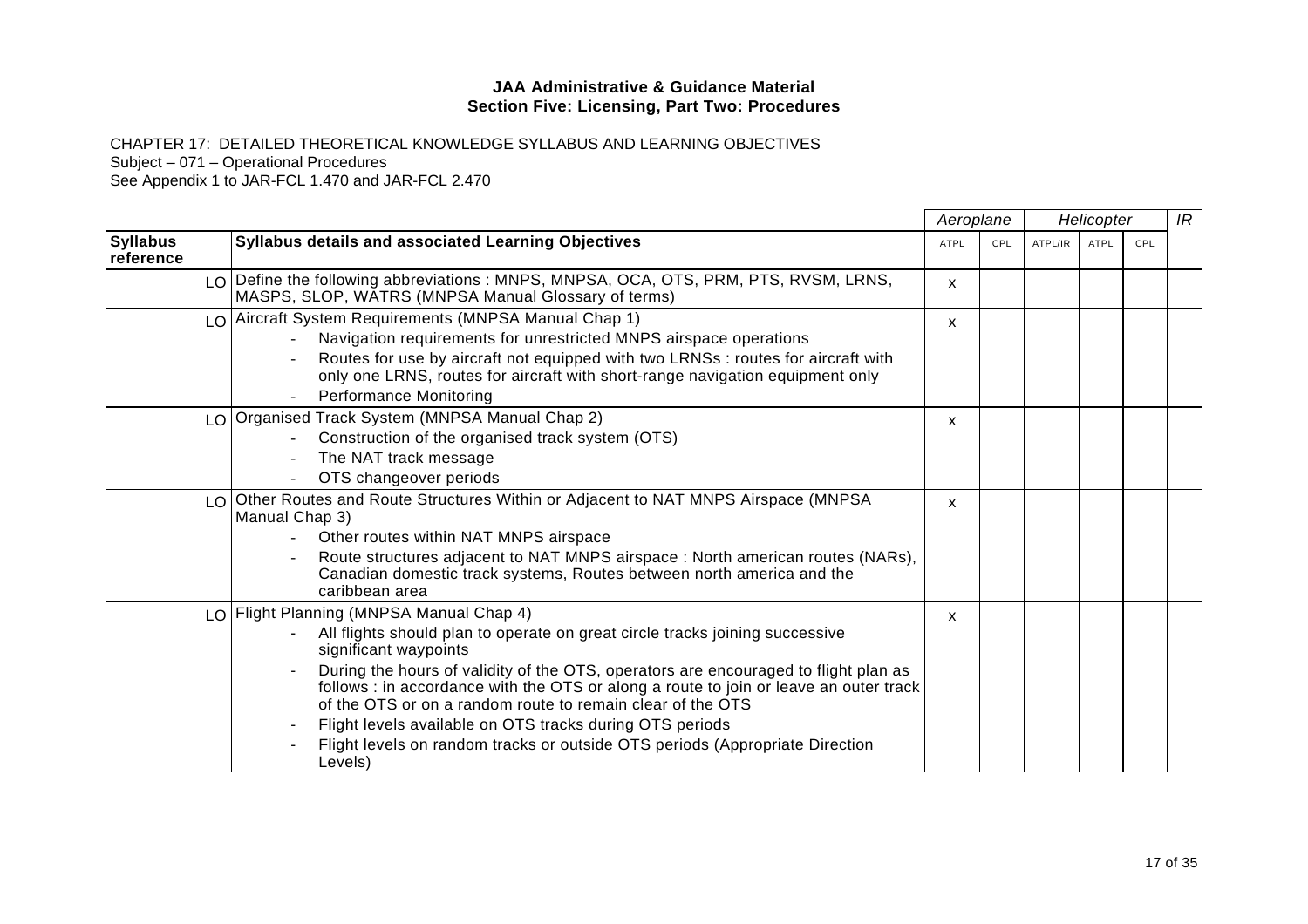CHAPTER 17: DETAILED THEORETICAL KNOWLEDGE SYLLABUS AND LEARNING OBJECTIVES

Subject – 071 – Operational Procedures

|                              |                                                                                                                                                                                                                                                                                                                                                                                                                                                                                                                                                        | Aeroplane   |     | Helicopter |             |     | IR |
|------------------------------|--------------------------------------------------------------------------------------------------------------------------------------------------------------------------------------------------------------------------------------------------------------------------------------------------------------------------------------------------------------------------------------------------------------------------------------------------------------------------------------------------------------------------------------------------------|-------------|-----|------------|-------------|-----|----|
| <b>Syllabus</b><br>reference | Syllabus details and associated Learning Objectives                                                                                                                                                                                                                                                                                                                                                                                                                                                                                                    | <b>ATPL</b> | CPL | ATPL/IR    | <b>ATPL</b> | CPL |    |
|                              | LO Define the following abbreviations : MNPS, MNPSA, OCA, OTS, PRM, PTS, RVSM, LRNS,<br>MASPS, SLOP, WATRS (MNPSA Manual Glossary of terms)                                                                                                                                                                                                                                                                                                                                                                                                            | X           |     |            |             |     |    |
|                              | LO Aircraft System Requirements (MNPSA Manual Chap 1)<br>Navigation requirements for unrestricted MNPS airspace operations<br>Routes for use by aircraft not equipped with two LRNSs : routes for aircraft with<br>only one LRNS, routes for aircraft with short-range navigation equipment only<br><b>Performance Monitoring</b>                                                                                                                                                                                                                      | X           |     |            |             |     |    |
|                              | LO Organised Track System (MNPSA Manual Chap 2)<br>Construction of the organised track system (OTS)<br>The NAT track message<br>OTS changeover periods                                                                                                                                                                                                                                                                                                                                                                                                 | X           |     |            |             |     |    |
|                              | LO Other Routes and Route Structures Within or Adjacent to NAT MNPS Airspace (MNPSA<br>Manual Chap 3)<br>Other routes within NAT MNPS airspace<br>Route structures adjacent to NAT MNPS airspace : North american routes (NARs),<br>Canadian domestic track systems, Routes between north america and the<br>caribbean area                                                                                                                                                                                                                            | X           |     |            |             |     |    |
|                              | LO Flight Planning (MNPSA Manual Chap 4)<br>All flights should plan to operate on great circle tracks joining successive<br>significant waypoints<br>During the hours of validity of the OTS, operators are encouraged to flight plan as<br>follows : in accordance with the OTS or along a route to join or leave an outer track<br>of the OTS or on a random route to remain clear of the OTS<br>Flight levels available on OTS tracks during OTS periods<br>Flight levels on random tracks or outside OTS periods (Appropriate Direction<br>Levels) | X           |     |            |             |     |    |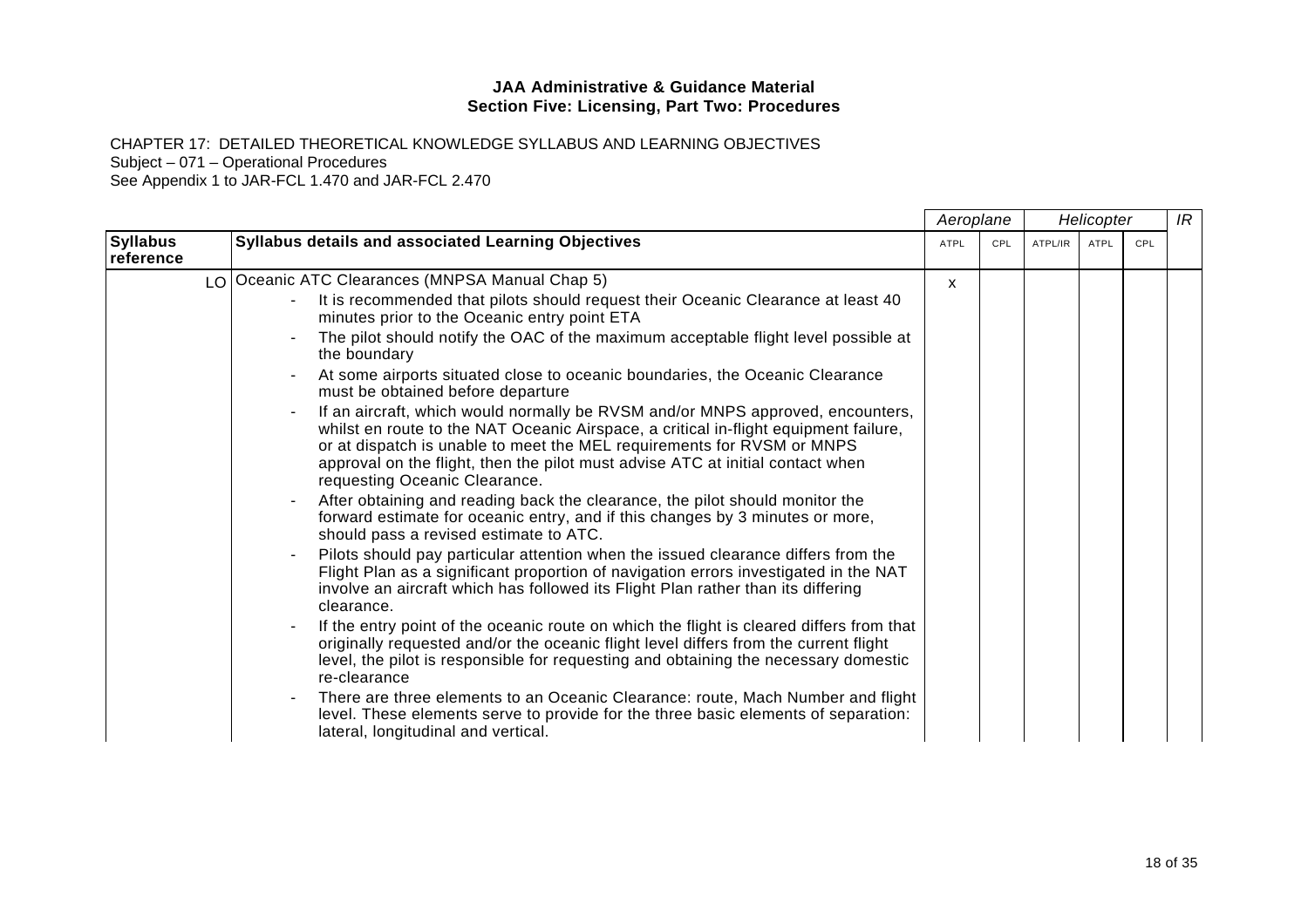CHAPTER 17: DETAILED THEORETICAL KNOWLEDGE SYLLABUS AND LEARNING OBJECTIVES

Subject – 071 – Operational Procedures

|                              |                                                                                                                                                                                                                                                                                                                                                                     | Aeroplane |     |         | Helicopter  |     | IR |
|------------------------------|---------------------------------------------------------------------------------------------------------------------------------------------------------------------------------------------------------------------------------------------------------------------------------------------------------------------------------------------------------------------|-----------|-----|---------|-------------|-----|----|
| <b>Syllabus</b><br>reference | Syllabus details and associated Learning Objectives                                                                                                                                                                                                                                                                                                                 | ATPL      | CPL | ATPL/IR | <b>ATPL</b> | CPL |    |
|                              | LO Oceanic ATC Clearances (MNPSA Manual Chap 5)                                                                                                                                                                                                                                                                                                                     | X         |     |         |             |     |    |
|                              | It is recommended that pilots should request their Oceanic Clearance at least 40<br>minutes prior to the Oceanic entry point ETA                                                                                                                                                                                                                                    |           |     |         |             |     |    |
|                              | The pilot should notify the OAC of the maximum acceptable flight level possible at<br>the boundary                                                                                                                                                                                                                                                                  |           |     |         |             |     |    |
|                              | At some airports situated close to oceanic boundaries, the Oceanic Clearance<br>must be obtained before departure                                                                                                                                                                                                                                                   |           |     |         |             |     |    |
|                              | If an aircraft, which would normally be RVSM and/or MNPS approved, encounters,<br>whilst en route to the NAT Oceanic Airspace, a critical in-flight equipment failure,<br>or at dispatch is unable to meet the MEL requirements for RVSM or MNPS<br>approval on the flight, then the pilot must advise ATC at initial contact when<br>requesting Oceanic Clearance. |           |     |         |             |     |    |
|                              | After obtaining and reading back the clearance, the pilot should monitor the<br>forward estimate for oceanic entry, and if this changes by 3 minutes or more,<br>should pass a revised estimate to ATC.                                                                                                                                                             |           |     |         |             |     |    |
|                              | Pilots should pay particular attention when the issued clearance differs from the<br>Flight Plan as a significant proportion of navigation errors investigated in the NAT<br>involve an aircraft which has followed its Flight Plan rather than its differing<br>clearance.                                                                                         |           |     |         |             |     |    |
|                              | If the entry point of the oceanic route on which the flight is cleared differs from that<br>originally requested and/or the oceanic flight level differs from the current flight<br>level, the pilot is responsible for requesting and obtaining the necessary domestic<br>re-clearance                                                                             |           |     |         |             |     |    |
|                              | There are three elements to an Oceanic Clearance: route, Mach Number and flight<br>level. These elements serve to provide for the three basic elements of separation:<br>lateral, longitudinal and vertical.                                                                                                                                                        |           |     |         |             |     |    |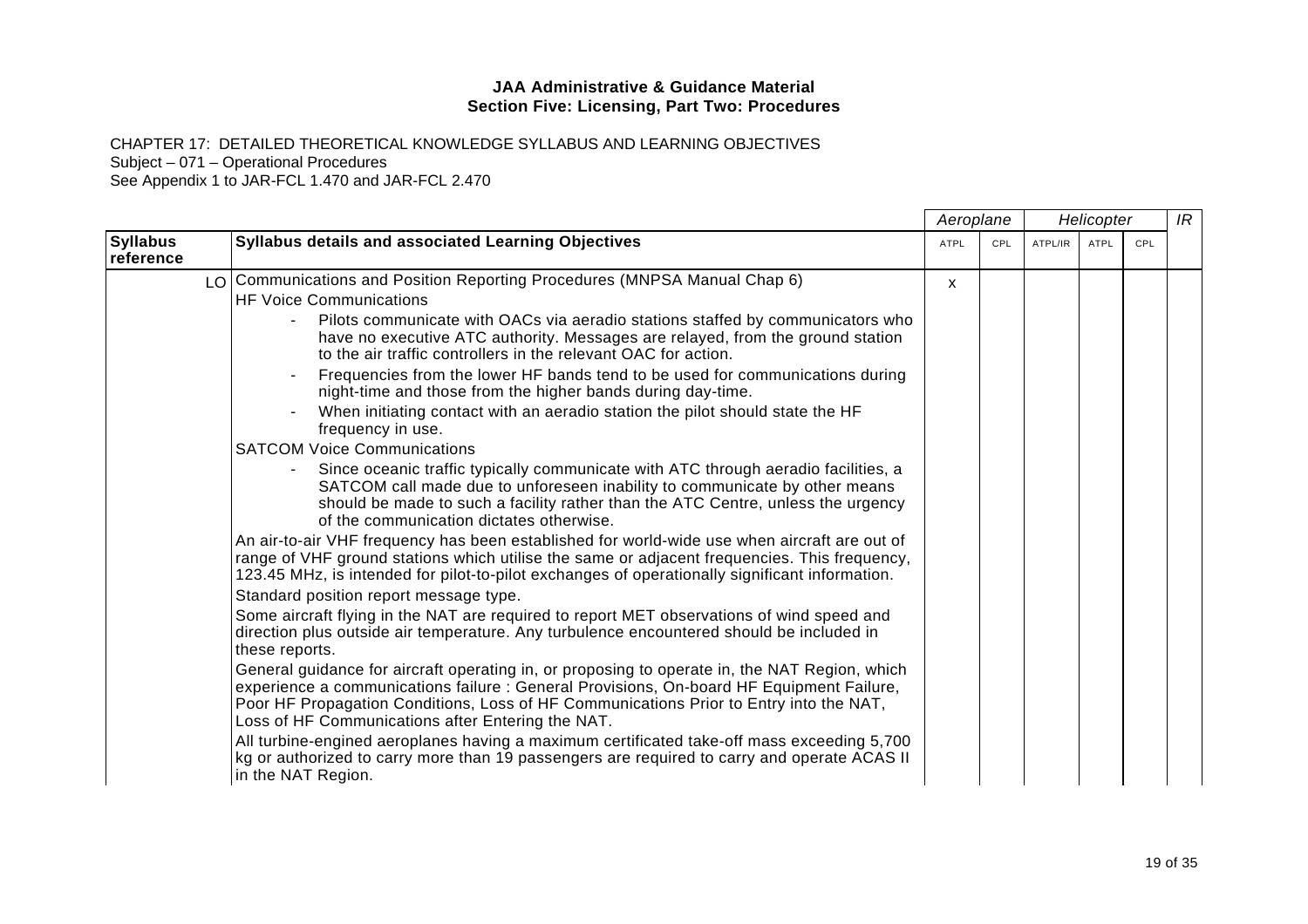CHAPTER 17: DETAILED THEORETICAL KNOWLEDGE SYLLABUS AND LEARNING OBJECTIVES

Subject – 071 – Operational Procedures

|                                                         |                                                                                                                                                                                                                                                                                                                                          | Aeroplane    |            | Helicopter |      |     | IR |
|---------------------------------------------------------|------------------------------------------------------------------------------------------------------------------------------------------------------------------------------------------------------------------------------------------------------------------------------------------------------------------------------------------|--------------|------------|------------|------|-----|----|
| <b>Syllabus</b><br>reference                            | Syllabus details and associated Learning Objectives                                                                                                                                                                                                                                                                                      | <b>ATPL</b>  | <b>CPL</b> | ATPL/IR    | ATPL | CPL |    |
|                                                         | LO Communications and Position Reporting Procedures (MNPSA Manual Chap 6)                                                                                                                                                                                                                                                                | $\mathsf{x}$ |            |            |      |     |    |
|                                                         | <b>HF Voice Communications</b>                                                                                                                                                                                                                                                                                                           |              |            |            |      |     |    |
|                                                         | Pilots communicate with OACs via aeradio stations staffed by communicators who<br>have no executive ATC authority. Messages are relayed, from the ground station<br>to the air traffic controllers in the relevant OAC for action.                                                                                                       |              |            |            |      |     |    |
| frequency in use.<br><b>SATCOM Voice Communications</b> | Frequencies from the lower HF bands tend to be used for communications during<br>night-time and those from the higher bands during day-time.                                                                                                                                                                                             |              |            |            |      |     |    |
|                                                         | When initiating contact with an aeradio station the pilot should state the HF                                                                                                                                                                                                                                                            |              |            |            |      |     |    |
|                                                         |                                                                                                                                                                                                                                                                                                                                          |              |            |            |      |     |    |
|                                                         | Since oceanic traffic typically communicate with ATC through aeradio facilities, a<br>SATCOM call made due to unforeseen inability to communicate by other means<br>should be made to such a facility rather than the ATC Centre, unless the urgency<br>of the communication dictates otherwise.                                         |              |            |            |      |     |    |
|                                                         | An air-to-air VHF frequency has been established for world-wide use when aircraft are out of<br>range of VHF ground stations which utilise the same or adjacent frequencies. This frequency,<br>123.45 MHz, is intended for pilot-to-pilot exchanges of operationally significant information.                                           |              |            |            |      |     |    |
|                                                         | Standard position report message type.                                                                                                                                                                                                                                                                                                   |              |            |            |      |     |    |
|                                                         | Some aircraft flying in the NAT are required to report MET observations of wind speed and<br>direction plus outside air temperature. Any turbulence encountered should be included in<br>these reports.                                                                                                                                  |              |            |            |      |     |    |
|                                                         | General guidance for aircraft operating in, or proposing to operate in, the NAT Region, which<br>experience a communications failure : General Provisions, On-board HF Equipment Failure,<br>Poor HF Propagation Conditions, Loss of HF Communications Prior to Entry into the NAT,<br>Loss of HF Communications after Entering the NAT. |              |            |            |      |     |    |
|                                                         | All turbine-engined aeroplanes having a maximum certificated take-off mass exceeding 5,700<br>kg or authorized to carry more than 19 passengers are required to carry and operate ACAS II<br>in the NAT Region.                                                                                                                          |              |            |            |      |     |    |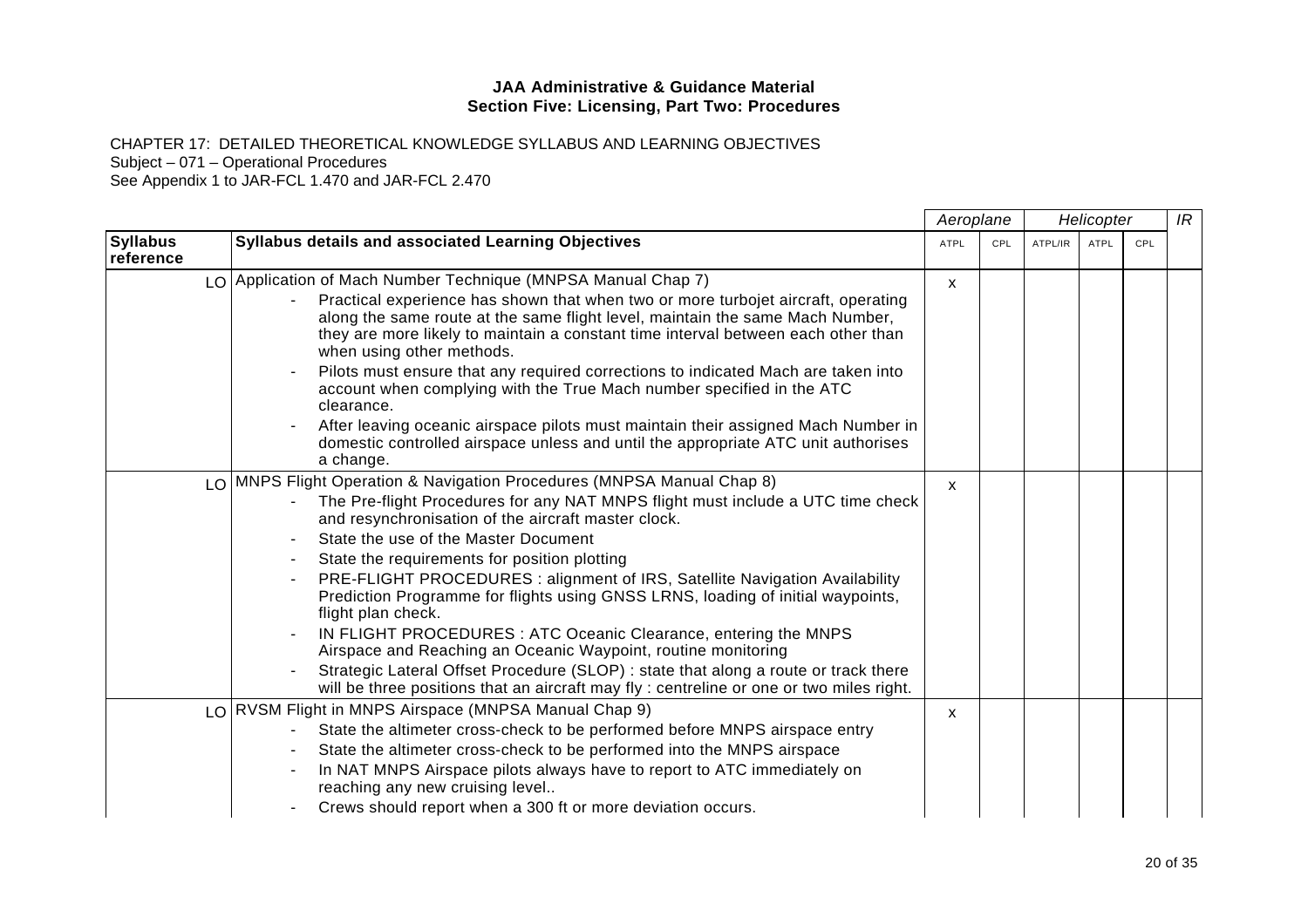CHAPTER 17: DETAILED THEORETICAL KNOWLEDGE SYLLABUS AND LEARNING OBJECTIVES

Subject – 071 – Operational Procedures

|                              |                                                                                                                                                                                                                                                                                      | Aeroplane   |     | Helicopter |             |     | IR |
|------------------------------|--------------------------------------------------------------------------------------------------------------------------------------------------------------------------------------------------------------------------------------------------------------------------------------|-------------|-----|------------|-------------|-----|----|
| <b>Syllabus</b><br>reference | Syllabus details and associated Learning Objectives                                                                                                                                                                                                                                  | <b>ATPL</b> | CPL | ATPL/IR    | <b>ATPL</b> | CPL |    |
|                              | LO Application of Mach Number Technique (MNPSA Manual Chap 7)                                                                                                                                                                                                                        | X           |     |            |             |     |    |
|                              | Practical experience has shown that when two or more turbojet aircraft, operating<br>along the same route at the same flight level, maintain the same Mach Number,<br>they are more likely to maintain a constant time interval between each other than<br>when using other methods. |             |     |            |             |     |    |
|                              | Pilots must ensure that any required corrections to indicated Mach are taken into<br>account when complying with the True Mach number specified in the ATC<br>clearance.                                                                                                             |             |     |            |             |     |    |
|                              | After leaving oceanic airspace pilots must maintain their assigned Mach Number in<br>domestic controlled airspace unless and until the appropriate ATC unit authorises<br>a change.                                                                                                  |             |     |            |             |     |    |
|                              | LO   MNPS Flight Operation & Navigation Procedures (MNPSA Manual Chap 8)                                                                                                                                                                                                             | X           |     |            |             |     |    |
|                              | The Pre-flight Procedures for any NAT MNPS flight must include a UTC time check<br>and resynchronisation of the aircraft master clock.                                                                                                                                               |             |     |            |             |     |    |
|                              | State the use of the Master Document                                                                                                                                                                                                                                                 |             |     |            |             |     |    |
|                              | State the requirements for position plotting                                                                                                                                                                                                                                         |             |     |            |             |     |    |
|                              | PRE-FLIGHT PROCEDURES : alignment of IRS, Satellite Navigation Availability<br>Prediction Programme for flights using GNSS LRNS, loading of initial waypoints,<br>flight plan check.                                                                                                 |             |     |            |             |     |    |
|                              | IN FLIGHT PROCEDURES: ATC Oceanic Clearance, entering the MNPS<br>Airspace and Reaching an Oceanic Waypoint, routine monitoring                                                                                                                                                      |             |     |            |             |     |    |
|                              | Strategic Lateral Offset Procedure (SLOP) : state that along a route or track there<br>will be three positions that an aircraft may fly : centreline or one or two miles right.                                                                                                      |             |     |            |             |     |    |
|                              | LO RVSM Flight in MNPS Airspace (MNPSA Manual Chap 9)                                                                                                                                                                                                                                | X.          |     |            |             |     |    |
|                              | State the altimeter cross-check to be performed before MNPS airspace entry                                                                                                                                                                                                           |             |     |            |             |     |    |
|                              | State the altimeter cross-check to be performed into the MNPS airspace                                                                                                                                                                                                               |             |     |            |             |     |    |
|                              | In NAT MNPS Airspace pilots always have to report to ATC immediately on<br>reaching any new cruising level                                                                                                                                                                           |             |     |            |             |     |    |
|                              | Crews should report when a 300 ft or more deviation occurs.                                                                                                                                                                                                                          |             |     |            |             |     |    |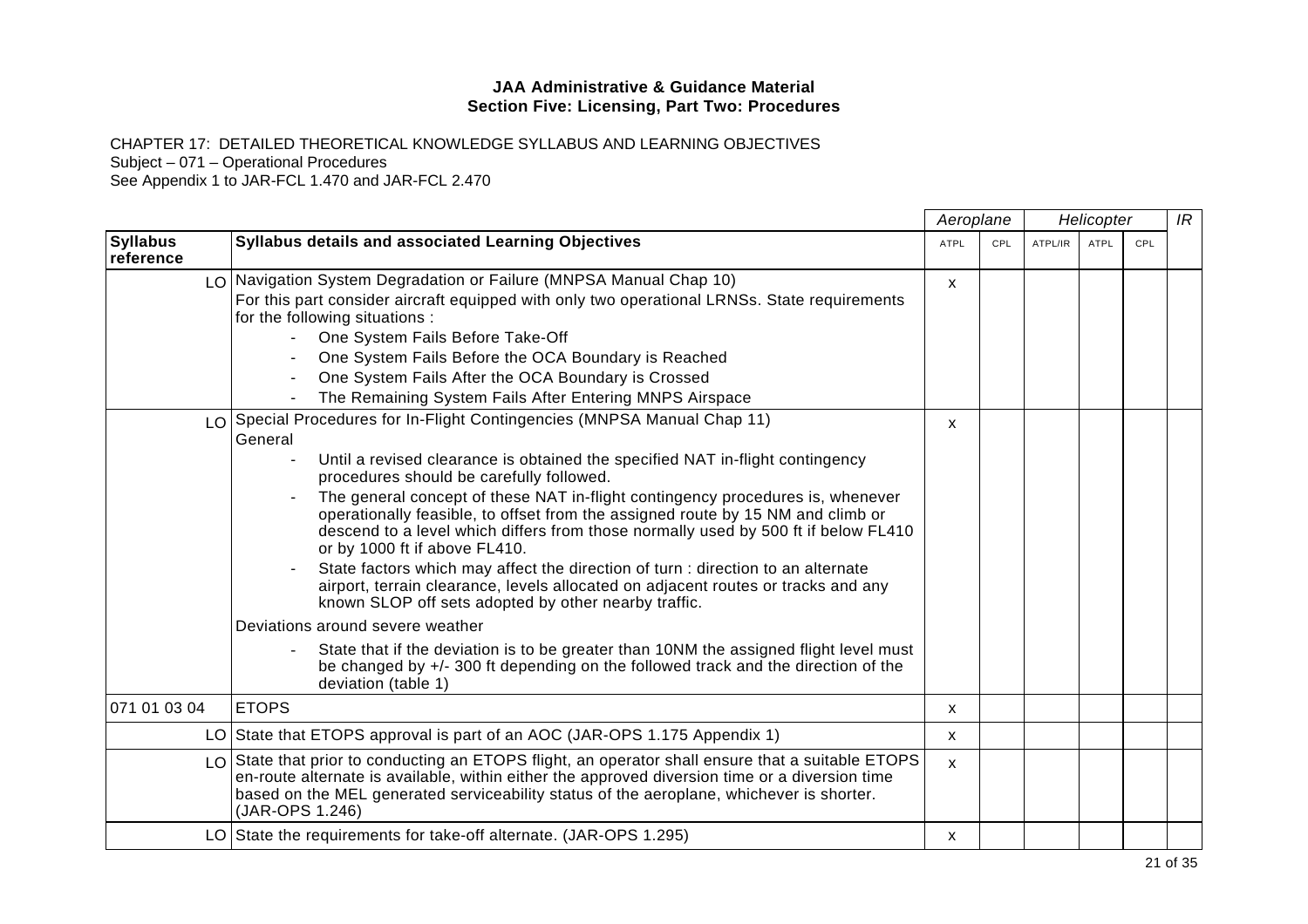CHAPTER 17: DETAILED THEORETICAL KNOWLEDGE SYLLABUS AND LEARNING OBJECTIVES

Subject – 071 – Operational Procedures

|                              |                                                                                                                                                                                                                                                                                                                    |              | Aeroplane<br>Helicopter |         |             | IR         |  |
|------------------------------|--------------------------------------------------------------------------------------------------------------------------------------------------------------------------------------------------------------------------------------------------------------------------------------------------------------------|--------------|-------------------------|---------|-------------|------------|--|
| <b>Syllabus</b><br>reference | <b>Syllabus details and associated Learning Objectives</b>                                                                                                                                                                                                                                                         | <b>ATPL</b>  | CPL                     | ATPL/IR | <b>ATPL</b> | <b>CPL</b> |  |
|                              | LO Navigation System Degradation or Failure (MNPSA Manual Chap 10)                                                                                                                                                                                                                                                 | X            |                         |         |             |            |  |
|                              | For this part consider aircraft equipped with only two operational LRNSs. State requirements                                                                                                                                                                                                                       |              |                         |         |             |            |  |
|                              | for the following situations :                                                                                                                                                                                                                                                                                     |              |                         |         |             |            |  |
|                              | One System Fails Before Take-Off                                                                                                                                                                                                                                                                                   |              |                         |         |             |            |  |
|                              | One System Fails Before the OCA Boundary is Reached                                                                                                                                                                                                                                                                |              |                         |         |             |            |  |
|                              | One System Fails After the OCA Boundary is Crossed                                                                                                                                                                                                                                                                 |              |                         |         |             |            |  |
|                              | The Remaining System Fails After Entering MNPS Airspace                                                                                                                                                                                                                                                            |              |                         |         |             |            |  |
|                              | LO Special Procedures for In-Flight Contingencies (MNPSA Manual Chap 11)                                                                                                                                                                                                                                           | $\mathsf{x}$ |                         |         |             |            |  |
|                              | General                                                                                                                                                                                                                                                                                                            |              |                         |         |             |            |  |
|                              | Until a revised clearance is obtained the specified NAT in-flight contingency<br>procedures should be carefully followed.                                                                                                                                                                                          |              |                         |         |             |            |  |
|                              | The general concept of these NAT in-flight contingency procedures is, whenever<br>operationally feasible, to offset from the assigned route by 15 NM and climb or<br>descend to a level which differs from those normally used by 500 ft if below FL410<br>or by 1000 ft if above FL410.                           |              |                         |         |             |            |  |
|                              | State factors which may affect the direction of turn : direction to an alternate<br>airport, terrain clearance, levels allocated on adjacent routes or tracks and any<br>known SLOP off sets adopted by other nearby traffic.                                                                                      |              |                         |         |             |            |  |
|                              | Deviations around severe weather                                                                                                                                                                                                                                                                                   |              |                         |         |             |            |  |
|                              | State that if the deviation is to be greater than 10NM the assigned flight level must<br>be changed by +/- 300 ft depending on the followed track and the direction of the<br>deviation (table 1)                                                                                                                  |              |                         |         |             |            |  |
| 071 01 03 04                 | <b>ETOPS</b>                                                                                                                                                                                                                                                                                                       | X            |                         |         |             |            |  |
|                              | LO State that ETOPS approval is part of an AOC (JAR-OPS 1.175 Appendix 1)                                                                                                                                                                                                                                          | X            |                         |         |             |            |  |
|                              | LO State that prior to conducting an ETOPS flight, an operator shall ensure that a suitable ETOPS<br>en-route alternate is available, within either the approved diversion time or a diversion time<br>based on the MEL generated serviceability status of the aeroplane, whichever is shorter.<br>(JAR-OPS 1.246) | $\mathsf{x}$ |                         |         |             |            |  |
|                              | LO State the requirements for take-off alternate. (JAR-OPS 1.295)                                                                                                                                                                                                                                                  | X            |                         |         |             |            |  |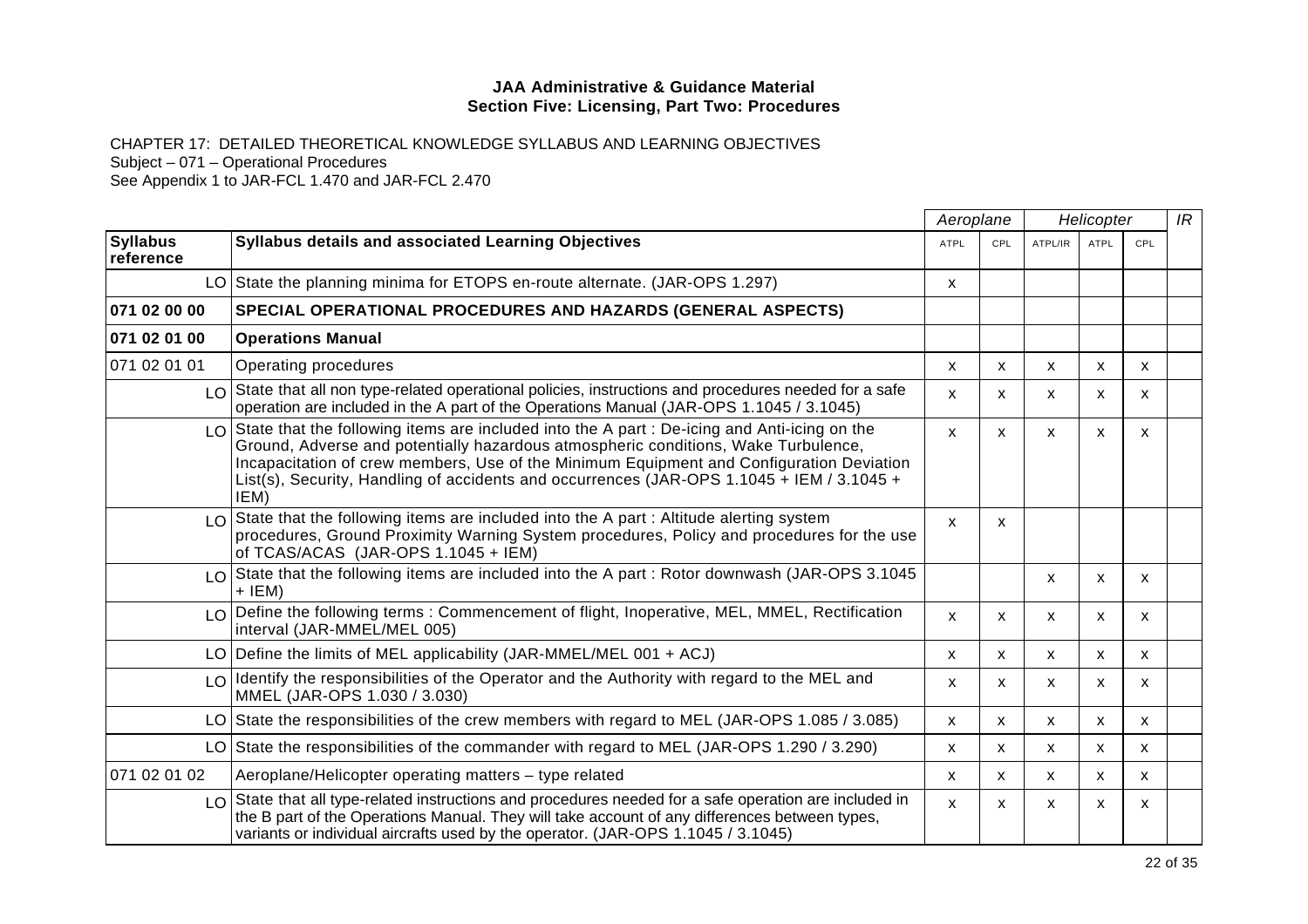CHAPTER 17: DETAILED THEORETICAL KNOWLEDGE SYLLABUS AND LEARNING OBJECTIVES

Subject – 071 – Operational Procedures

|                              |                                                                                                                                                                                                                                                                                                                                                                                                         | Aeroplane    |              | Helicopter   |                           | IR  |  |
|------------------------------|---------------------------------------------------------------------------------------------------------------------------------------------------------------------------------------------------------------------------------------------------------------------------------------------------------------------------------------------------------------------------------------------------------|--------------|--------------|--------------|---------------------------|-----|--|
| <b>Syllabus</b><br>reference | <b>Syllabus details and associated Learning Objectives</b>                                                                                                                                                                                                                                                                                                                                              | ATPL         | CPL          | ATPL/IR      | ATPL                      | CPL |  |
|                              | LO State the planning minima for ETOPS en-route alternate. (JAR-OPS 1.297)                                                                                                                                                                                                                                                                                                                              | X            |              |              |                           |     |  |
| 071 02 00 00                 | <b>SPECIAL OPERATIONAL PROCEDURES AND HAZARDS (GENERAL ASPECTS)</b>                                                                                                                                                                                                                                                                                                                                     |              |              |              |                           |     |  |
| 071 02 01 00                 | <b>Operations Manual</b>                                                                                                                                                                                                                                                                                                                                                                                |              |              |              |                           |     |  |
| 071 02 01 01                 | Operating procedures                                                                                                                                                                                                                                                                                                                                                                                    | X            | X            | X            | X                         | X   |  |
|                              | LO State that all non type-related operational policies, instructions and procedures needed for a safe<br>operation are included in the A part of the Operations Manual (JAR-OPS 1.1045 / 3.1045)                                                                                                                                                                                                       | $\mathsf{x}$ | $\mathsf{x}$ | X            | X                         | X   |  |
|                              | $\lfloor 0 \rfloor$ State that the following items are included into the A part : De-icing and Anti-icing on the<br>Ground, Adverse and potentially hazardous atmospheric conditions, Wake Turbulence,<br>Incapacitation of crew members, Use of the Minimum Equipment and Configuration Deviation<br>List(s), Security, Handling of accidents and occurrences (JAR-OPS 1.1045 + IEM / 3.1045 +<br>IEM) | $\mathsf{x}$ | $\mathsf{x}$ | X            | $\boldsymbol{\mathsf{x}}$ | X   |  |
|                              | $\lfloor 0 \rfloor$ State that the following items are included into the A part : Altitude alerting system<br>procedures, Ground Proximity Warning System procedures, Policy and procedures for the use<br>of TCAS/ACAS (JAR-OPS 1.1045 + IEM)                                                                                                                                                          | $\mathsf{x}$ | X            |              |                           |     |  |
|                              | $\lfloor 0 \rfloor$ State that the following items are included into the A part : Rotor downwash (JAR-OPS 3.1045<br>$+$ IEM)                                                                                                                                                                                                                                                                            |              |              | X            | X                         | X   |  |
|                              | $\lfloor 0 \rfloor$ Define the following terms : Commencement of flight, Inoperative, MEL, MMEL, Rectification<br>interval (JAR-MMEL/MEL 005)                                                                                                                                                                                                                                                           | $\mathsf{x}$ | X            | X            | X                         | X   |  |
|                              | LO Define the limits of MEL applicability (JAR-MMEL/MEL 001 + ACJ)                                                                                                                                                                                                                                                                                                                                      | X            | X            | X            | X                         | X   |  |
|                              | $LO$ Identify the responsibilities of the Operator and the Authority with regard to the MEL and<br>MMEL (JAR-OPS 1.030 / 3.030)                                                                                                                                                                                                                                                                         | X            | X.           | X            | X                         | X   |  |
|                              | LO State the responsibilities of the crew members with regard to MEL (JAR-OPS 1.085 / 3.085)                                                                                                                                                                                                                                                                                                            | X            | X            | X            | X                         | X   |  |
|                              | LO State the responsibilities of the commander with regard to MEL (JAR-OPS 1.290 / 3.290)                                                                                                                                                                                                                                                                                                               | X            | $\mathsf{x}$ | X            | X                         | X   |  |
| 071 02 01 02                 | Aeroplane/Helicopter operating matters - type related                                                                                                                                                                                                                                                                                                                                                   | x            | X.           | X            | X                         | X   |  |
|                              | LO State that all type-related instructions and procedures needed for a safe operation are included in<br>the B part of the Operations Manual. They will take account of any differences between types,<br>variants or individual aircrafts used by the operator. (JAR-OPS 1.1045 / 3.1045)                                                                                                             | $\mathsf{x}$ | $\mathsf{x}$ | $\mathsf{x}$ | $\boldsymbol{\mathsf{x}}$ | X   |  |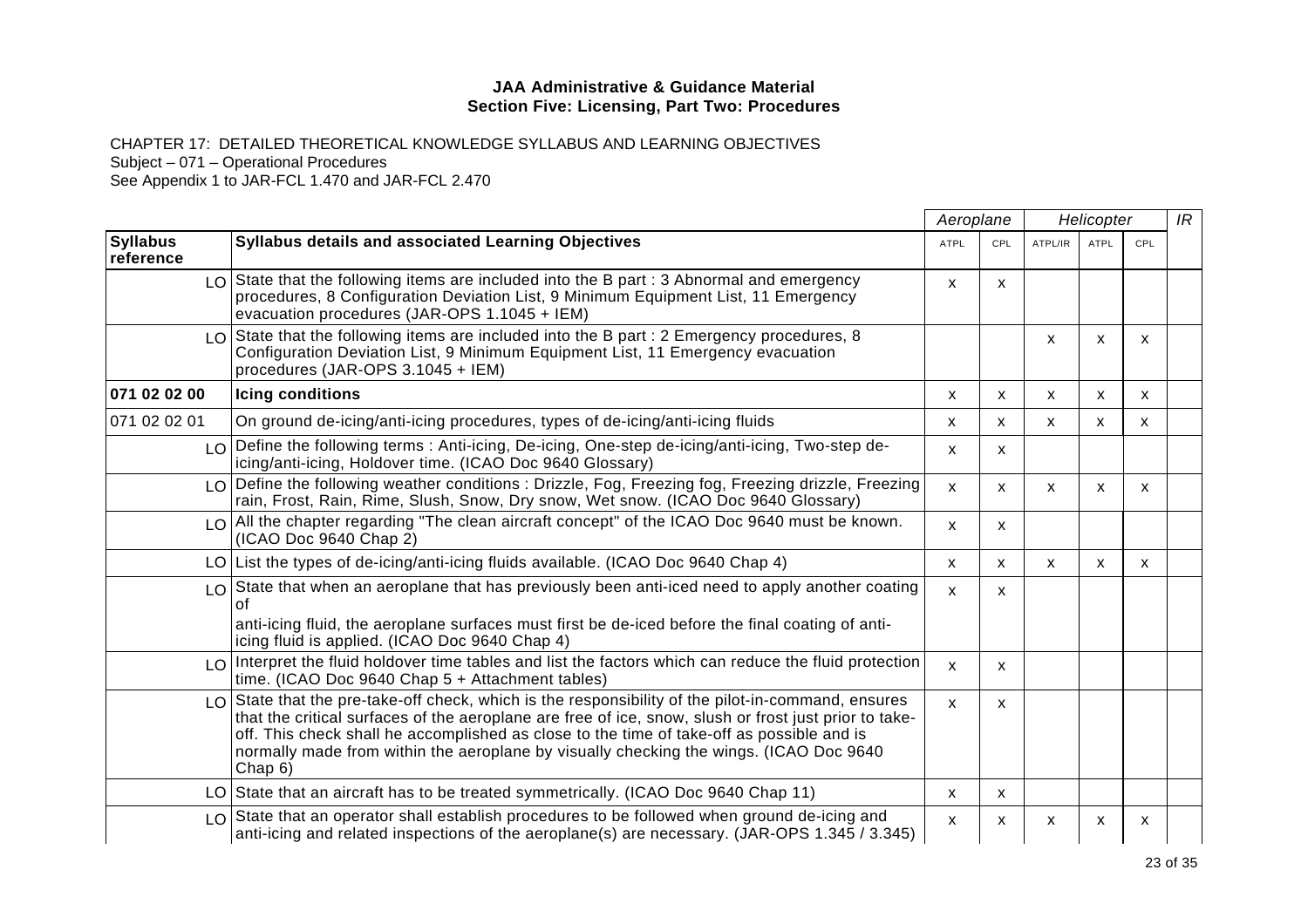CHAPTER 17: DETAILED THEORETICAL KNOWLEDGE SYLLABUS AND LEARNING OBJECTIVES

Subject – 071 – Operational Procedures

|                              |                                                                                                                                                                                                                                                                                                                                                                                                               | Aeroplane                 |              | Helicopter   |              |                           | IR |
|------------------------------|---------------------------------------------------------------------------------------------------------------------------------------------------------------------------------------------------------------------------------------------------------------------------------------------------------------------------------------------------------------------------------------------------------------|---------------------------|--------------|--------------|--------------|---------------------------|----|
| <b>Syllabus</b><br>reference | <b>Syllabus details and associated Learning Objectives</b>                                                                                                                                                                                                                                                                                                                                                    | <b>ATPL</b>               | CPL          | ATPL/IR      | <b>ATPL</b>  | CPL                       |    |
|                              | $LO$ State that the following items are included into the B part : 3 Abnormal and emergency<br>procedures, 8 Configuration Deviation List, 9 Minimum Equipment List, 11 Emergency<br>evacuation procedures (JAR-OPS 1.1045 + IEM)                                                                                                                                                                             | $\boldsymbol{\mathsf{x}}$ | X            |              |              |                           |    |
|                              | LO State that the following items are included into the B part : 2 Emergency procedures, 8<br>Configuration Deviation List, 9 Minimum Equipment List, 11 Emergency evacuation<br>procedures (JAR-OPS 3.1045 + IEM)                                                                                                                                                                                            |                           |              | X            | X            | $\boldsymbol{\mathsf{x}}$ |    |
| 071 02 02 00                 | Icing conditions                                                                                                                                                                                                                                                                                                                                                                                              | X                         | X            | $\mathsf{x}$ | X            | $\mathsf{x}$              |    |
| 071 02 02 01                 | On ground de-icing/anti-icing procedures, types of de-icing/anti-icing fluids                                                                                                                                                                                                                                                                                                                                 | X                         | X            | X            | $\mathsf{x}$ | X                         |    |
|                              | $\lfloor 0 \rfloor$ Define the following terms : Anti-icing, De-icing, One-step de-icing/anti-icing, Two-step de-<br>icing/anti-icing, Holdover time. (ICAO Doc 9640 Glossary)                                                                                                                                                                                                                                | X                         | X            |              |              |                           |    |
|                              | LO Define the following weather conditions : Drizzle, Fog, Freezing fog, Freezing drizzle, Freezing<br>rain, Frost, Rain, Rime, Slush, Snow, Dry snow, Wet snow. (ICAO Doc 9640 Glossary)                                                                                                                                                                                                                     | $\mathsf{x}$              | X            | X            | X            | X                         |    |
|                              | LO All the chapter regarding "The clean aircraft concept" of the ICAO Doc 9640 must be known.<br>(ICAO Doc 9640 Chap 2)                                                                                                                                                                                                                                                                                       | X                         | X            |              |              |                           |    |
|                              | LO   List the types of de-icing/anti-icing fluids available. (ICAO Doc 9640 Chap 4)                                                                                                                                                                                                                                                                                                                           | $\mathsf{x}$              | $\mathsf{x}$ | X            | $\mathsf{x}$ | $\mathsf{x}$              |    |
|                              | LO State that when an aeroplane that has previously been anti-iced need to apply another coating<br>Ωf<br>anti-icing fluid, the aeroplane surfaces must first be de-iced before the final coating of anti-<br>icing fluid is applied. (ICAO Doc 9640 Chap 4)                                                                                                                                                  | $\mathsf{x}$              | X            |              |              |                           |    |
|                              | $\lfloor 0 \rfloor$ Interpret the fluid holdover time tables and list the factors which can reduce the fluid protection<br>time. (ICAO Doc 9640 Chap 5 + Attachment tables)                                                                                                                                                                                                                                   | $\mathbf{x}$              | X            |              |              |                           |    |
|                              | LO State that the pre-take-off check, which is the responsibility of the pilot-in-command, ensures<br>that the critical surfaces of the aeroplane are free of ice, snow, slush or frost just prior to take-<br>off. This check shall he accomplished as close to the time of take-off as possible and is<br>normally made from within the aeroplane by visually checking the wings. (ICAO Doc 9640<br>Chap 6) | $\mathbf{x}$              | X            |              |              |                           |    |
|                              | LO State that an aircraft has to be treated symmetrically. (ICAO Doc 9640 Chap 11)                                                                                                                                                                                                                                                                                                                            | X                         | X            |              |              |                           |    |
|                              | LO State that an operator shall establish procedures to be followed when ground de-icing and<br>anti-icing and related inspections of the aeroplane(s) are necessary. (JAR-OPS 1.345 / 3.345)                                                                                                                                                                                                                 | X                         | X            | X            | x            | х                         |    |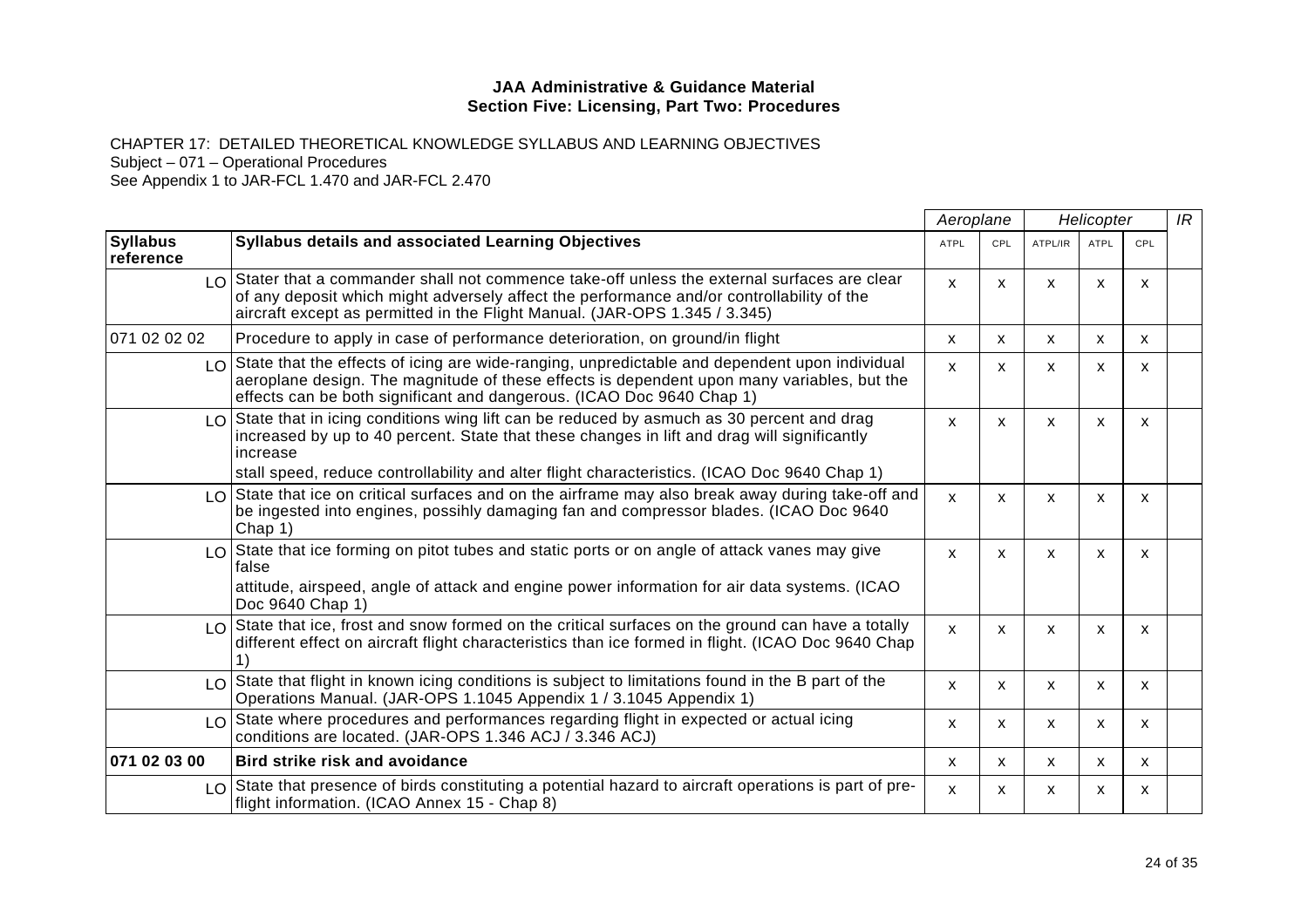CHAPTER 17: DETAILED THEORETICAL KNOWLEDGE SYLLABUS AND LEARNING OBJECTIVES

Subject – 071 – Operational Procedures

|                              |                                                                                                                                                                                                                                                                              | Aeroplane    |              | Helicopter |              |            | IR |
|------------------------------|------------------------------------------------------------------------------------------------------------------------------------------------------------------------------------------------------------------------------------------------------------------------------|--------------|--------------|------------|--------------|------------|----|
| <b>Syllabus</b><br>reference | <b>Syllabus details and associated Learning Objectives</b>                                                                                                                                                                                                                   | <b>ATPL</b>  | CPL          | ATPL/IR    | <b>ATPL</b>  | <b>CPL</b> |    |
|                              | $\log$ Stater that a commander shall not commence take-off unless the external surfaces are clear<br>of any deposit which might adversely affect the performance and/or controllability of the<br>aircraft except as permitted in the Flight Manual. (JAR-OPS 1.345 / 3.345) | $\mathsf{x}$ | $\mathsf{x}$ | X          | X            | X          |    |
| 071 02 02 02                 | Procedure to apply in case of performance deterioration, on ground/in flight                                                                                                                                                                                                 | X            | $\mathsf{x}$ | X          | X            | X          |    |
|                              | LO State that the effects of icing are wide-ranging, unpredictable and dependent upon individual<br>aeroplane design. The magnitude of these effects is dependent upon many variables, but the<br>effects can be both significant and dangerous. (ICAO Doc 9640 Chap 1)      | X            | X            | X          | X            | X          |    |
|                              | $\lfloor 0 \rfloor$ State that in icing conditions wing lift can be reduced by asmuch as 30 percent and drag<br>increased by up to 40 percent. State that these changes in lift and drag will significantly<br>increase                                                      | $\mathsf{x}$ | X            | X          | X            | X          |    |
|                              | stall speed, reduce controllability and alter flight characteristics. (ICAO Doc 9640 Chap 1)                                                                                                                                                                                 |              |              |            |              |            |    |
|                              | $\log$ State that ice on critical surfaces and on the airframe may also break away during take-off and<br>be ingested into engines, possihly damaging fan and compressor blades. (ICAO Doc 9640<br>Chap 1)                                                                   | $\mathsf{x}$ | $\mathsf{x}$ | X          | $\mathsf{x}$ | X          |    |
|                              | LO State that ice forming on pitot tubes and static ports or on angle of attack vanes may give<br>false                                                                                                                                                                      | X            | X            | X          | X            | X          |    |
|                              | attitude, airspeed, angle of attack and engine power information for air data systems. (ICAO<br>Doc 9640 Chap 1)                                                                                                                                                             |              |              |            |              |            |    |
|                              | $\lfloor 0 \rfloor$ State that ice, frost and snow formed on the critical surfaces on the ground can have a totally<br>different effect on aircraft flight characteristics than ice formed in flight. (ICAO Doc 9640 Chap                                                    | $\mathbf{x}$ | X            | X          | $\mathsf{x}$ | X          |    |
|                              | LO State that flight in known icing conditions is subject to limitations found in the B part of the<br>Operations Manual. (JAR-OPS 1.1045 Appendix 1 / 3.1045 Appendix 1)                                                                                                    | $\mathsf{x}$ | $\mathsf{x}$ | X          | X            | X          |    |
|                              | $\lfloor 0 \rfloor$ State where procedures and performances regarding flight in expected or actual icing<br>conditions are located. (JAR-OPS 1.346 ACJ / 3.346 ACJ)                                                                                                          | X            | X.           | X          | X            | X          |    |
| 071 02 03 00                 | <b>Bird strike risk and avoidance</b>                                                                                                                                                                                                                                        | X            | X            | X          | X            | X          |    |
|                              | $\lfloor 0 \rfloor$ State that presence of birds constituting a potential hazard to aircraft operations is part of pre-<br>flight information. (ICAO Annex 15 - Chap 8)                                                                                                      | $\mathsf{x}$ | X            | X          | X            | X          |    |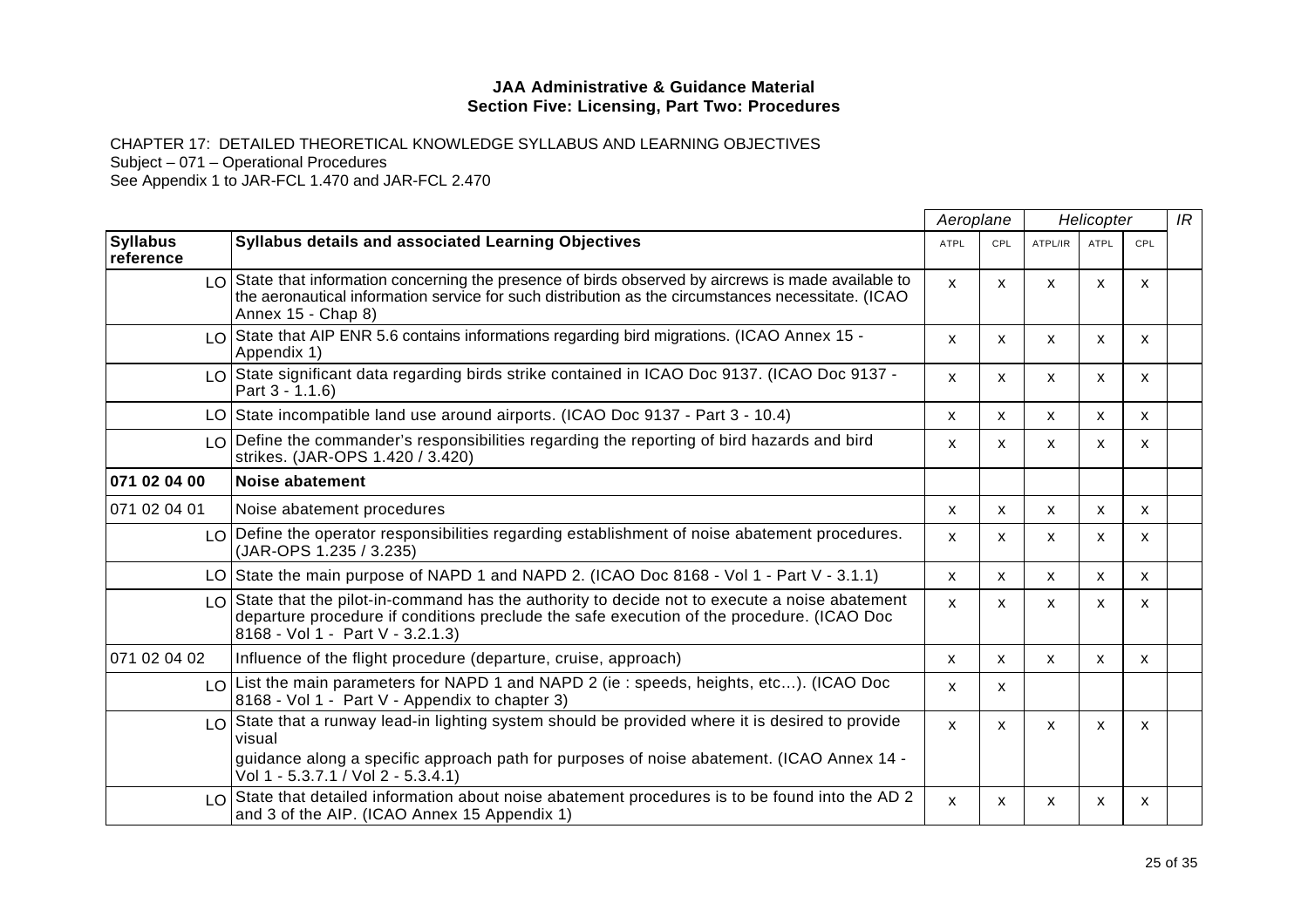CHAPTER 17: DETAILED THEORETICAL KNOWLEDGE SYLLABUS AND LEARNING OBJECTIVES

Subject – 071 – Operational Procedures

|                              |                                                                                                                                                                                                                                                   | Aeroplane                 |              | Helicopter |              |                           | IR |
|------------------------------|---------------------------------------------------------------------------------------------------------------------------------------------------------------------------------------------------------------------------------------------------|---------------------------|--------------|------------|--------------|---------------------------|----|
| <b>Syllabus</b><br>reference | <b>Syllabus details and associated Learning Objectives</b>                                                                                                                                                                                        | <b>ATPL</b>               | CPL          | ATPL/IR    | <b>ATPL</b>  | CPL                       |    |
|                              | $\lfloor 0 \rfloor$ State that information concerning the presence of birds observed by aircrews is made available to<br>the aeronautical information service for such distribution as the circumstances necessitate. (ICAO<br>Annex 15 - Chap 8) | $\mathsf{x}$              | X            | X          | X            | X                         |    |
|                              | $\lfloor 0 \rfloor$ State that AIP ENR 5.6 contains informations regarding bird migrations. (ICAO Annex 15 -<br>Appendix 1)                                                                                                                       | X                         | X            | X          | X            | X                         |    |
|                              | LO State significant data regarding birds strike contained in ICAO Doc 9137. (ICAO Doc 9137 -<br>Part 3 - 1.1.6)                                                                                                                                  | X                         | X.           | x          | X            | X                         |    |
|                              | LO State incompatible land use around airports. (ICAO Doc 9137 - Part 3 - 10.4)                                                                                                                                                                   | X                         | X            | X          | X            | $\boldsymbol{\mathsf{x}}$ |    |
|                              | LO Define the commander's responsibilities regarding the reporting of bird hazards and bird<br>strikes. (JAR-OPS 1.420 / 3.420)                                                                                                                   | X.                        | X.           | X          | x            | X                         |    |
| 071 02 04 00                 | <b>Noise abatement</b>                                                                                                                                                                                                                            |                           |              |            |              |                           |    |
| 071 02 04 01                 | Noise abatement procedures                                                                                                                                                                                                                        | X                         | X            | X          | X            | X                         |    |
|                              | LO Define the operator responsibilities regarding establishment of noise abatement procedures.<br>(JAR-OPS 1.235 / 3.235)                                                                                                                         | X                         | X            | X          | X            | X                         |    |
|                              | LO State the main purpose of NAPD 1 and NAPD 2. (ICAO Doc 8168 - Vol 1 - Part V - 3.1.1)                                                                                                                                                          | X                         | X            | X          | X            | X                         |    |
|                              | $LO$ State that the pilot-in-command has the authority to decide not to execute a noise abatement<br>departure procedure if conditions preclude the safe execution of the procedure. (ICAO Doc<br>8168 - Vol 1 - Part V - 3.2.1.3)                | $\mathsf{x}$              | X            | X          | $\mathsf{x}$ | X                         |    |
| 071 02 04 02                 | Influence of the flight procedure (departure, cruise, approach)                                                                                                                                                                                   | X                         | $\mathsf{x}$ | X          | X            | X                         |    |
|                              | $\lfloor 0 \rfloor$ List the main parameters for NAPD 1 and NAPD 2 (ie : speeds, heights, etc). (ICAO Doc<br>8168 - Vol 1 - Part V - Appendix to chapter 3)                                                                                       | $\boldsymbol{\mathsf{x}}$ | X            |            |              |                           |    |
|                              | LO State that a runway lead-in lighting system should be provided where it is desired to provide<br>visual                                                                                                                                        | $\mathsf{x}$              | $\mathsf{x}$ | X          | $\mathsf{x}$ | X                         |    |
|                              | guidance along a specific approach path for purposes of noise abatement. (ICAO Annex 14 -<br>Vol 1 - 5.3.7.1 / Vol 2 - 5.3.4.1)                                                                                                                   |                           |              |            |              |                           |    |
|                              | $\lfloor 0 \rfloor$ State that detailed information about noise abatement procedures is to be found into the AD 2<br>and 3 of the AIP. (ICAO Annex 15 Appendix 1)                                                                                 | $\mathsf{x}$              | X            | X          | x            | x                         |    |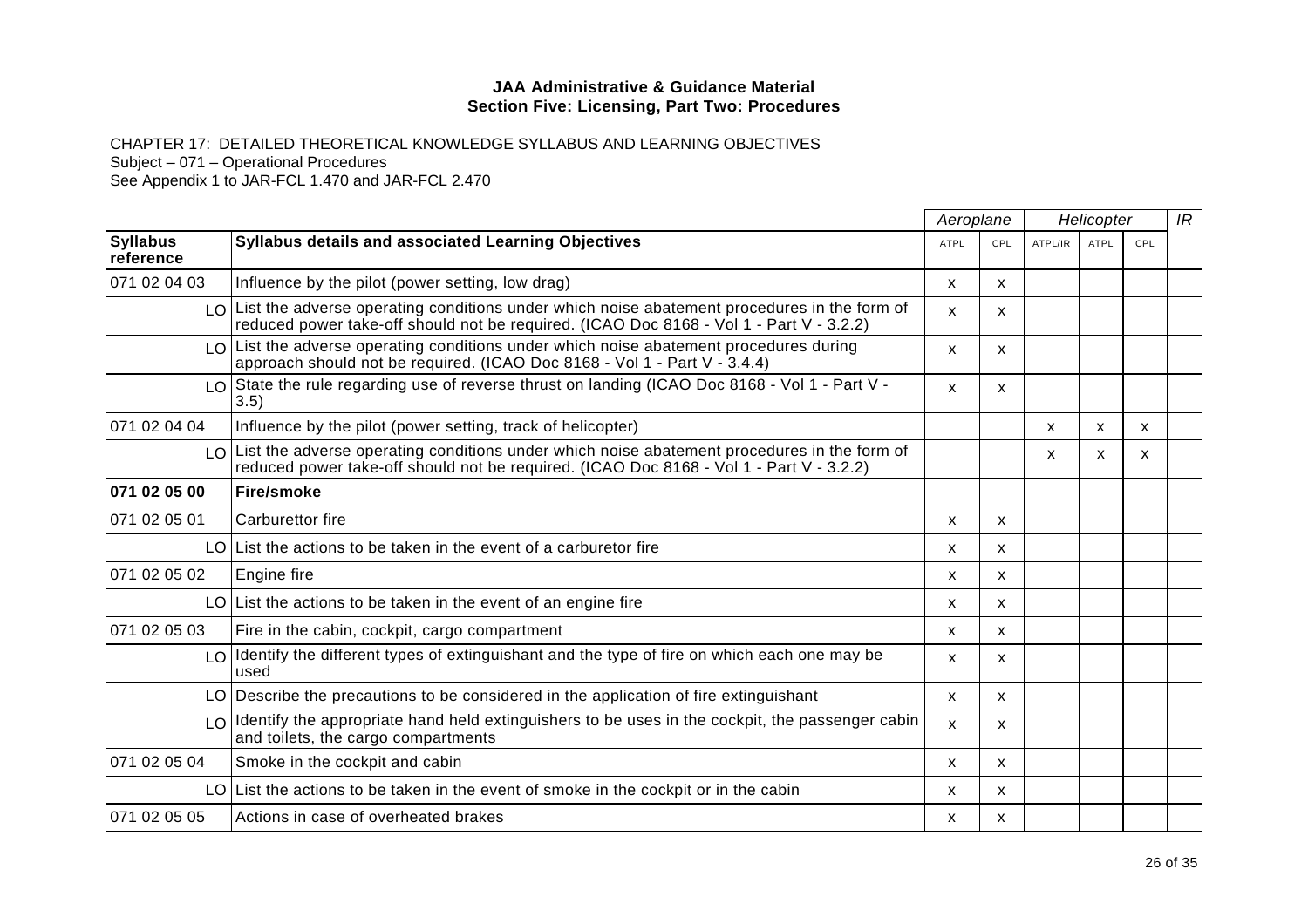CHAPTER 17: DETAILED THEORETICAL KNOWLEDGE SYLLABUS AND LEARNING OBJECTIVES

Subject – 071 – Operational Procedures

|                              |                                                                                                                                                                                                            | Aeroplane<br>Helicopter   |              | IR      |             |     |  |
|------------------------------|------------------------------------------------------------------------------------------------------------------------------------------------------------------------------------------------------------|---------------------------|--------------|---------|-------------|-----|--|
| <b>Syllabus</b><br>reference | <b>Syllabus details and associated Learning Objectives</b>                                                                                                                                                 | <b>ATPL</b>               | CPL          | ATPL/IR | <b>ATPL</b> | CPL |  |
| 071 02 04 03                 | Influence by the pilot (power setting, low drag)                                                                                                                                                           | X                         | X            |         |             |     |  |
|                              | $LO$ List the adverse operating conditions under which noise abatement procedures in the form of<br>reduced power take-off should not be required. (ICAO Doc 8168 - Vol 1 - Part V - 3.2.2)                | $\boldsymbol{\mathsf{x}}$ | X.           |         |             |     |  |
|                              | $LO$ List the adverse operating conditions under which noise abatement procedures during<br>approach should not be required. (ICAO Doc 8168 - Vol 1 - Part V - 3.4.4)                                      | $\boldsymbol{\mathsf{x}}$ | X            |         |             |     |  |
|                              | LO State the rule regarding use of reverse thrust on landing (ICAO Doc 8168 - Vol 1 - Part V -<br>3.5)                                                                                                     | $\mathsf{x}$              | X            |         |             |     |  |
| 071 02 04 04                 | Influence by the pilot (power setting, track of helicopter)                                                                                                                                                |                           |              | X       | X           | X   |  |
|                              | $\lfloor 0 \rfloor$ List the adverse operating conditions under which noise abatement procedures in the form of<br>reduced power take-off should not be required. (ICAO Doc 8168 - Vol 1 - Part V - 3.2.2) |                           |              | X       | X.          | x   |  |
| 071 02 05 00                 | <b>Fire/smoke</b>                                                                                                                                                                                          |                           |              |         |             |     |  |
| 071 02 05 01                 | Carburettor fire                                                                                                                                                                                           | X                         | X            |         |             |     |  |
|                              | LO List the actions to be taken in the event of a carburetor fire                                                                                                                                          | $\mathsf{x}$              | X            |         |             |     |  |
| 1071 02 05 02                | Engine fire                                                                                                                                                                                                | $\boldsymbol{\mathsf{x}}$ | X            |         |             |     |  |
|                              | $LO$ List the actions to be taken in the event of an engine fire                                                                                                                                           | X                         | X            |         |             |     |  |
| 1071 02 05 03                | Fire in the cabin, cockpit, cargo compartment                                                                                                                                                              | X                         | X            |         |             |     |  |
|                              | $LO$ Identify the different types of extinguishant and the type of fire on which each one may be<br>used                                                                                                   | $\boldsymbol{\mathsf{x}}$ | X            |         |             |     |  |
|                              | LO Describe the precautions to be considered in the application of fire extinguishant                                                                                                                      | $\mathsf{x}$              | $\mathsf{x}$ |         |             |     |  |
|                              | $LO$ Identify the appropriate hand held extinguishers to be uses in the cockpit, the passenger cabin<br>and toilets, the cargo compartments                                                                | $\boldsymbol{\mathsf{x}}$ | X            |         |             |     |  |
| 071 02 05 04                 | Smoke in the cockpit and cabin                                                                                                                                                                             | $\mathsf{x}$              | X            |         |             |     |  |
|                              | LO List the actions to be taken in the event of smoke in the cockpit or in the cabin                                                                                                                       | X                         | X            |         |             |     |  |
| 071 02 05 05                 | Actions in case of overheated brakes                                                                                                                                                                       | X                         | X            |         |             |     |  |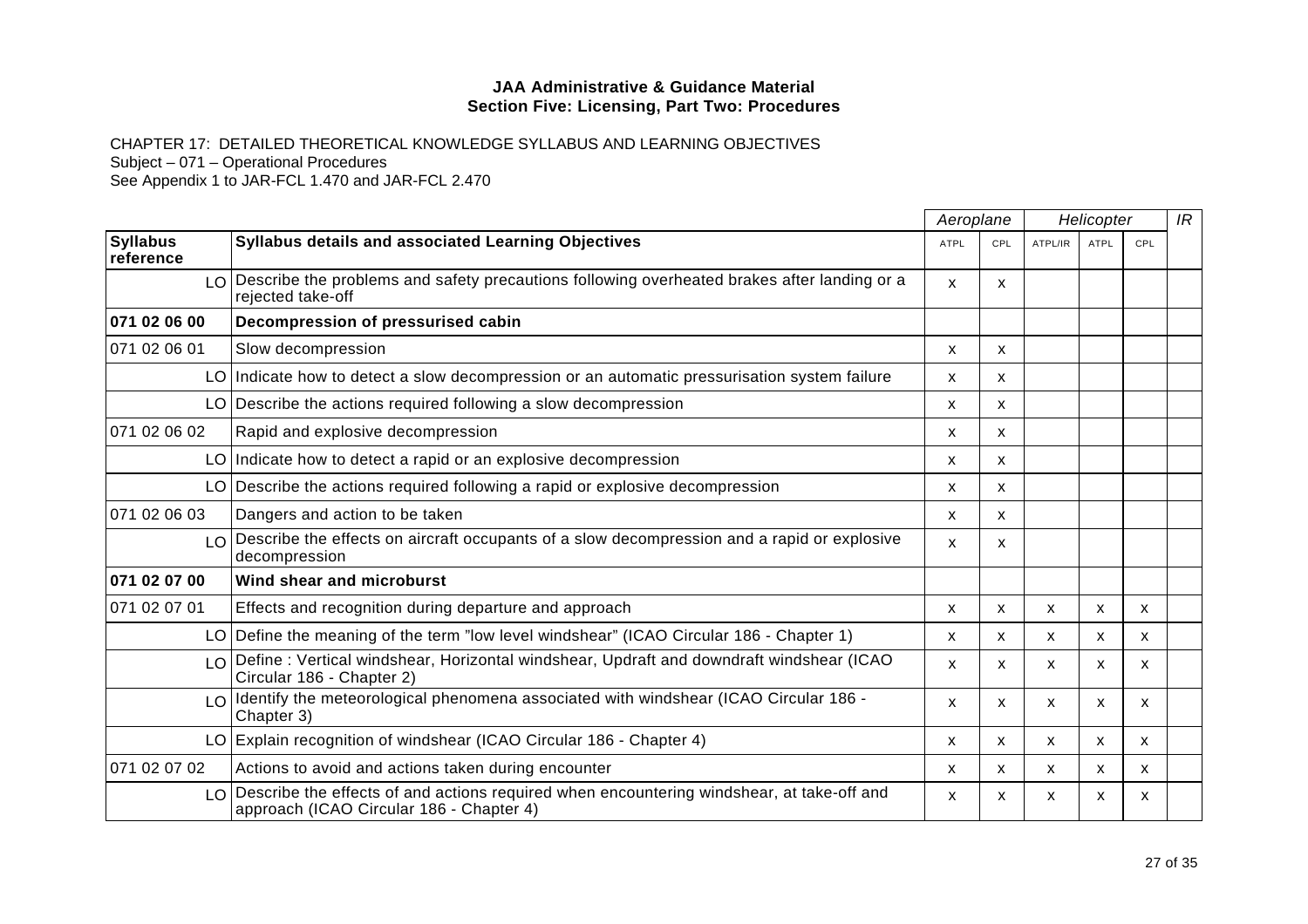CHAPTER 17: DETAILED THEORETICAL KNOWLEDGE SYLLABUS AND LEARNING OBJECTIVES Subject – 071 – Operational Procedures

|                              |                                                                                                                                                           |                           | Aeroplane<br>Helicopter |              |              | IR           |  |
|------------------------------|-----------------------------------------------------------------------------------------------------------------------------------------------------------|---------------------------|-------------------------|--------------|--------------|--------------|--|
| <b>Syllabus</b><br>reference | Syllabus details and associated Learning Objectives                                                                                                       | <b>ATPL</b>               | CPL                     | ATPL/IR      | ATPL         | CPL          |  |
|                              | LO Describe the problems and safety precautions following overheated brakes after landing or a<br>rejected take-off                                       | $\mathsf{x}$              | X                       |              |              |              |  |
| 071 02 06 00                 | Decompression of pressurised cabin                                                                                                                        |                           |                         |              |              |              |  |
| 071 02 06 01                 | Slow decompression                                                                                                                                        | X                         | X                       |              |              |              |  |
|                              | LO Indicate how to detect a slow decompression or an automatic pressurisation system failure                                                              | X                         | X                       |              |              |              |  |
|                              | $LO$ Describe the actions required following a slow decompression                                                                                         | X                         | X                       |              |              |              |  |
| 071 02 06 02                 | Rapid and explosive decompression                                                                                                                         | X                         | X.                      |              |              |              |  |
|                              | LO Indicate how to detect a rapid or an explosive decompression                                                                                           | X                         | X                       |              |              |              |  |
|                              | $LO$ Describe the actions required following a rapid or explosive decompression                                                                           | X                         | X                       |              |              |              |  |
| 071 02 06 03                 | Dangers and action to be taken                                                                                                                            | X                         | X.                      |              |              |              |  |
|                              | LO Describe the effects on aircraft occupants of a slow decompression and a rapid or explosive<br>decompression                                           | $\mathsf{x}$              | X                       |              |              |              |  |
| 071 02 07 00                 | Wind shear and microburst                                                                                                                                 |                           |                         |              |              |              |  |
| 071 02 07 01                 | Effects and recognition during departure and approach                                                                                                     | X                         | X                       | $\mathsf{x}$ | $\mathsf{x}$ | X            |  |
|                              | LO   Define the meaning of the term "low level windshear" (ICAO Circular 186 - Chapter 1)                                                                 | X                         | X.                      | X            | X            | X            |  |
|                              | LO Define: Vertical windshear, Horizontal windshear, Updraft and downdraft windshear (ICAO<br>Circular 186 - Chapter 2)                                   | X                         | X.                      | X            | x            | X            |  |
|                              | $LO$ Identify the meteorological phenomena associated with windshear (ICAO Circular 186 -<br>Chapter 3)                                                   | $\mathsf{x}$              | X                       | X            | X            | $\mathsf{x}$ |  |
|                              | LO Explain recognition of windshear (ICAO Circular 186 - Chapter 4)                                                                                       | X                         | X                       | X            | X            | $\mathsf{x}$ |  |
| 071 02 07 02                 | Actions to avoid and actions taken during encounter                                                                                                       | $\mathsf{x}$              | X                       | X            | X            | X            |  |
|                              | $\lfloor 0 \rfloor$ Describe the effects of and actions required when encountering windshear, at take-off and<br>approach (ICAO Circular 186 - Chapter 4) | $\boldsymbol{\mathsf{x}}$ | x                       | X            | x            | X            |  |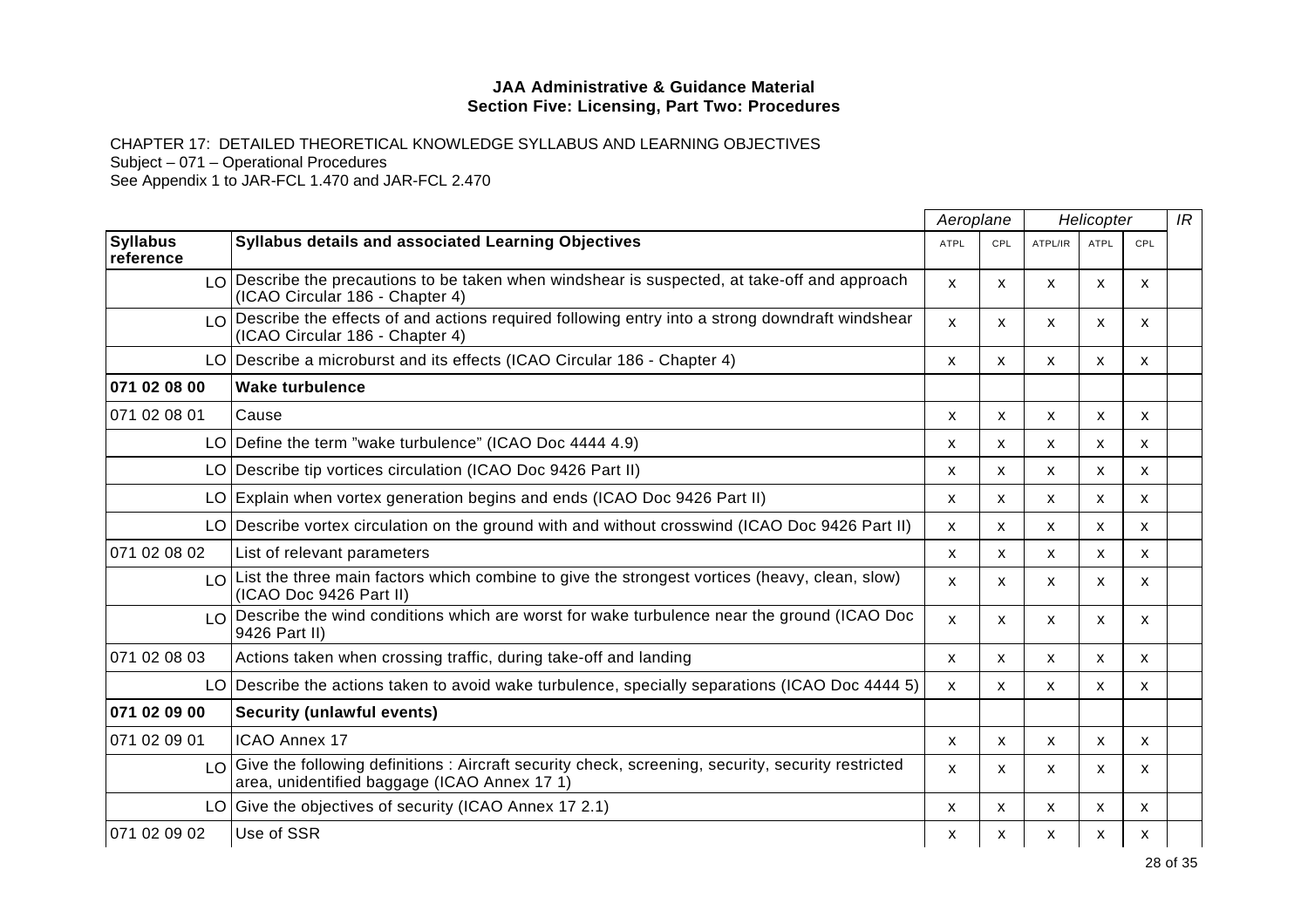CHAPTER 17: DETAILED THEORETICAL KNOWLEDGE SYLLABUS AND LEARNING OBJECTIVES

Subject – 071 – Operational Procedures

|                              |                                                                                                                                                      |                           | Aeroplane    |              | Helicopter   |                           |  |
|------------------------------|------------------------------------------------------------------------------------------------------------------------------------------------------|---------------------------|--------------|--------------|--------------|---------------------------|--|
| <b>Syllabus</b><br>reference | <b>Syllabus details and associated Learning Objectives</b>                                                                                           | <b>ATPL</b>               | CPL          | ATPL/IR      | <b>ATPL</b>  | CPL                       |  |
|                              | $\lfloor 0 \rfloor$ Describe the precautions to be taken when windshear is suspected, at take-off and approach<br>(ICAO Circular 186 - Chapter 4)    | X                         | X.           | x            | x            | X                         |  |
|                              | LO Describe the effects of and actions required following entry into a strong downdraft windshear<br>(ICAO Circular 186 - Chapter 4)                 | $\boldsymbol{\mathsf{x}}$ | X            | X            | X            | $\mathsf{x}$              |  |
|                              | LO Describe a microburst and its effects (ICAO Circular 186 - Chapter 4)                                                                             | X                         | X            | X            | $\mathsf{x}$ | X                         |  |
| 071 02 08 00                 | <b>Wake turbulence</b>                                                                                                                               |                           |              |              |              |                           |  |
| 071 02 08 01                 | Cause                                                                                                                                                | X                         | X            | X            | X            | $\boldsymbol{\mathsf{x}}$ |  |
|                              | LO Define the term "wake turbulence" (ICAO Doc 4444 4.9)                                                                                             | X                         | X            | X            | X            | X                         |  |
|                              | LO Describe tip vortices circulation (ICAO Doc 9426 Part II)                                                                                         | X                         | X.           | X            | X            | X                         |  |
|                              | LO Explain when vortex generation begins and ends (ICAO Doc 9426 Part II)                                                                            | X                         | X            | X            | $\mathsf{x}$ | $\mathsf{x}$              |  |
|                              | LO Describe vortex circulation on the ground with and without crosswind (ICAO Doc 9426 Part II)                                                      | X                         | X            | X            | $\mathsf{x}$ | X                         |  |
| 071 02 08 02                 | List of relevant parameters                                                                                                                          | $\boldsymbol{\mathsf{x}}$ | X            | X            | X            | X                         |  |
|                              | Lo List the three main factors which combine to give the strongest vortices (heavy, clean, slow)<br>(ICAO Doc 9426 Part II)                          | X                         | X.           | X            | X            | X                         |  |
|                              | LO Describe the wind conditions which are worst for wake turbulence near the ground (ICAO Doc<br>9426 Part II)                                       | $\mathsf{x}$              | X            | X            | X            | $\mathsf{x}$              |  |
| 071 02 08 03                 | Actions taken when crossing traffic, during take-off and landing                                                                                     | X                         | X            | X            | $\mathsf{x}$ | X                         |  |
|                              | LO Describe the actions taken to avoid wake turbulence, specially separations (ICAO Doc 4444 5)                                                      | X                         | X            | X            | $\mathsf{x}$ | $\mathsf{x}$              |  |
| 071 02 09 00                 | <b>Security (unlawful events)</b>                                                                                                                    |                           |              |              |              |                           |  |
| 071 02 09 01                 | <b>ICAO Annex 17</b>                                                                                                                                 | $\boldsymbol{\mathsf{x}}$ | X            | X            | X            | $\mathsf{x}$              |  |
|                              | LO Give the following definitions: Aircraft security check, screening, security, security restricted<br>area, unidentified baggage (ICAO Annex 17 1) | X                         | X            | X            | x            | X.                        |  |
|                              | LO Give the objectives of security (ICAO Annex 17 2.1)                                                                                               | X                         | $\mathsf{x}$ | $\mathsf{x}$ | $\mathsf{x}$ | $\mathsf{x}$              |  |
| 071 02 09 02                 | Use of SSR                                                                                                                                           | X                         | x            | х            | x            | х                         |  |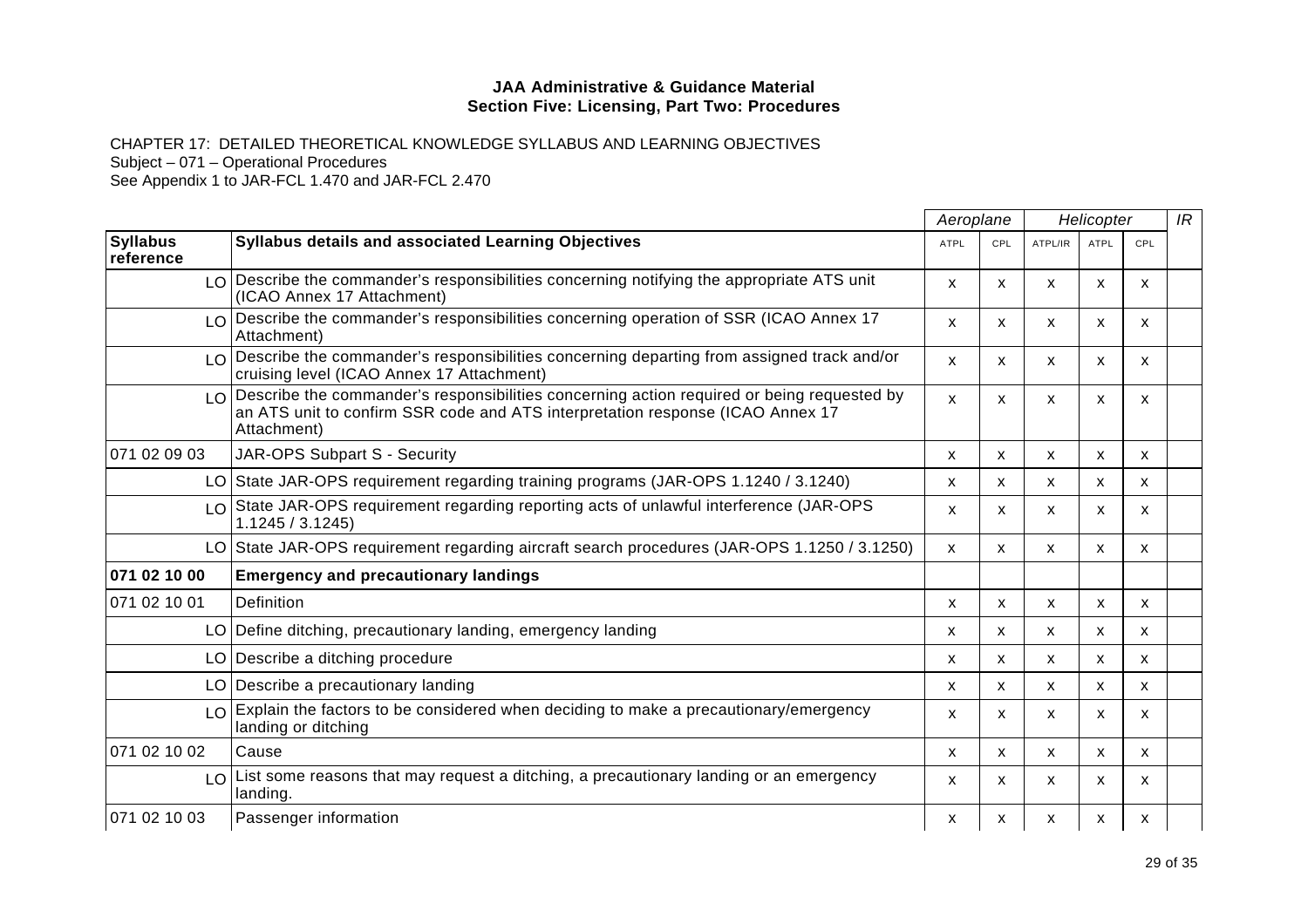CHAPTER 17: DETAILED THEORETICAL KNOWLEDGE SYLLABUS AND LEARNING OBJECTIVES

Subject – 071 – Operational Procedures

|                              |                                                                                                                                                                                                |                           | Aeroplane |              | Helicopter   |              |  |
|------------------------------|------------------------------------------------------------------------------------------------------------------------------------------------------------------------------------------------|---------------------------|-----------|--------------|--------------|--------------|--|
| <b>Syllabus</b><br>reference | <b>Syllabus details and associated Learning Objectives</b>                                                                                                                                     | <b>ATPL</b>               | CPL       | ATPL/IR      | <b>ATPL</b>  | CPL          |  |
|                              | $LO$ Describe the commander's responsibilities concerning notifying the appropriate ATS unit<br>(ICAO Annex 17 Attachment)                                                                     | $\boldsymbol{\mathsf{x}}$ | X         | $\mathsf{x}$ | X            | $\mathsf{x}$ |  |
| LO <sub>1</sub>              | Describe the commander's responsibilities concerning operation of SSR (ICAO Annex 17<br>Attachment)                                                                                            | X                         | X.        | X            | X.           | x            |  |
|                              | $\log$ Describe the commander's responsibilities concerning departing from assigned track and/or<br>cruising level (ICAO Annex 17 Attachment)                                                  | $\boldsymbol{\mathsf{x}}$ | X         | X            | X            | X            |  |
|                              | LO Describe the commander's responsibilities concerning action required or being requested by<br>an ATS unit to confirm SSR code and ATS interpretation response (ICAO Annex 17<br>Attachment) | $\mathsf{x}$              | X.        | X            | x            | X            |  |
| 071 02 09 03                 | JAR-OPS Subpart S - Security                                                                                                                                                                   | X                         | X         | X            | X            | X            |  |
|                              | LO State JAR-OPS requirement regarding training programs (JAR-OPS 1.1240 / 3.1240)                                                                                                             | $\mathsf{x}$              | X         | X            | $\mathsf{x}$ | X            |  |
|                              | $\lfloor 0 \rfloor$ State JAR-OPS requirement regarding reporting acts of unlawful interference (JAR-OPS<br>1.1245 / 3.1245                                                                    | $\boldsymbol{\mathsf{x}}$ | X.        | X            | X            | X            |  |
|                              | LO State JAR-OPS requirement regarding aircraft search procedures (JAR-OPS 1.1250 / 3.1250)                                                                                                    | X                         | X         | X            | X            | X            |  |
| 071 02 10 00                 | <b>Emergency and precautionary landings</b>                                                                                                                                                    |                           |           |              |              |              |  |
| 071 02 10 01                 | Definition                                                                                                                                                                                     | $\mathsf{x}$              | X         | X            | X            | $\mathsf{x}$ |  |
|                              | LO Define ditching, precautionary landing, emergency landing                                                                                                                                   | X                         | X         | X            | X            | X            |  |
|                              | LO Describe a ditching procedure                                                                                                                                                               | X                         | X         | X            | X            | X            |  |
|                              | LO Describe a precautionary landing                                                                                                                                                            | X                         | <b>X</b>  | X            | X            | X            |  |
| LO.                          | Explain the factors to be considered when deciding to make a precautionary/emergency<br>landing or ditching                                                                                    | $\boldsymbol{\mathsf{x}}$ | X         | X            | X            | $\mathsf{x}$ |  |
| 071 02 10 02                 | Cause                                                                                                                                                                                          | X                         | X.        | X            | X            | X            |  |
| LO <sub>1</sub>              | List some reasons that may request a ditching, a precautionary landing or an emergency<br>landing.                                                                                             | X                         | X         | X            | X            | X            |  |
| 071 02 10 03                 | Passenger information                                                                                                                                                                          | x                         | x         | x            | x            | х            |  |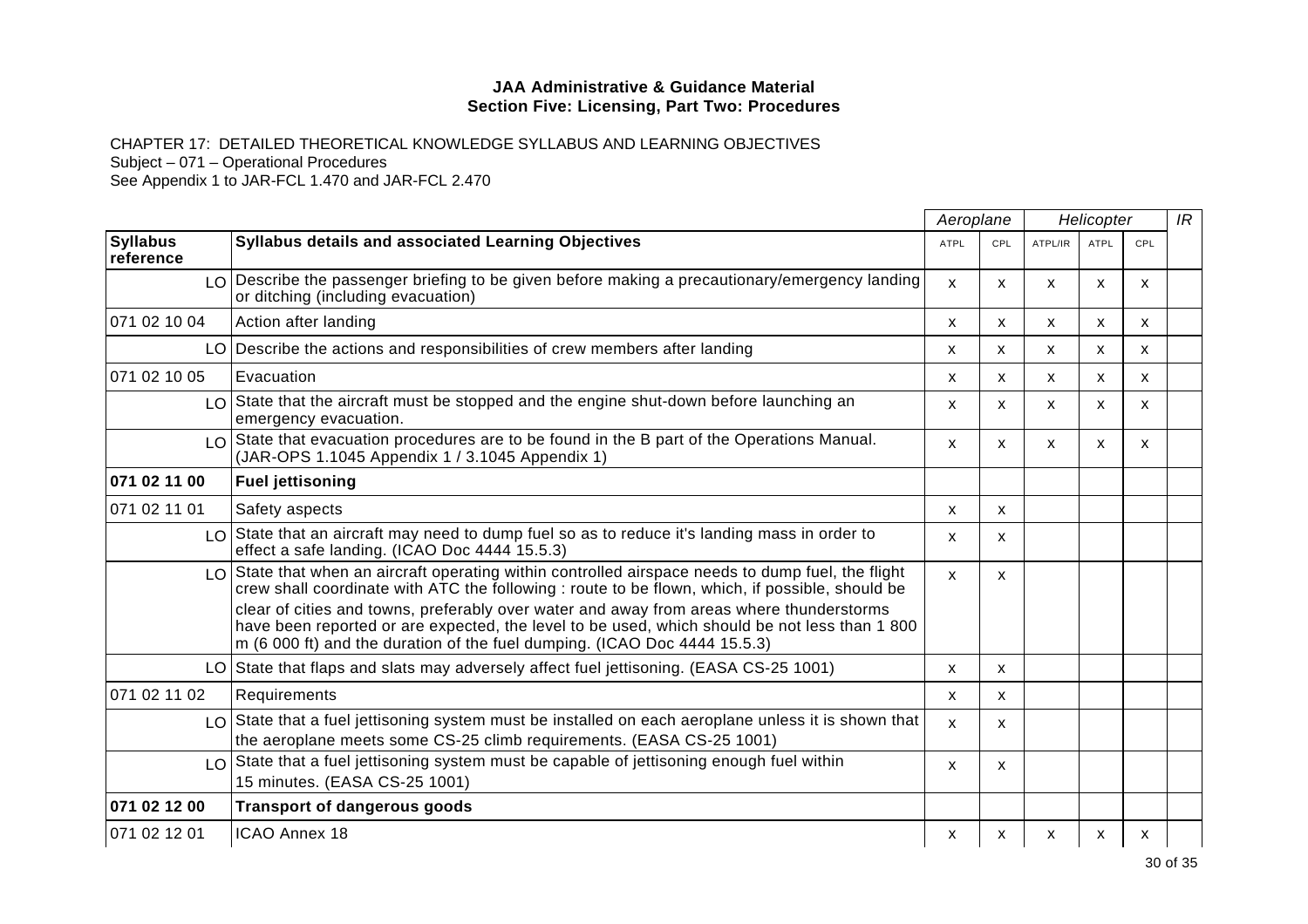CHAPTER 17: DETAILED THEORETICAL KNOWLEDGE SYLLABUS AND LEARNING OBJECTIVES

Subject – 071 – Operational Procedures

|                              |                                                                                                                                                                                                                                                                        | Aeroplane<br>Helicopter   |              |         | IR          |              |  |
|------------------------------|------------------------------------------------------------------------------------------------------------------------------------------------------------------------------------------------------------------------------------------------------------------------|---------------------------|--------------|---------|-------------|--------------|--|
| <b>Syllabus</b><br>reference | <b>Syllabus details and associated Learning Objectives</b>                                                                                                                                                                                                             | <b>ATPL</b>               | CPL          | ATPL/IR | <b>ATPL</b> | CPL          |  |
|                              | $LO$ Describe the passenger briefing to be given before making a precautionary/emergency landing<br>or ditching (including evacuation)                                                                                                                                 | $\mathsf{x}$              | X            | X       | X           | $\mathsf{x}$ |  |
| 071 02 10 04                 | Action after landing                                                                                                                                                                                                                                                   | X                         | X            | X       | X.          | X            |  |
|                              | LO Describe the actions and responsibilities of crew members after landing                                                                                                                                                                                             | X                         | X            | X       | X           | X            |  |
| 071 02 10 05                 | Evacuation                                                                                                                                                                                                                                                             | $\boldsymbol{\mathsf{x}}$ | X            | X       | X           | X            |  |
|                              | $\lfloor 0 \rfloor$ State that the aircraft must be stopped and the engine shut-down before launching an<br>emergency evacuation.                                                                                                                                      | X                         | X            | X       | X           | X            |  |
|                              | $LO$ State that evacuation procedures are to be found in the B part of the Operations Manual.<br>(JAR-OPS 1.1045 Appendix 1 / 3.1045 Appendix 1)                                                                                                                       | $\mathsf{x}$              | X            | X       | X           | X            |  |
| 071 02 11 00                 | <b>Fuel jettisoning</b>                                                                                                                                                                                                                                                |                           |              |         |             |              |  |
| 071 02 11 01                 | Safety aspects                                                                                                                                                                                                                                                         | $\boldsymbol{\mathsf{x}}$ | X            |         |             |              |  |
|                              | LO State that an aircraft may need to dump fuel so as to reduce it's landing mass in order to<br>effect a safe landing. (ICAO Doc 4444 15.5.3)                                                                                                                         | X                         | X            |         |             |              |  |
|                              | $\lfloor 0 \rfloor$ State that when an aircraft operating within controlled airspace needs to dump fuel, the flight<br>crew shall coordinate with ATC the following : route to be flown, which, if possible, should be                                                 | $\mathbf{x}$              | X            |         |             |              |  |
|                              | clear of cities and towns, preferably over water and away from areas where thunderstorms<br>have been reported or are expected, the level to be used, which should be not less than 1 800<br>m (6 000 ft) and the duration of the fuel dumping. (ICAO Doc 4444 15.5.3) |                           |              |         |             |              |  |
|                              | LO State that flaps and slats may adversely affect fuel jettisoning. (EASA CS-25 1001)                                                                                                                                                                                 | X                         | $\mathsf{x}$ |         |             |              |  |
| 071 02 11 02                 | Requirements                                                                                                                                                                                                                                                           | $\boldsymbol{\mathsf{x}}$ | X            |         |             |              |  |
|                              | LO State that a fuel jettisoning system must be installed on each aeroplane unless it is shown that<br>the aeroplane meets some CS-25 climb requirements. (EASA CS-25 1001)                                                                                            | $\mathsf{x}$              | X            |         |             |              |  |
|                              | $\lfloor 0 \rfloor$ State that a fuel jettisoning system must be capable of jettisoning enough fuel within<br>15 minutes. (EASA CS-25 1001)                                                                                                                            | $\boldsymbol{\mathsf{x}}$ | X            |         |             |              |  |
| 071 02 12 00                 | <b>Transport of dangerous goods</b>                                                                                                                                                                                                                                    |                           |              |         |             |              |  |
| 071 02 12 01                 | ICAO Annex 18                                                                                                                                                                                                                                                          | x                         | x            | X       | x           | х            |  |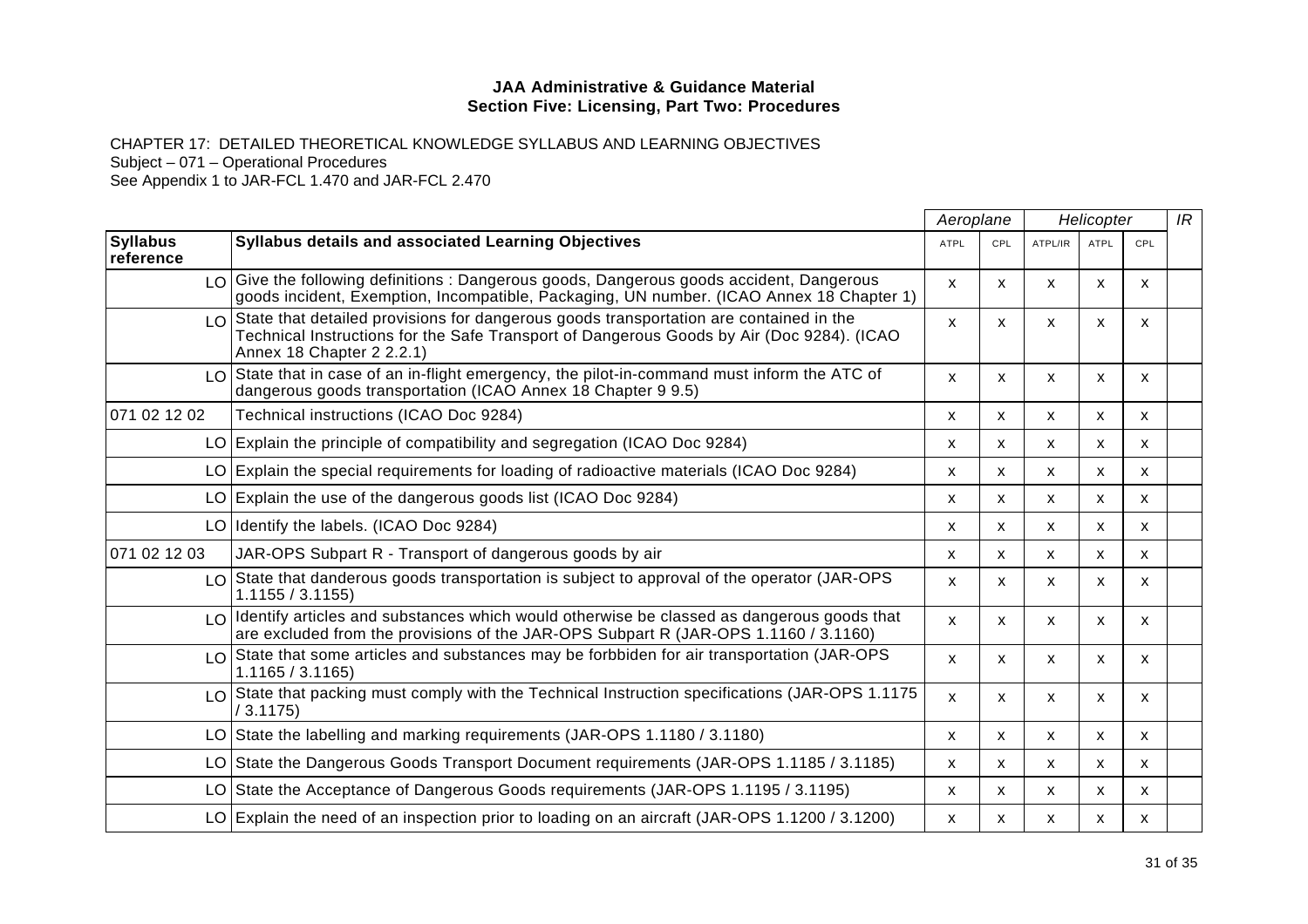CHAPTER 17: DETAILED THEORETICAL KNOWLEDGE SYLLABUS AND LEARNING OBJECTIVES Subject – 071 – Operational Procedures

|                              |                                                                                                                                                                                                                                      |              | Aeroplane    |              | Helicopter   |                           |  |
|------------------------------|--------------------------------------------------------------------------------------------------------------------------------------------------------------------------------------------------------------------------------------|--------------|--------------|--------------|--------------|---------------------------|--|
| <b>Syllabus</b><br>reference | <b>Syllabus details and associated Learning Objectives</b>                                                                                                                                                                           | <b>ATPL</b>  | CPL          | ATPL/IR      | <b>ATPL</b>  | CPL                       |  |
|                              | LO Give the following definitions: Dangerous goods, Dangerous goods accident, Dangerous<br>goods incident, Exemption, Incompatible, Packaging, UN number. (ICAO Annex 18 Chapter 1)                                                  | X            | X            | X            | X            | $\mathsf{x}$              |  |
|                              | $\lfloor 0 \rfloor$ State that detailed provisions for dangerous goods transportation are contained in the<br>Technical Instructions for the Safe Transport of Dangerous Goods by Air (Doc 9284). (ICAO<br>Annex 18 Chapter 2 2.2.1) | X            | X            | X            | x            | $\mathsf{x}$              |  |
|                              | $\lfloor 0 \rfloor$ State that in case of an in-flight emergency, the pilot-in-command must inform the ATC of<br>dangerous goods transportation (ICAO Annex 18 Chapter 9 9.5)                                                        | X            | X            | $\mathsf{x}$ | $\mathsf{x}$ | $\mathsf{x}$              |  |
| 071 02 12 02                 | Technical instructions (ICAO Doc 9284)                                                                                                                                                                                               | X            | $\mathsf{x}$ | X            | $\mathsf{x}$ | $\mathsf{x}$              |  |
|                              | LO Explain the principle of compatibility and segregation (ICAO Doc 9284)                                                                                                                                                            | X            | $\mathsf{x}$ | $\mathsf{x}$ | $\mathsf{x}$ | $\boldsymbol{\mathsf{x}}$ |  |
|                              | LO Explain the special requirements for loading of radioactive materials (ICAO Doc 9284)                                                                                                                                             | X            | X            | X            | X            | X                         |  |
|                              | $LO$ Explain the use of the dangerous goods list (ICAO Doc 9284)                                                                                                                                                                     | X            | X            | X            | $\mathsf{x}$ | X                         |  |
|                              | LO Identify the labels. (ICAO Doc 9284)                                                                                                                                                                                              | X            | X            | X            | $\mathsf{x}$ | X                         |  |
| 071 02 12 03                 | JAR-OPS Subpart R - Transport of dangerous goods by air                                                                                                                                                                              | x            | X.           | X            | X            | X                         |  |
|                              | LO State that danderous goods transportation is subject to approval of the operator (JAR-OPS<br>1.1155 / 3.1155                                                                                                                      | X            | X            | X            | x            | X                         |  |
|                              | LO Identify articles and substances which would otherwise be classed as dangerous goods that<br>are excluded from the provisions of the JAR-OPS Subpart R (JAR-OPS 1.1160 / 3.1160)                                                  | X            | X            | X            | x            | X                         |  |
|                              | $\lfloor 0 \rfloor$ State that some articles and substances may be forbbiden for air transportation (JAR-OPS)<br>1.1165 / 3.1165                                                                                                     | X            | X            | X            | $\mathsf{x}$ | $\mathsf{x}$              |  |
|                              | LO State that packing must comply with the Technical Instruction specifications (JAR-OPS 1.1175<br>/3.1175)                                                                                                                          | $\mathsf{x}$ | X            | X            | X            | $\mathsf{x}$              |  |
|                              | LO State the labelling and marking requirements (JAR-OPS 1.1180 / 3.1180)                                                                                                                                                            | x            | X            | X            | X            | X                         |  |
|                              | LO State the Dangerous Goods Transport Document requirements (JAR-OPS 1.1185 / 3.1185)                                                                                                                                               | X            | X            | X            | X            | $\mathsf{x}$              |  |
|                              | LO State the Acceptance of Dangerous Goods requirements (JAR-OPS 1.1195 / 3.1195)                                                                                                                                                    | X            | X            | X            | X            | X                         |  |
|                              | LO Explain the need of an inspection prior to loading on an aircraft (JAR-OPS 1.1200 / 3.1200)                                                                                                                                       | X            | x            | X            | x            | x                         |  |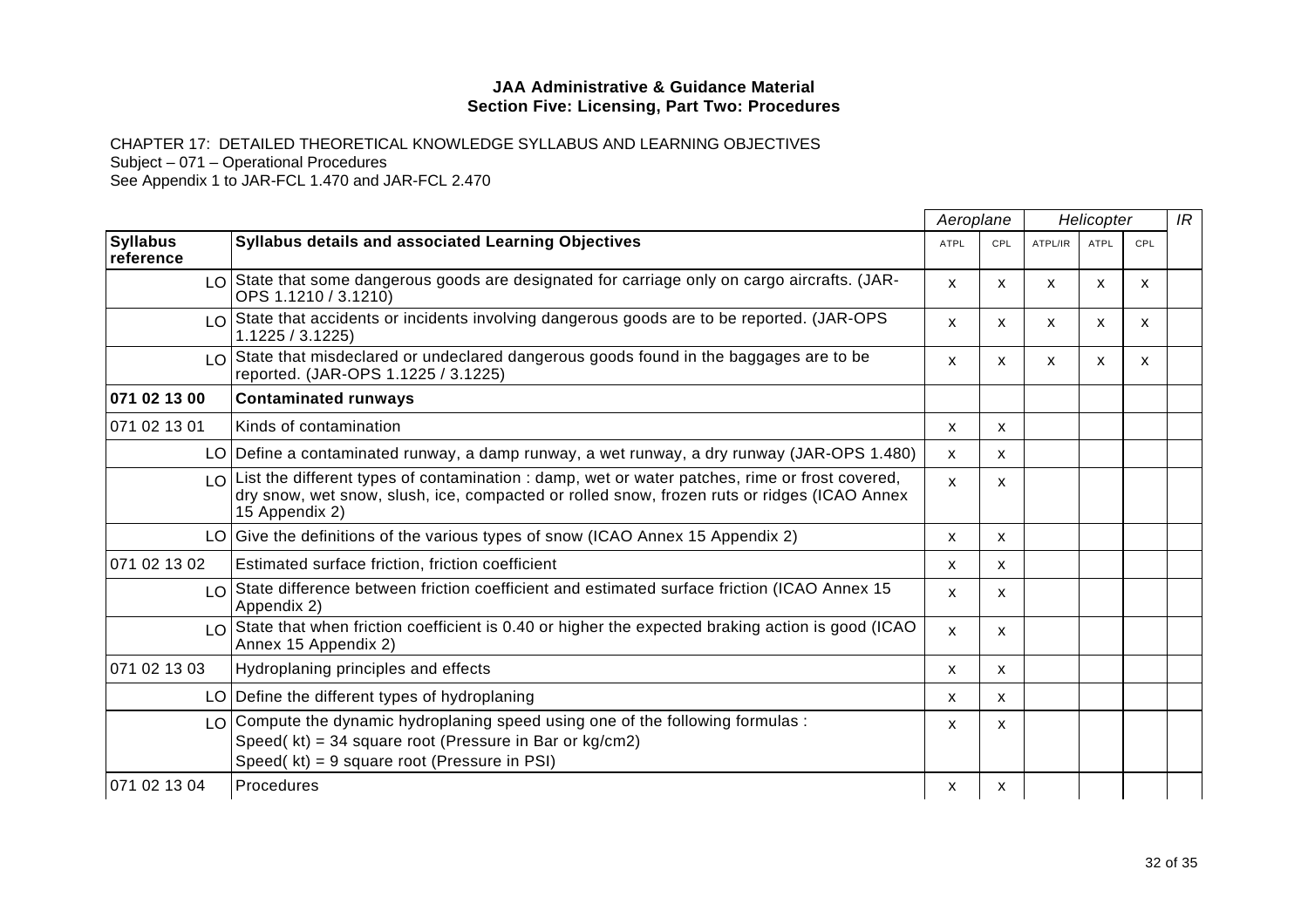CHAPTER 17: DETAILED THEORETICAL KNOWLEDGE SYLLABUS AND LEARNING OBJECTIVES

Subject – 071 – Operational Procedures

|                              |                                                                                                                                                                                                                      | Aeroplane                 |     | Helicopter |             |              | IR |
|------------------------------|----------------------------------------------------------------------------------------------------------------------------------------------------------------------------------------------------------------------|---------------------------|-----|------------|-------------|--------------|----|
| <b>Syllabus</b><br>reference | <b>Syllabus details and associated Learning Objectives</b>                                                                                                                                                           | <b>ATPL</b>               | CPL | ATPL/IR    | <b>ATPL</b> | CPL          |    |
|                              | $LO$ State that some dangerous goods are designated for carriage only on cargo aircrafts. (JAR-<br>OPS 1.1210 / 3.1210)                                                                                              | $\mathsf{x}$              | X.  | X          | x           | X            |    |
|                              | LO State that accidents or incidents involving dangerous goods are to be reported. (JAR-OPS<br>1.1225 / 3.1225                                                                                                       | $\mathsf{x}$              | X   | X          | X           | $\mathsf{x}$ |    |
|                              | LO State that misdeclared or undeclared dangerous goods found in the baggages are to be<br>reported. (JAR-OPS 1.1225 / 3.1225)                                                                                       | $\boldsymbol{\mathsf{x}}$ | X   | X          | X           | X            |    |
| 071 02 13 00                 | <b>Contaminated runways</b>                                                                                                                                                                                          |                           |     |            |             |              |    |
| 071 02 13 01                 | Kinds of contamination                                                                                                                                                                                               | X                         | X.  |            |             |              |    |
|                              | LO Define a contaminated runway, a damp runway, a wet runway, a dry runway (JAR-OPS 1.480)                                                                                                                           | X                         | X   |            |             |              |    |
|                              | $LO$ List the different types of contamination : damp, wet or water patches, rime or frost covered,<br>dry snow, wet snow, slush, ice, compacted or rolled snow, frozen ruts or ridges (ICAO Annex<br>15 Appendix 2) | $\mathsf{x}$              | X.  |            |             |              |    |
|                              | LO Give the definitions of the various types of snow (ICAO Annex 15 Appendix 2)                                                                                                                                      | X                         | X.  |            |             |              |    |
| 071 02 13 02                 | Estimated surface friction, friction coefficient                                                                                                                                                                     | X                         | X   |            |             |              |    |
|                              | LO State difference between friction coefficient and estimated surface friction (ICAO Annex 15<br>Appendix 2)                                                                                                        | X                         | X.  |            |             |              |    |
|                              | LO State that when friction coefficient is 0.40 or higher the expected braking action is good (ICAO<br>Annex 15 Appendix 2)                                                                                          | $\mathsf{x}$              | X.  |            |             |              |    |
| 071 02 13 03                 | Hydroplaning principles and effects                                                                                                                                                                                  | $\mathsf{x}$              | X.  |            |             |              |    |
|                              | LO Define the different types of hydroplaning                                                                                                                                                                        | $\mathsf{x}$              | X   |            |             |              |    |
|                              | $LO$ Compute the dynamic hydroplaning speed using one of the following formulas :<br>Speed(kt) = 34 square root (Pressure in Bar or kg/cm2)<br>Speed( $kt$ ) = 9 square root (Pressure in PSI)                       | X                         | x   |            |             |              |    |
| 071 02 13 04                 | Procedures                                                                                                                                                                                                           | X                         | X   |            |             |              |    |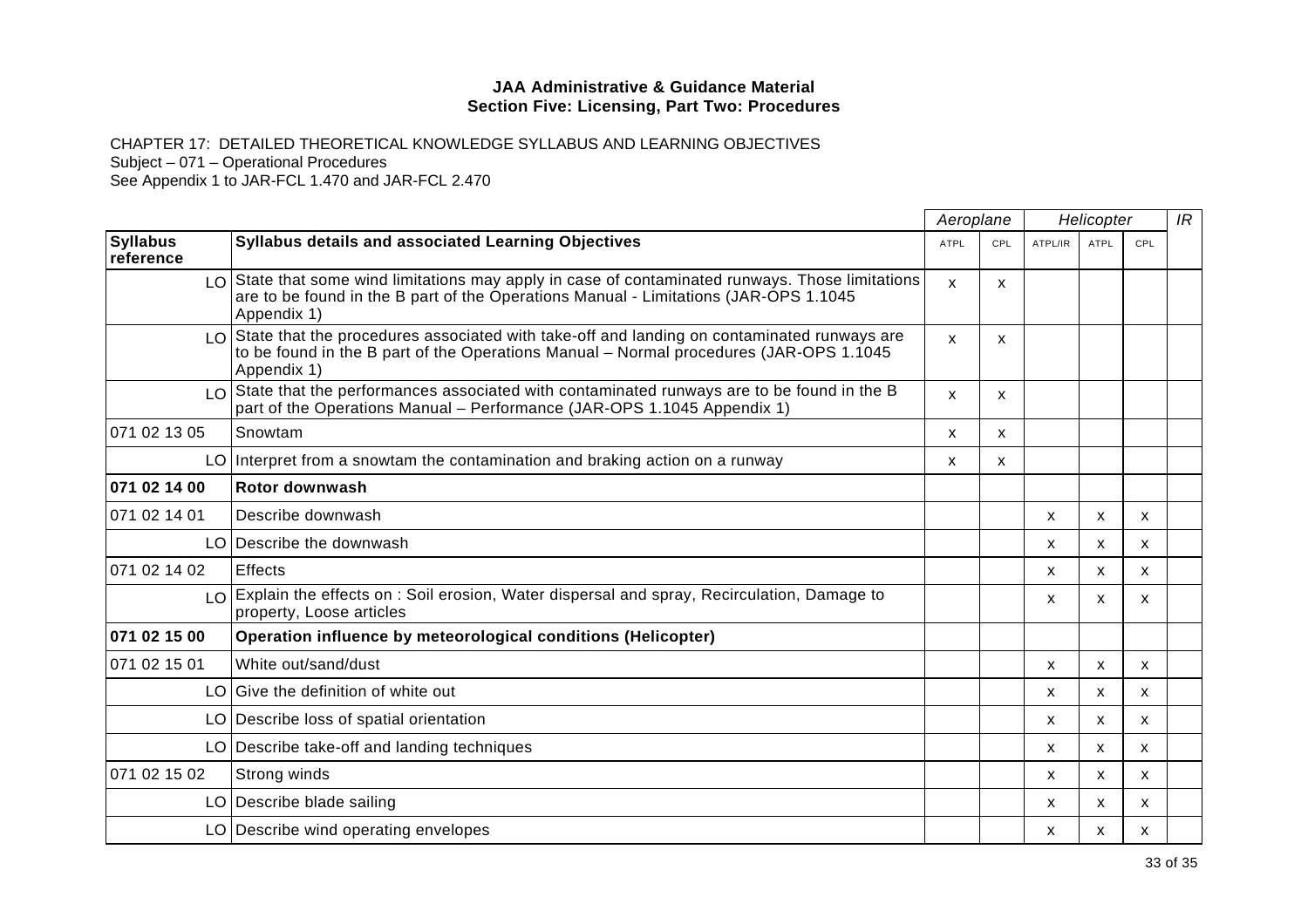CHAPTER 17: DETAILED THEORETICAL KNOWLEDGE SYLLABUS AND LEARNING OBJECTIVES

Subject – 071 – Operational Procedures

|                              |                                                                                                                                                                                                                         | Aeroplane   |              | Helicopter |              |              | IR |
|------------------------------|-------------------------------------------------------------------------------------------------------------------------------------------------------------------------------------------------------------------------|-------------|--------------|------------|--------------|--------------|----|
| <b>Syllabus</b><br>reference | <b>Syllabus details and associated Learning Objectives</b>                                                                                                                                                              | <b>ATPL</b> | CPL          | ATPL/IR    | ATPL         | CPL          |    |
|                              | $LO$ State that some wind limitations may apply in case of contaminated runways. Those limitations<br>are to be found in the B part of the Operations Manual - Limitations (JAR-OPS 1.1045<br>Appendix 1)               | X           | X            |            |              |              |    |
|                              | $\lfloor 0 \rfloor$ State that the procedures associated with take-off and landing on contaminated runways are<br>to be found in the B part of the Operations Manual - Normal procedures (JAR-OPS 1.1045<br>Appendix 1) | X           | $\mathsf{x}$ |            |              |              |    |
|                              | $LO$ State that the performances associated with contaminated runways are to be found in the B<br>part of the Operations Manual - Performance (JAR-OPS 1.1045 Appendix 1)                                               | X           | X            |            |              |              |    |
| 071 02 13 05                 | Snowtam                                                                                                                                                                                                                 | X           | X            |            |              |              |    |
|                              | $LO$ Interpret from a snowtam the contamination and braking action on a runway                                                                                                                                          | X           | X            |            |              |              |    |
| 071 02 14 00                 | Rotor downwash                                                                                                                                                                                                          |             |              |            |              |              |    |
| 071 02 14 01                 | Describe downwash                                                                                                                                                                                                       |             |              | X          | X            | X            |    |
|                              | LO Describe the downwash                                                                                                                                                                                                |             |              | X          | $\mathsf{x}$ | X            |    |
| 071 02 14 02                 | <b>Effects</b>                                                                                                                                                                                                          |             |              | X          | X            | X            |    |
|                              | LO Explain the effects on : Soil erosion, Water dispersal and spray, Recirculation, Damage to<br>property, Loose articles                                                                                               |             |              | X          | $\mathsf{x}$ | $\mathsf{x}$ |    |
| 071 02 15 00                 | Operation influence by meteorological conditions (Helicopter)                                                                                                                                                           |             |              |            |              |              |    |
| 071 02 15 01                 | White out/sand/dust                                                                                                                                                                                                     |             |              | X          | X            | X            |    |
|                              | LO Give the definition of white out                                                                                                                                                                                     |             |              | X          | $\mathsf{x}$ | $\mathsf{x}$ |    |
|                              | LO Describe loss of spatial orientation                                                                                                                                                                                 |             |              | X          | X            | $\mathsf{x}$ |    |
|                              | LO Describe take-off and landing techniques                                                                                                                                                                             |             |              | x          | X            | X            |    |
| 071 02 15 02                 | Strong winds                                                                                                                                                                                                            |             |              | X          | $\mathsf{x}$ | X            |    |
|                              | LO   Describe blade sailing                                                                                                                                                                                             |             |              | X          | X            | X            |    |
|                              | LO Describe wind operating envelopes                                                                                                                                                                                    |             |              | x          | X            | X            |    |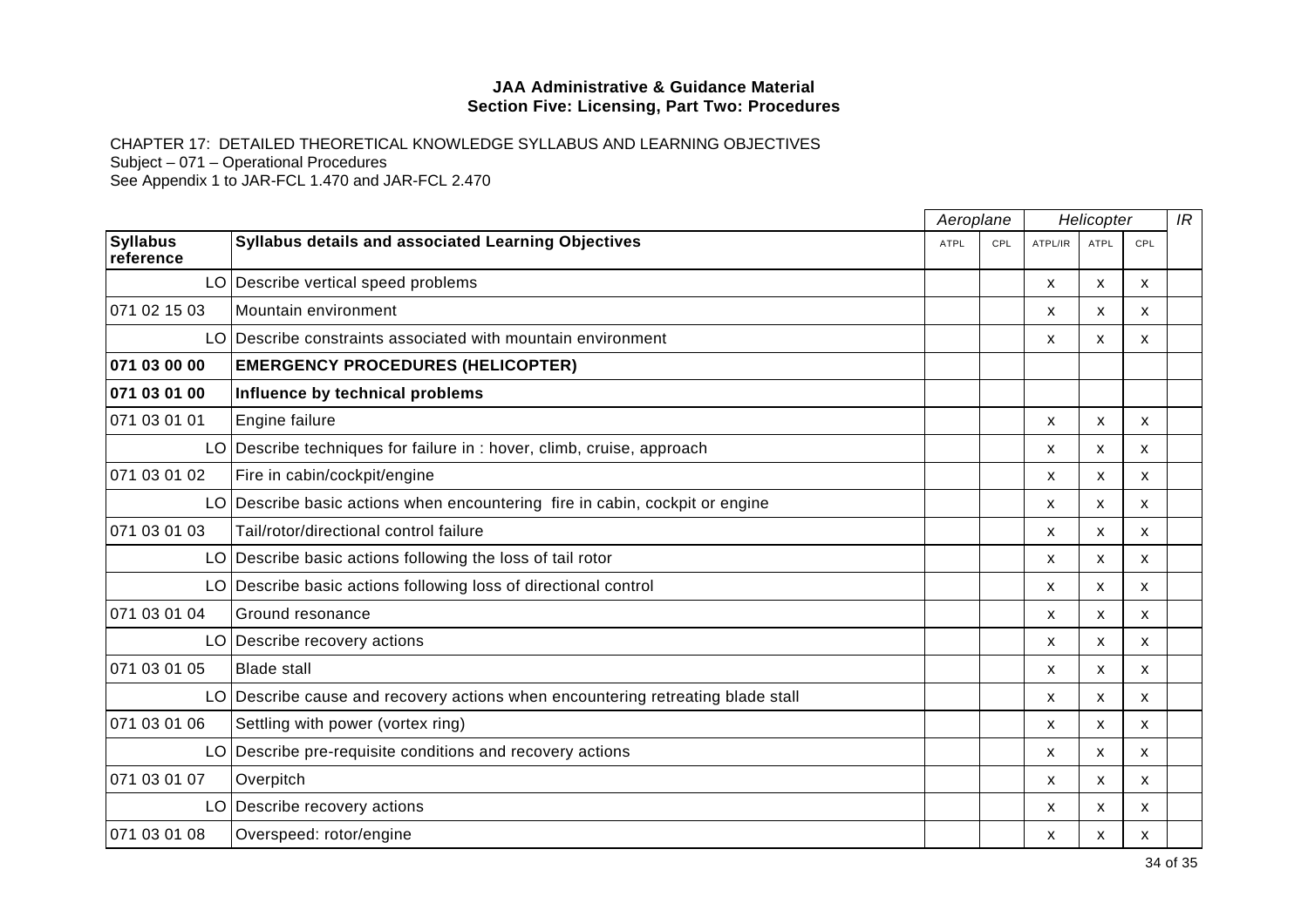CHAPTER 17: DETAILED THEORETICAL KNOWLEDGE SYLLABUS AND LEARNING OBJECTIVES Subject – 071 – Operational Procedures

|                              |                                                                                 | Aeroplane   |     | Helicopter |              |                           | IR |
|------------------------------|---------------------------------------------------------------------------------|-------------|-----|------------|--------------|---------------------------|----|
| <b>Syllabus</b><br>reference | Syllabus details and associated Learning Objectives                             | <b>ATPL</b> | CPL | ATPL/IR    | ATPL         | CPL                       |    |
|                              | LO Describe vertical speed problems                                             |             |     | X          | $\mathsf{x}$ | X                         |    |
| 071 02 15 03                 | Mountain environment                                                            |             |     | X          | X            | X                         |    |
|                              | LO Describe constraints associated with mountain environment                    |             |     | X          | x            | X                         |    |
| 071 03 00 00                 | <b>EMERGENCY PROCEDURES (HELICOPTER)</b>                                        |             |     |            |              |                           |    |
| 071 03 01 00                 | Influence by technical problems                                                 |             |     |            |              |                           |    |
| 071 03 01 01                 | Engine failure                                                                  |             |     | X          | X            | X                         |    |
|                              | LO Describe techniques for failure in : hover, climb, cruise, approach          |             |     | X          | X            | X                         |    |
| 071 03 01 02                 | Fire in cabin/cockpit/engine                                                    |             |     | X          | X            | $\boldsymbol{\mathsf{x}}$ |    |
|                              | LO Describe basic actions when encountering fire in cabin, cockpit or engine    |             |     | X          | X            | X                         |    |
| 071 03 01 03                 | Tail/rotor/directional control failure                                          |             |     | X          | X            | X                         |    |
|                              | LO Describe basic actions following the loss of tail rotor                      |             |     | X          | X            | X                         |    |
|                              | LO Describe basic actions following loss of directional control                 |             |     | X          | X            | X                         |    |
| 071 03 01 04                 | Ground resonance                                                                |             |     | X          | X            | $\mathsf{x}$              |    |
|                              | LO Describe recovery actions                                                    |             |     | X          | X            | X                         |    |
| 071 03 01 05                 | <b>Blade stall</b>                                                              |             |     | X          | X            | X                         |    |
|                              | LO Describe cause and recovery actions when encountering retreating blade stall |             |     | X          | X            | X                         |    |
| 071 03 01 06                 | Settling with power (vortex ring)                                               |             |     | X          | X            | X                         |    |
|                              | LO Describe pre-requisite conditions and recovery actions                       |             |     | X          | X            | $\mathsf{x}$              |    |
| 071 03 01 07                 | Overpitch                                                                       |             |     | X          | X            | X                         |    |
|                              | LO Describe recovery actions                                                    |             |     | X          | X            | $\mathsf{x}$              |    |
| 071 03 01 08                 | Overspeed: rotor/engine                                                         |             |     | X          | x            | X                         |    |